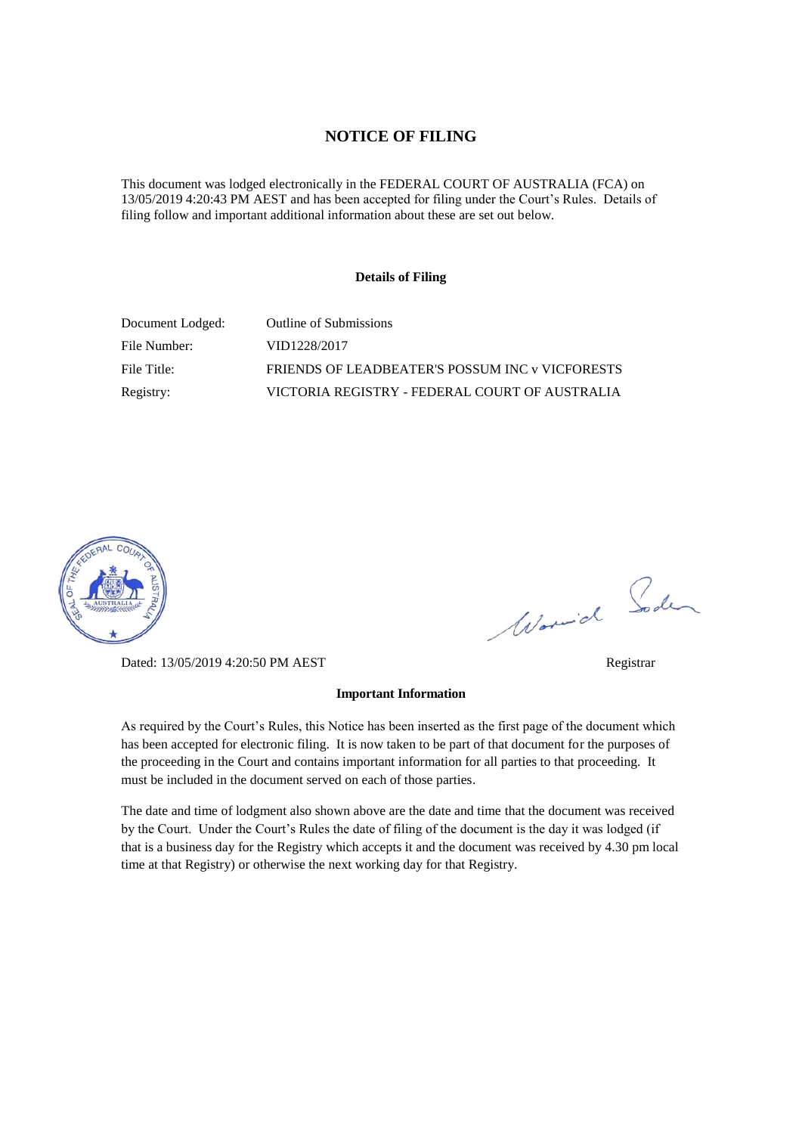#### **NOTICE OF FILING**

This document was lodged electronically in the FEDERAL COURT OF AUSTRALIA (FCA) on 13/05/2019 4:20:43 PM AEST and has been accepted for filing under the Court's Rules. Details of filing follow and important additional information about these are set out below.

#### **Details of Filing**

| Document Lodged: | Outline of Submissions                          |
|------------------|-------------------------------------------------|
| File Number:     | VID1228/2017                                    |
| File Title:      | FRIENDS OF LEADBEATER'S POSSUM INC v VICFORESTS |
| Registry:        | VICTORIA REGISTRY - FEDERAL COURT OF AUSTRALIA  |



Dated: 13/05/2019 4:20:50 PM AEST Registrar

# Worwich Soden

As required by the Court's Rules, this Notice has been inserted as the first page of the document which has been accepted for electronic filing. It is now taken to be part of that document for the purposes of the proceeding in the Court and contains important information for all parties to that proceeding. It must be included in the document served on each of those parties.

**Important Information** 

The date and time of lodgment also shown above are the date and time that the document was received by the Court. Under the Court's Rules the date of filing of the document is the day it was lodged (if that is a business day for the Registry which accepts it and the document was received by 4.30 pm local time at that Registry) or otherwise the next working day for that Registry.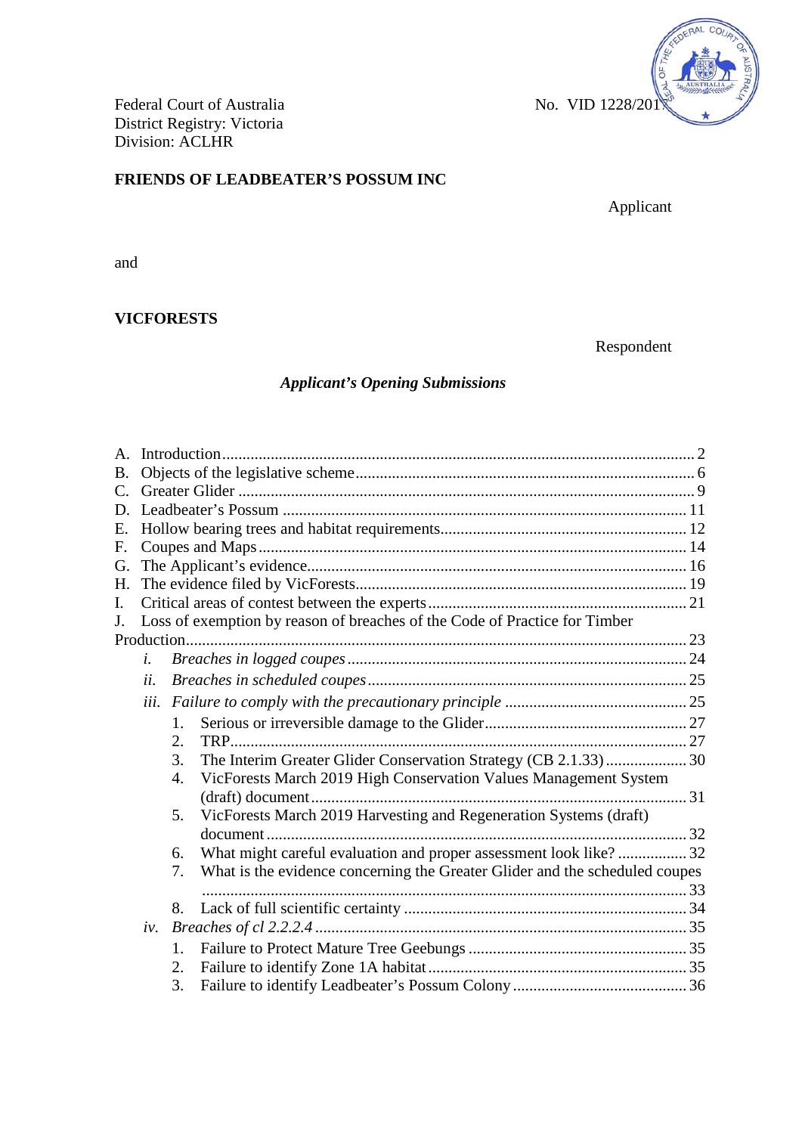

Federal Court of Australia No. VID 1228/201 District Registry: Victoria Division: ACLHR

# **FRIENDS OF LEADBEATER'S POSSUM INC**

Applicant

and

# **VICFORESTS**

Respondent

# *Applicant's Opening Submissions*

| B.             |      |    |                                                                             |  |  |  |  |  |  |
|----------------|------|----|-----------------------------------------------------------------------------|--|--|--|--|--|--|
| $\mathsf{C}$ . |      |    |                                                                             |  |  |  |  |  |  |
| D.             |      |    |                                                                             |  |  |  |  |  |  |
| E.             |      |    |                                                                             |  |  |  |  |  |  |
| F.             |      |    |                                                                             |  |  |  |  |  |  |
| G.             |      |    |                                                                             |  |  |  |  |  |  |
| Н.             |      |    |                                                                             |  |  |  |  |  |  |
| I.             |      |    |                                                                             |  |  |  |  |  |  |
| J.             |      |    | Loss of exemption by reason of breaches of the Code of Practice for Timber  |  |  |  |  |  |  |
|                |      |    |                                                                             |  |  |  |  |  |  |
|                | i.   |    |                                                                             |  |  |  |  |  |  |
|                | ii.  |    |                                                                             |  |  |  |  |  |  |
|                | iii. |    |                                                                             |  |  |  |  |  |  |
|                |      | 1. |                                                                             |  |  |  |  |  |  |
|                |      | 2. | TRP.                                                                        |  |  |  |  |  |  |
|                |      | 3. | The Interim Greater Glider Conservation Strategy (CB 2.1.33) 30             |  |  |  |  |  |  |
|                |      | 4. | VicForests March 2019 High Conservation Values Management System            |  |  |  |  |  |  |
|                |      |    |                                                                             |  |  |  |  |  |  |
|                |      | 5. | VicForests March 2019 Harvesting and Regeneration Systems (draft)           |  |  |  |  |  |  |
|                |      |    |                                                                             |  |  |  |  |  |  |
|                |      | 6. | What might careful evaluation and proper assessment look like? 32           |  |  |  |  |  |  |
|                |      | 7. | What is the evidence concerning the Greater Glider and the scheduled coupes |  |  |  |  |  |  |
|                |      |    |                                                                             |  |  |  |  |  |  |
|                |      | 8. |                                                                             |  |  |  |  |  |  |
|                | iv.  |    |                                                                             |  |  |  |  |  |  |
|                |      | 1. |                                                                             |  |  |  |  |  |  |
|                |      | 2. |                                                                             |  |  |  |  |  |  |
|                |      | 3. |                                                                             |  |  |  |  |  |  |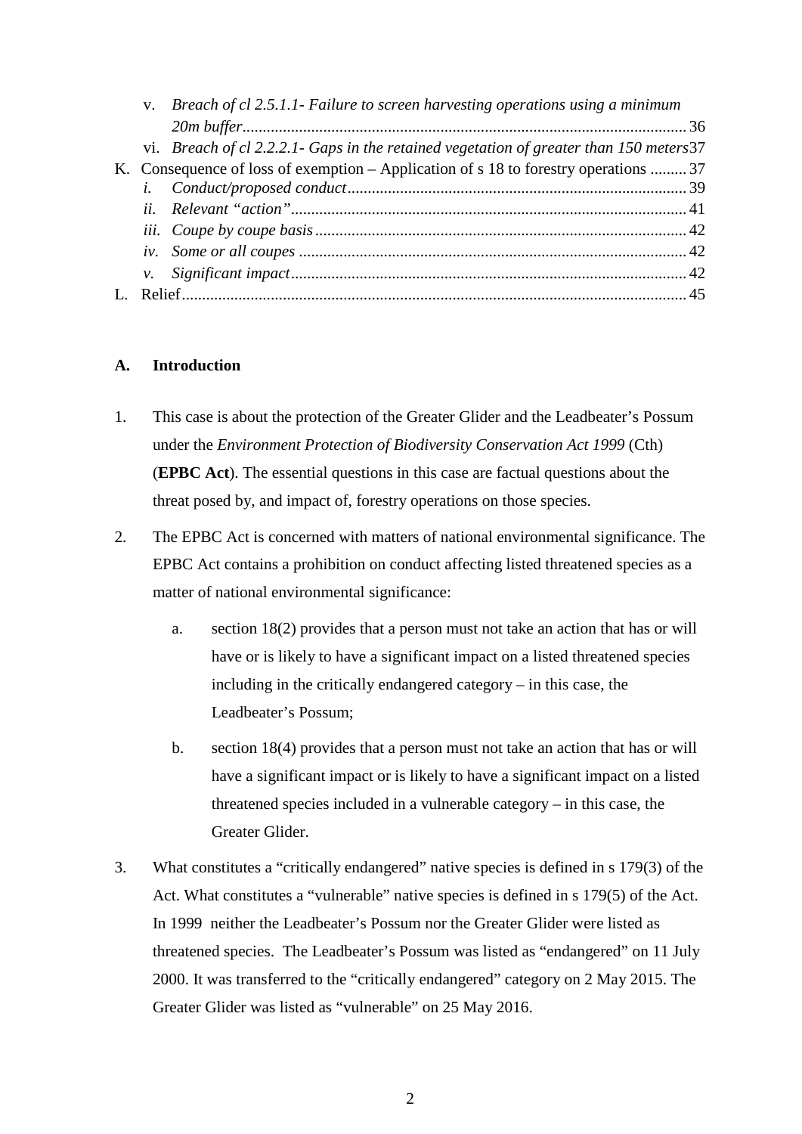|  | v. Breach of cl 2.5.1.1- Failure to screen harvesting operations using a minimum         |  |
|--|------------------------------------------------------------------------------------------|--|
|  |                                                                                          |  |
|  | vi. Breach of cl 2.2.2.1 Gaps in the retained vegetation of greater than 150 meters $37$ |  |
|  | K. Consequence of loss of exemption – Application of s 18 to forestry operations  37     |  |
|  |                                                                                          |  |
|  |                                                                                          |  |
|  |                                                                                          |  |
|  |                                                                                          |  |
|  |                                                                                          |  |
|  |                                                                                          |  |
|  |                                                                                          |  |

# **A. Introduction**

- 1. This case is about the protection of the Greater Glider and the Leadbeater's Possum under the *Environment Protection of Biodiversity Conservation Act 1999* (Cth) (**EPBC Act**). The essential questions in this case are factual questions about the threat posed by, and impact of, forestry operations on those species.
- 2. The EPBC Act is concerned with matters of national environmental significance. The EPBC Act contains a prohibition on conduct affecting listed threatened species as a matter of national environmental significance:
	- a. section 18(2) provides that a person must not take an action that has or will have or is likely to have a significant impact on a listed threatened species including in the critically endangered category – in this case, the Leadbeater's Possum;
	- b. section 18(4) provides that a person must not take an action that has or will have a significant impact or is likely to have a significant impact on a listed threatened species included in a vulnerable category – in this case, the Greater Glider.
- 3. What constitutes a "critically endangered" native species is defined in s 179(3) of the Act. What constitutes a "vulnerable" native species is defined in s 179(5) of the Act. In 1999 neither the Leadbeater's Possum nor the Greater Glider were listed as threatened species. The Leadbeater's Possum was listed as "endangered" on 11 July 2000. It was transferred to the "critically endangered" category on 2 May 2015. The Greater Glider was listed as "vulnerable" on 25 May 2016.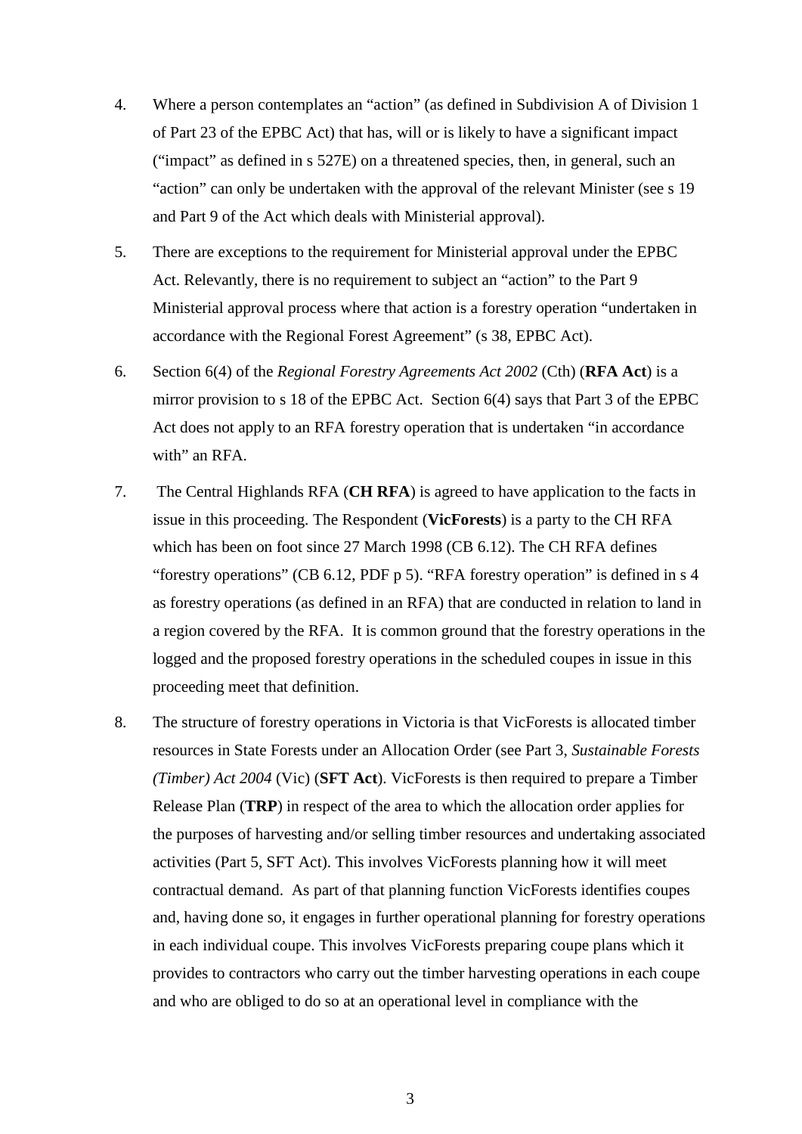- 4. Where a person contemplates an "action" (as defined in Subdivision A of Division 1 of Part 23 of the EPBC Act) that has, will or is likely to have a significant impact ("impact" as defined in s 527E) on a threatened species, then, in general, such an "action" can only be undertaken with the approval of the relevant Minister (see s 19 and Part 9 of the Act which deals with Ministerial approval).
- 5. There are exceptions to the requirement for Ministerial approval under the EPBC Act. Relevantly, there is no requirement to subject an "action" to the Part 9 Ministerial approval process where that action is a forestry operation "undertaken in accordance with the Regional Forest Agreement" (s 38, EPBC Act).
- 6. Section 6(4) of the *Regional Forestry Agreements Act 2002* (Cth) (**RFA Act**) is a mirror provision to s 18 of the EPBC Act. Section 6(4) says that Part 3 of the EPBC Act does not apply to an RFA forestry operation that is undertaken "in accordance with" an RFA.
- 7. The Central Highlands RFA (**CH RFA**) is agreed to have application to the facts in issue in this proceeding. The Respondent (**VicForests**) is a party to the CH RFA which has been on foot since 27 March 1998 (CB 6.12). The CH RFA defines "forestry operations" (CB 6.12, PDF p 5). "RFA forestry operation" is defined in s 4 as forestry operations (as defined in an RFA) that are conducted in relation to land in a region covered by the RFA. It is common ground that the forestry operations in the logged and the proposed forestry operations in the scheduled coupes in issue in this proceeding meet that definition.
- 8. The structure of forestry operations in Victoria is that VicForests is allocated timber resources in State Forests under an Allocation Order (see Part 3, *Sustainable Forests (Timber) Act 2004* (Vic) (**SFT Act**). VicForests is then required to prepare a Timber Release Plan (**TRP**) in respect of the area to which the allocation order applies for the purposes of harvesting and/or selling timber resources and undertaking associated activities (Part 5, SFT Act). This involves VicForests planning how it will meet contractual demand. As part of that planning function VicForests identifies coupes and, having done so, it engages in further operational planning for forestry operations in each individual coupe. This involves VicForests preparing coupe plans which it provides to contractors who carry out the timber harvesting operations in each coupe and who are obliged to do so at an operational level in compliance with the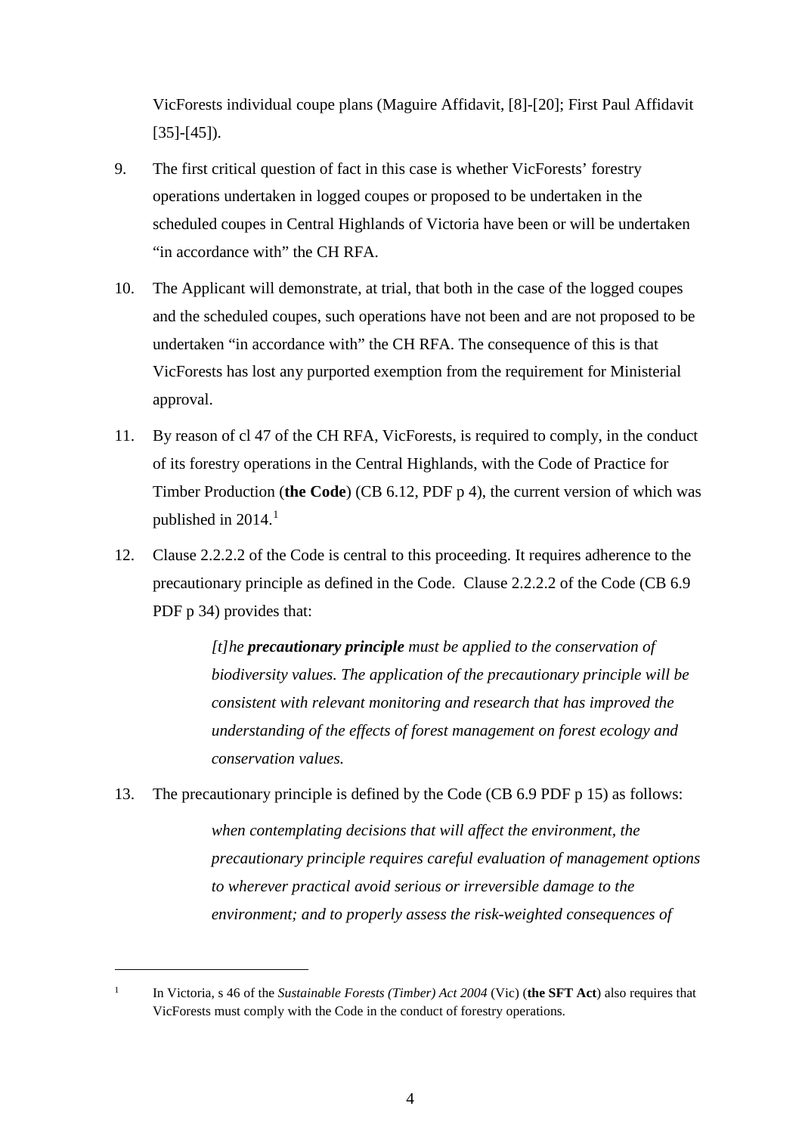VicForests individual coupe plans (Maguire Affidavit, [8]-[20]; First Paul Affidavit  $[35]-[45]$ .

- 9. The first critical question of fact in this case is whether VicForests' forestry operations undertaken in logged coupes or proposed to be undertaken in the scheduled coupes in Central Highlands of Victoria have been or will be undertaken "in accordance with" the CH RFA.
- 10. The Applicant will demonstrate, at trial, that both in the case of the logged coupes and the scheduled coupes, such operations have not been and are not proposed to be undertaken "in accordance with" the CH RFA. The consequence of this is that VicForests has lost any purported exemption from the requirement for Ministerial approval.
- 11. By reason of cl 47 of the CH RFA, VicForests, is required to comply, in the conduct of its forestry operations in the Central Highlands, with the Code of Practice for Timber Production (**the Code**) (CB 6.12, PDF p 4), the current version of which was published in  $2014.<sup>1</sup>$  $2014.<sup>1</sup>$  $2014.<sup>1</sup>$
- 12. Clause 2.2.2.2 of the Code is central to this proceeding. It requires adherence to the precautionary principle as defined in the Code. Clause 2.2.2.2 of the Code (CB 6.9 PDF p 34) provides that:

*[t]he precautionary principle must be applied to the conservation of biodiversity values. The application of the precautionary principle will be consistent with relevant monitoring and research that has improved the understanding of the effects of forest management on forest ecology and conservation values.*

13. The precautionary principle is defined by the Code (CB 6.9 PDF p 15) as follows:

*when contemplating decisions that will affect the environment, the precautionary principle requires careful evaluation of management options to wherever practical avoid serious or irreversible damage to the environment; and to properly assess the risk-weighted consequences of* 

i,

<span id="page-4-0"></span><sup>1</sup> In Victoria, s 46 of the *Sustainable Forests (Timber) Act 2004* (Vic) (**the SFT Act**) also requires that VicForests must comply with the Code in the conduct of forestry operations.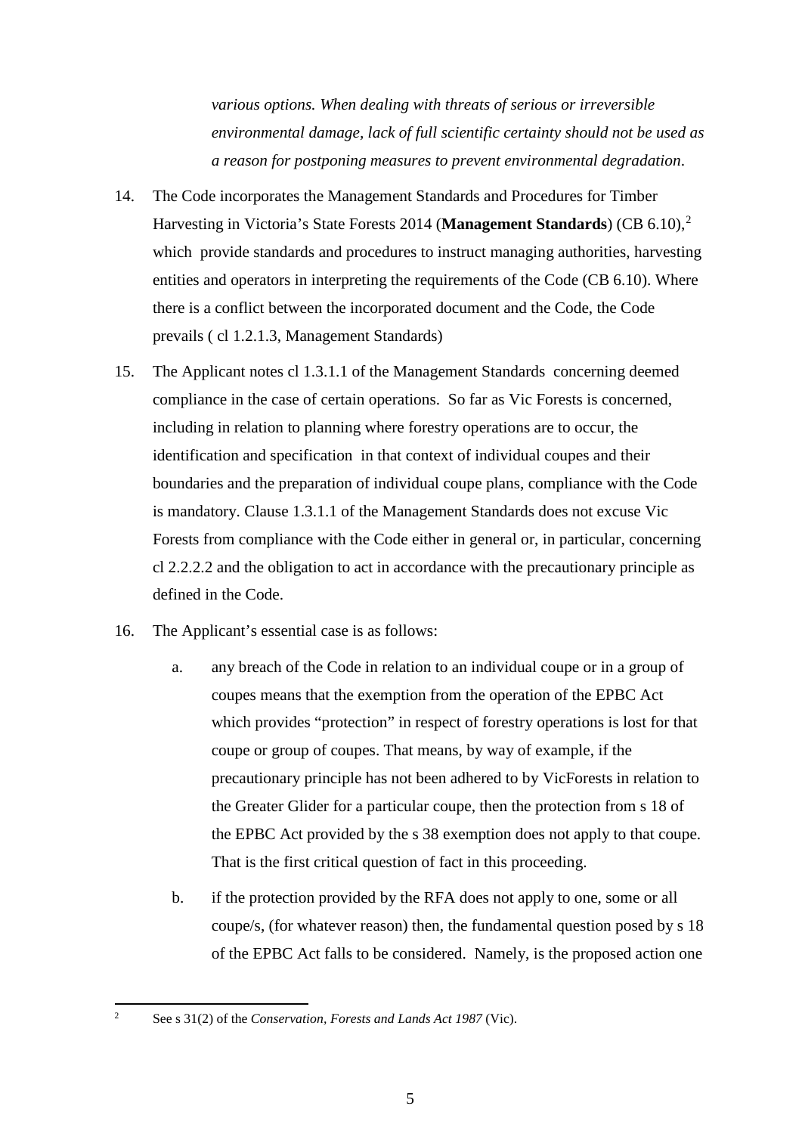*various options. When dealing with threats of serious or irreversible environmental damage, lack of full scientific certainty should not be used as a reason for postponing measures to prevent environmental degradation*.

- 14. The Code incorporates the Management Standards and Procedures for Timber Harvesting in Victoria's State Forests 2014 (**Management Standards**) (CB 6.10), [2](#page-5-0) which provide standards and procedures to instruct managing authorities, harvesting entities and operators in interpreting the requirements of the Code (CB 6.10). Where there is a conflict between the incorporated document and the Code, the Code prevails ( cl 1.2.1.3, Management Standards)
- 15. The Applicant notes cl 1.3.1.1 of the Management Standards concerning deemed compliance in the case of certain operations. So far as Vic Forests is concerned, including in relation to planning where forestry operations are to occur, the identification and specification in that context of individual coupes and their boundaries and the preparation of individual coupe plans, compliance with the Code is mandatory. Clause 1.3.1.1 of the Management Standards does not excuse Vic Forests from compliance with the Code either in general or, in particular, concerning cl 2.2.2.2 and the obligation to act in accordance with the precautionary principle as defined in the Code.
- 16. The Applicant's essential case is as follows:
	- a. any breach of the Code in relation to an individual coupe or in a group of coupes means that the exemption from the operation of the EPBC Act which provides "protection" in respect of forestry operations is lost for that coupe or group of coupes. That means, by way of example, if the precautionary principle has not been adhered to by VicForests in relation to the Greater Glider for a particular coupe, then the protection from s 18 of the EPBC Act provided by the s 38 exemption does not apply to that coupe. That is the first critical question of fact in this proceeding.
	- b. if the protection provided by the RFA does not apply to one, some or all coupe/s, (for whatever reason) then, the fundamental question posed by s 18 of the EPBC Act falls to be considered. Namely, is the proposed action one

<span id="page-5-0"></span><sup>2</sup> See s 31(2) of the *Conservation, Forests and Lands Act 1987* (Vic).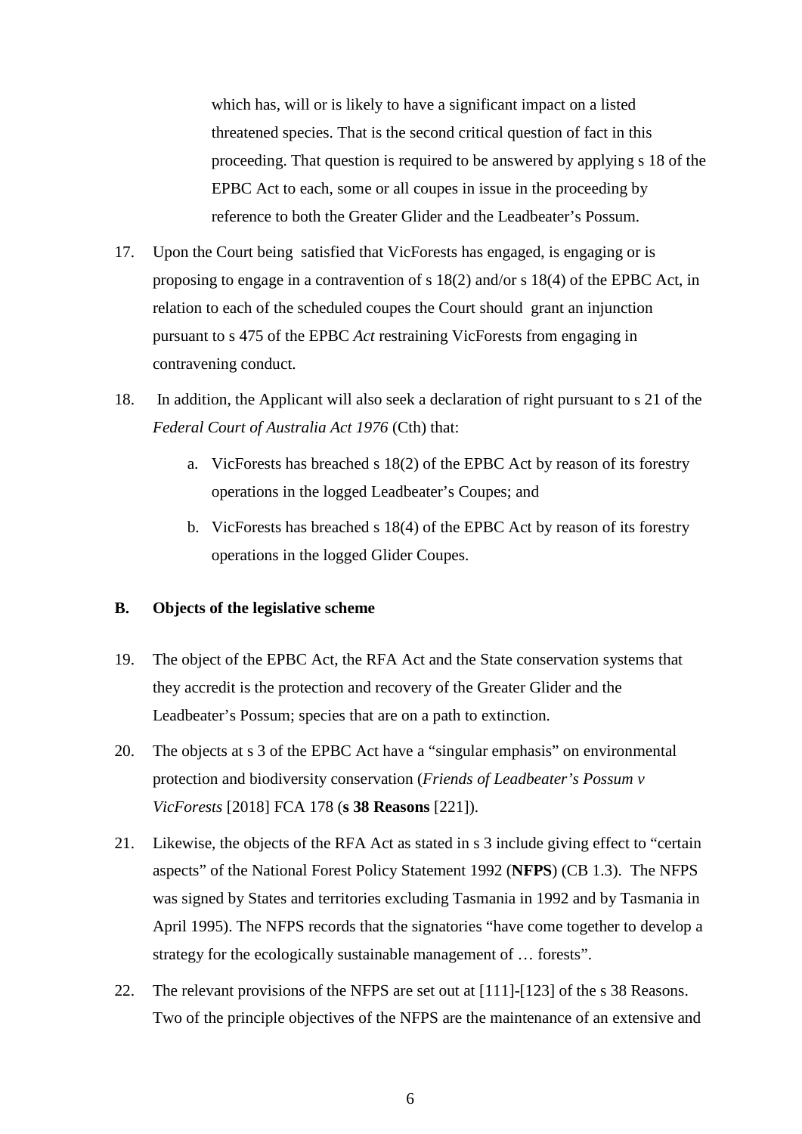which has, will or is likely to have a significant impact on a listed threatened species. That is the second critical question of fact in this proceeding. That question is required to be answered by applying s 18 of the EPBC Act to each, some or all coupes in issue in the proceeding by reference to both the Greater Glider and the Leadbeater's Possum.

- 17. Upon the Court being satisfied that VicForests has engaged, is engaging or is proposing to engage in a contravention of s 18(2) and/or s 18(4) of the EPBC Act, in relation to each of the scheduled coupes the Court should grant an injunction pursuant to s 475 of the EPBC *Act* restraining VicForests from engaging in contravening conduct.
- 18. In addition, the Applicant will also seek a declaration of right pursuant to s 21 of the *Federal Court of Australia Act 1976* (Cth) that:
	- a. VicForests has breached s 18(2) of the EPBC Act by reason of its forestry operations in the logged Leadbeater's Coupes; and
	- b. VicForests has breached s 18(4) of the EPBC Act by reason of its forestry operations in the logged Glider Coupes.

#### **B. Objects of the legislative scheme**

- 19. The object of the EPBC Act, the RFA Act and the State conservation systems that they accredit is the protection and recovery of the Greater Glider and the Leadbeater's Possum; species that are on a path to extinction.
- 20. The objects at s 3 of the EPBC Act have a "singular emphasis" on environmental protection and biodiversity conservation (*Friends of Leadbeater's Possum v VicForests* [2018] FCA 178 (**s 38 Reasons** [221]).
- 21. Likewise, the objects of the RFA Act as stated in s 3 include giving effect to "certain aspects" of the National Forest Policy Statement 1992 (**NFPS**) (CB 1.3). The NFPS was signed by States and territories excluding Tasmania in 1992 and by Tasmania in April 1995). The NFPS records that the signatories "have come together to develop a strategy for the ecologically sustainable management of … forests".
- 22. The relevant provisions of the NFPS are set out at [111]-[123] of the s 38 Reasons. Two of the principle objectives of the NFPS are the maintenance of an extensive and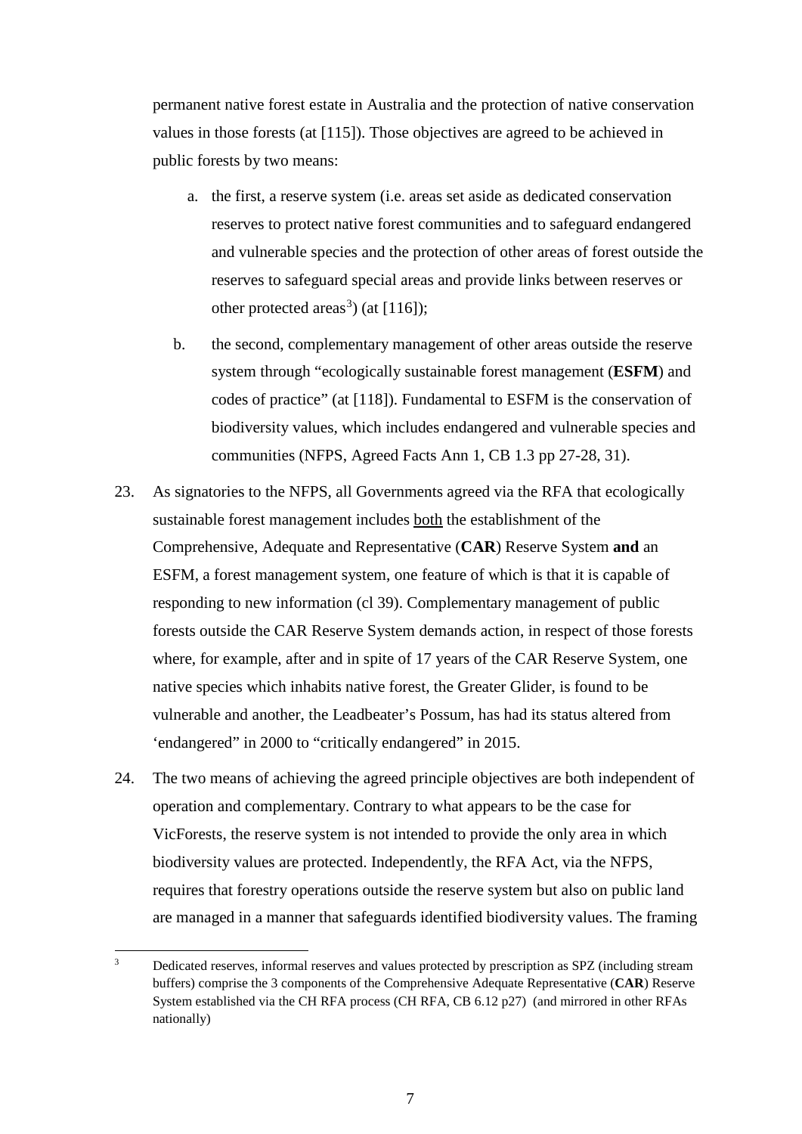permanent native forest estate in Australia and the protection of native conservation values in those forests (at [115]). Those objectives are agreed to be achieved in public forests by two means:

- a. the first, a reserve system (i.e. areas set aside as dedicated conservation reserves to protect native forest communities and to safeguard endangered and vulnerable species and the protection of other areas of forest outside the reserves to safeguard special areas and provide links between reserves or other protected areas<sup>[3](#page-7-0)</sup>) (at  $[116]$ );
- b. the second, complementary management of other areas outside the reserve system through "ecologically sustainable forest management (**ESFM**) and codes of practice" (at [118]). Fundamental to ESFM is the conservation of biodiversity values, which includes endangered and vulnerable species and communities (NFPS, Agreed Facts Ann 1, CB 1.3 pp 27-28, 31).
- 23. As signatories to the NFPS, all Governments agreed via the RFA that ecologically sustainable forest management includes both the establishment of the Comprehensive, Adequate and Representative (**CAR**) Reserve System **and** an ESFM, a forest management system, one feature of which is that it is capable of responding to new information (cl 39). Complementary management of public forests outside the CAR Reserve System demands action, in respect of those forests where, for example, after and in spite of 17 years of the CAR Reserve System, one native species which inhabits native forest, the Greater Glider, is found to be vulnerable and another, the Leadbeater's Possum, has had its status altered from 'endangered" in 2000 to "critically endangered" in 2015.
- 24. The two means of achieving the agreed principle objectives are both independent of operation and complementary. Contrary to what appears to be the case for VicForests, the reserve system is not intended to provide the only area in which biodiversity values are protected. Independently, the RFA Act, via the NFPS, requires that forestry operations outside the reserve system but also on public land are managed in a manner that safeguards identified biodiversity values. The framing

<span id="page-7-0"></span><sup>&</sup>lt;sup>3</sup> Dedicated reserves, informal reserves and values protected by prescription as SPZ (including stream buffers) comprise the 3 components of the Comprehensive Adequate Representative (**CAR**) Reserve System established via the CH RFA process (CH RFA, CB 6.12 p27) (and mirrored in other RFAs nationally)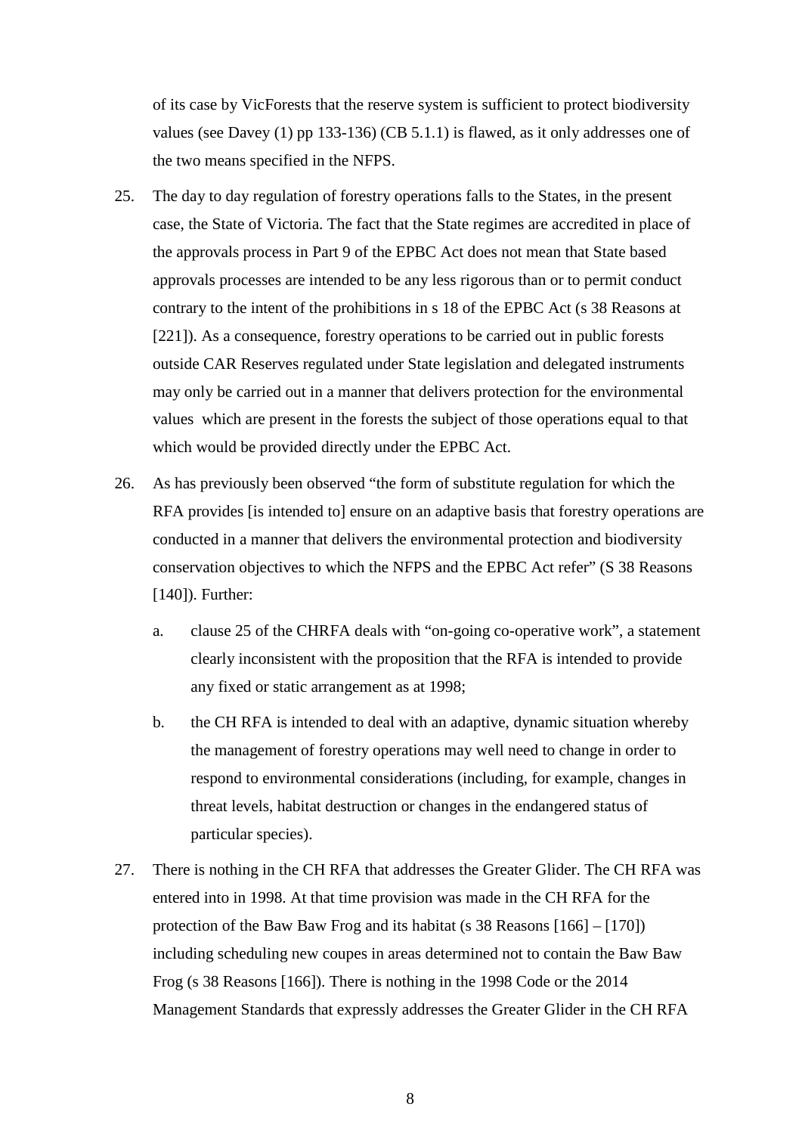of its case by VicForests that the reserve system is sufficient to protect biodiversity values (see Davey (1) pp 133-136) (CB 5.1.1) is flawed, as it only addresses one of the two means specified in the NFPS.

- 25. The day to day regulation of forestry operations falls to the States, in the present case, the State of Victoria. The fact that the State regimes are accredited in place of the approvals process in Part 9 of the EPBC Act does not mean that State based approvals processes are intended to be any less rigorous than or to permit conduct contrary to the intent of the prohibitions in s 18 of the EPBC Act (s 38 Reasons at [221]). As a consequence, forestry operations to be carried out in public forests outside CAR Reserves regulated under State legislation and delegated instruments may only be carried out in a manner that delivers protection for the environmental values which are present in the forests the subject of those operations equal to that which would be provided directly under the EPBC Act.
- 26. As has previously been observed "the form of substitute regulation for which the RFA provides [is intended to] ensure on an adaptive basis that forestry operations are conducted in a manner that delivers the environmental protection and biodiversity conservation objectives to which the NFPS and the EPBC Act refer" (S 38 Reasons [140]). Further:
	- a. clause 25 of the CHRFA deals with "on-going co-operative work", a statement clearly inconsistent with the proposition that the RFA is intended to provide any fixed or static arrangement as at 1998;
	- b. the CH RFA is intended to deal with an adaptive, dynamic situation whereby the management of forestry operations may well need to change in order to respond to environmental considerations (including, for example, changes in threat levels, habitat destruction or changes in the endangered status of particular species).
- 27. There is nothing in the CH RFA that addresses the Greater Glider. The CH RFA was entered into in 1998. At that time provision was made in the CH RFA for the protection of the Baw Baw Frog and its habitat (s 38 Reasons [166] – [170]) including scheduling new coupes in areas determined not to contain the Baw Baw Frog (s 38 Reasons [166]). There is nothing in the 1998 Code or the 2014 Management Standards that expressly addresses the Greater Glider in the CH RFA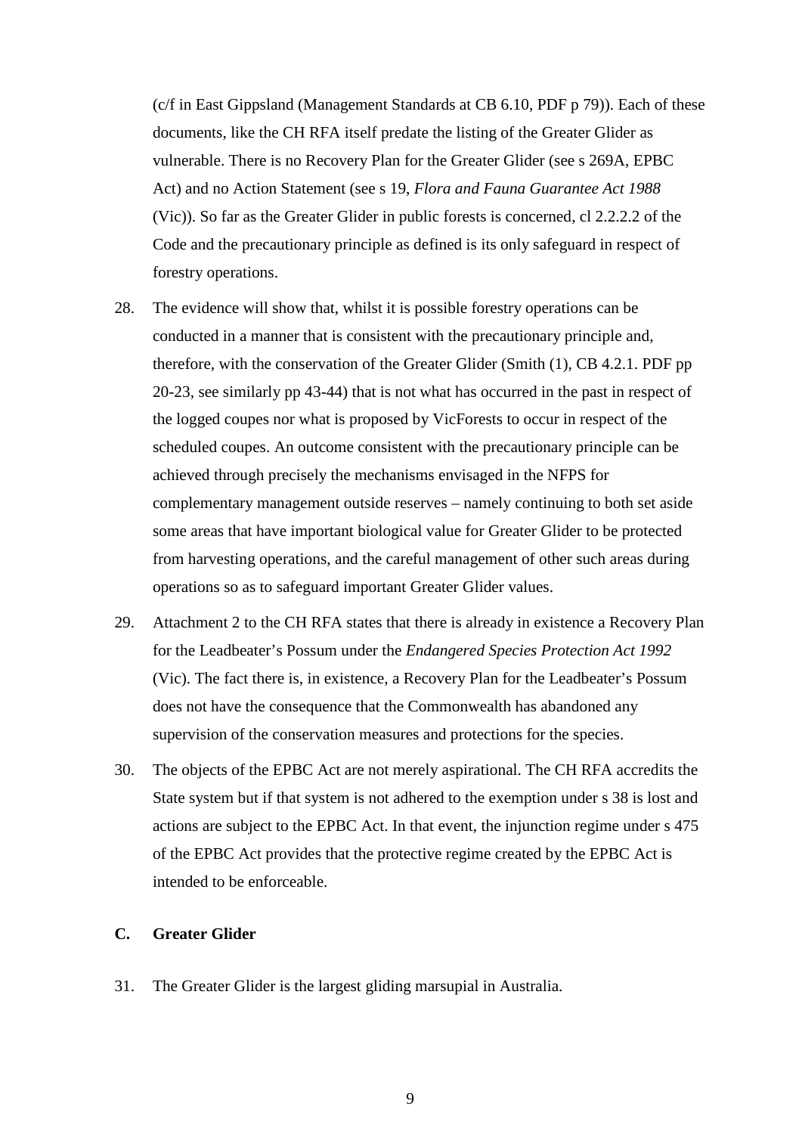(c/f in East Gippsland (Management Standards at CB 6.10, PDF p 79)). Each of these documents, like the CH RFA itself predate the listing of the Greater Glider as vulnerable. There is no Recovery Plan for the Greater Glider (see s 269A, EPBC Act) and no Action Statement (see s 19, *Flora and Fauna Guarantee Act 1988*  (Vic)). So far as the Greater Glider in public forests is concerned, cl 2.2.2.2 of the Code and the precautionary principle as defined is its only safeguard in respect of forestry operations.

- 28. The evidence will show that, whilst it is possible forestry operations can be conducted in a manner that is consistent with the precautionary principle and, therefore, with the conservation of the Greater Glider (Smith (1), CB 4.2.1. PDF pp 20-23, see similarly pp 43-44) that is not what has occurred in the past in respect of the logged coupes nor what is proposed by VicForests to occur in respect of the scheduled coupes. An outcome consistent with the precautionary principle can be achieved through precisely the mechanisms envisaged in the NFPS for complementary management outside reserves – namely continuing to both set aside some areas that have important biological value for Greater Glider to be protected from harvesting operations, and the careful management of other such areas during operations so as to safeguard important Greater Glider values.
- 29. Attachment 2 to the CH RFA states that there is already in existence a Recovery Plan for the Leadbeater's Possum under the *Endangered Species Protection Act 1992* (Vic). The fact there is, in existence, a Recovery Plan for the Leadbeater's Possum does not have the consequence that the Commonwealth has abandoned any supervision of the conservation measures and protections for the species.
- 30. The objects of the EPBC Act are not merely aspirational. The CH RFA accredits the State system but if that system is not adhered to the exemption under s 38 is lost and actions are subject to the EPBC Act. In that event, the injunction regime under s 475 of the EPBC Act provides that the protective regime created by the EPBC Act is intended to be enforceable.

#### **C. Greater Glider**

31. The Greater Glider is the largest gliding marsupial in Australia.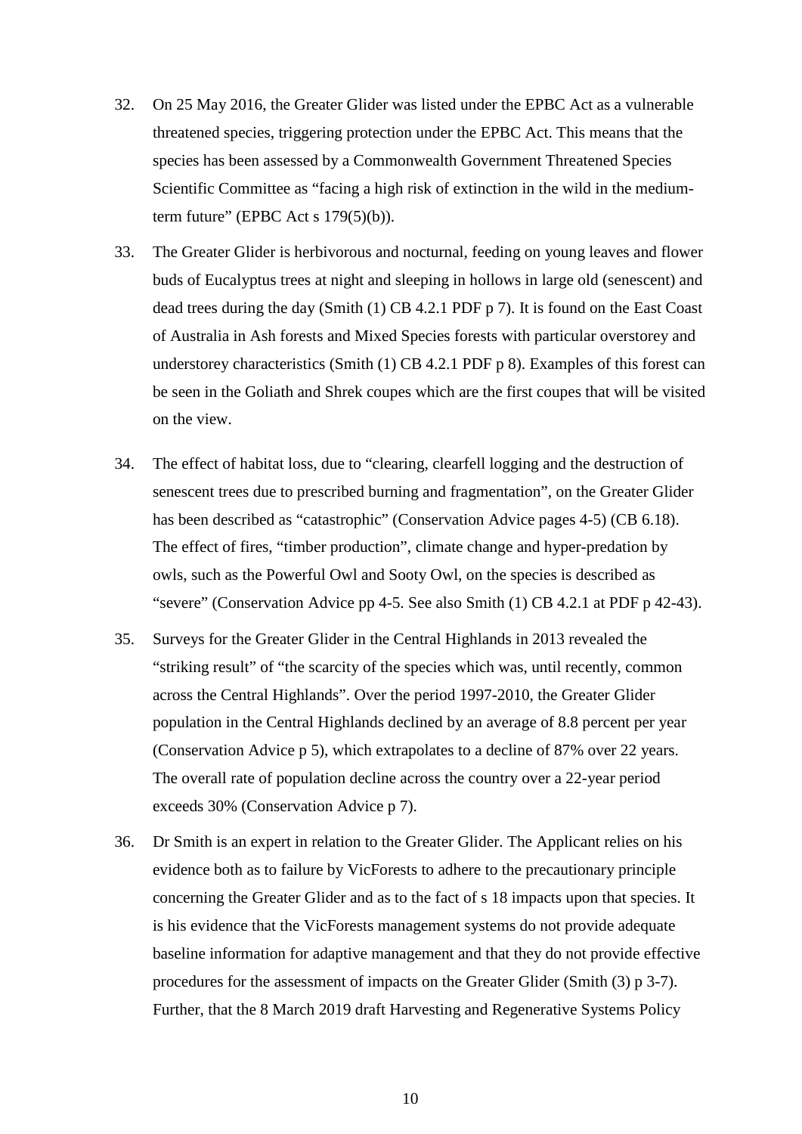- 32. On 25 May 2016, the Greater Glider was listed under the EPBC Act as a vulnerable threatened species, triggering protection under the EPBC Act. This means that the species has been assessed by a Commonwealth Government Threatened Species Scientific Committee as "facing a high risk of extinction in the wild in the mediumterm future" (EPBC Act s  $179(5)(b)$ ).
- 33. The Greater Glider is herbivorous and nocturnal, feeding on young leaves and flower buds of Eucalyptus trees at night and sleeping in hollows in large old (senescent) and dead trees during the day (Smith (1) CB 4.2.1 PDF p 7). It is found on the East Coast of Australia in Ash forests and Mixed Species forests with particular overstorey and understorey characteristics (Smith (1) CB 4.2.1 PDF p 8). Examples of this forest can be seen in the Goliath and Shrek coupes which are the first coupes that will be visited on the view.
- 34. The effect of habitat loss, due to "clearing, clearfell logging and the destruction of senescent trees due to prescribed burning and fragmentation", on the Greater Glider has been described as "catastrophic" (Conservation Advice pages 4-5) (CB 6.18). The effect of fires, "timber production", climate change and hyper-predation by owls, such as the Powerful Owl and Sooty Owl, on the species is described as "severe" (Conservation Advice pp 4-5. See also Smith (1) CB 4.2.1 at PDF p 42-43).
- 35. Surveys for the Greater Glider in the Central Highlands in 2013 revealed the "striking result" of "the scarcity of the species which was, until recently, common across the Central Highlands". Over the period 1997-2010, the Greater Glider population in the Central Highlands declined by an average of 8.8 percent per year (Conservation Advice p 5), which extrapolates to a decline of 87% over 22 years. The overall rate of population decline across the country over a 22-year period exceeds 30% (Conservation Advice p 7).
- 36. Dr Smith is an expert in relation to the Greater Glider. The Applicant relies on his evidence both as to failure by VicForests to adhere to the precautionary principle concerning the Greater Glider and as to the fact of s 18 impacts upon that species. It is his evidence that the VicForests management systems do not provide adequate baseline information for adaptive management and that they do not provide effective procedures for the assessment of impacts on the Greater Glider (Smith (3) p 3-7). Further, that the 8 March 2019 draft Harvesting and Regenerative Systems Policy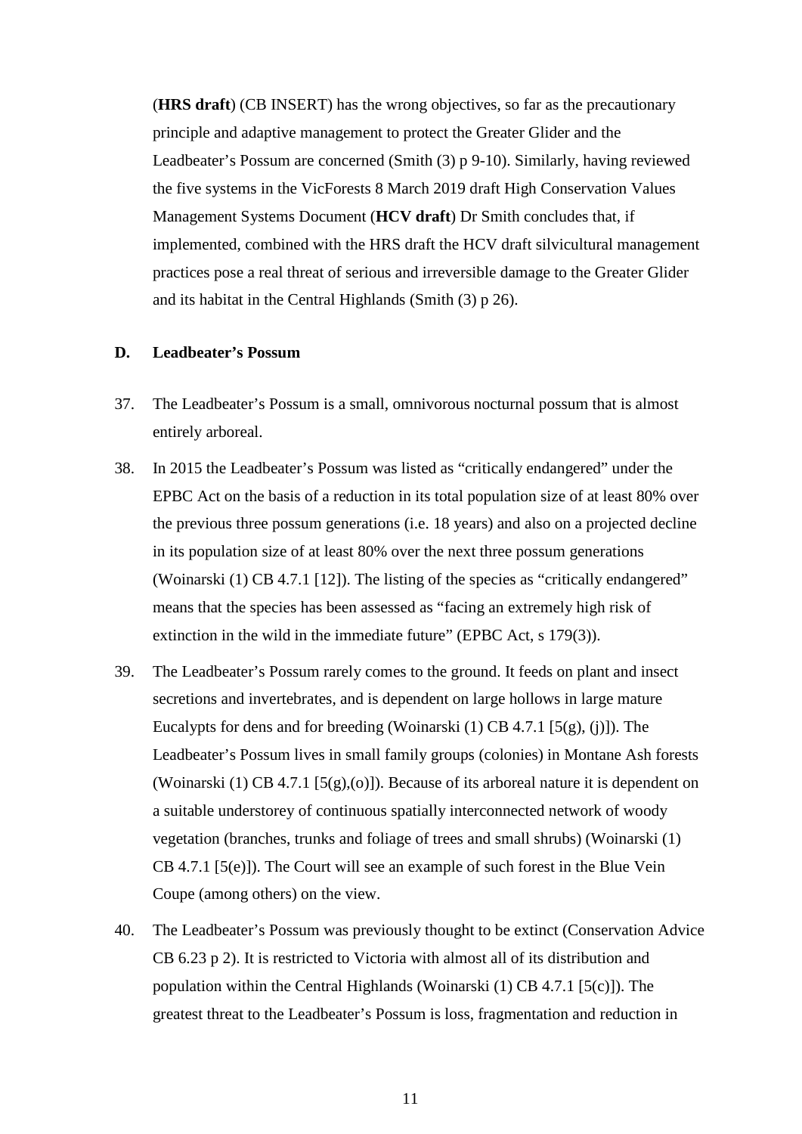(**HRS draft**) (CB INSERT) has the wrong objectives, so far as the precautionary principle and adaptive management to protect the Greater Glider and the Leadbeater's Possum are concerned (Smith (3) p 9-10). Similarly, having reviewed the five systems in the VicForests 8 March 2019 draft High Conservation Values Management Systems Document (**HCV draft**) Dr Smith concludes that, if implemented, combined with the HRS draft the HCV draft silvicultural management practices pose a real threat of serious and irreversible damage to the Greater Glider and its habitat in the Central Highlands (Smith (3) p 26).

#### **D. Leadbeater's Possum**

- 37. The Leadbeater's Possum is a small, omnivorous nocturnal possum that is almost entirely arboreal.
- 38. In 2015 the Leadbeater's Possum was listed as "critically endangered" under the EPBC Act on the basis of a reduction in its total population size of at least 80% over the previous three possum generations (i.e. 18 years) and also on a projected decline in its population size of at least 80% over the next three possum generations (Woinarski (1) CB 4.7.1 [12]). The listing of the species as "critically endangered" means that the species has been assessed as "facing an extremely high risk of extinction in the wild in the immediate future" (EPBC Act, s 179(3)).
- 39. The Leadbeater's Possum rarely comes to the ground. It feeds on plant and insect secretions and invertebrates, and is dependent on large hollows in large mature Eucalypts for dens and for breeding (Woinarski (1) CB 4.7.1 [5(g), (j)]). The Leadbeater's Possum lives in small family groups (colonies) in Montane Ash forests (Woinarski (1) CB 4.7.1 [5(g),(o)]). Because of its arboreal nature it is dependent on a suitable understorey of continuous spatially interconnected network of woody vegetation (branches, trunks and foliage of trees and small shrubs) (Woinarski (1) CB 4.7.1 [5(e)]). The Court will see an example of such forest in the Blue Vein Coupe (among others) on the view.
- 40. The Leadbeater's Possum was previously thought to be extinct (Conservation Advice CB 6.23 p 2). It is restricted to Victoria with almost all of its distribution and population within the Central Highlands (Woinarski  $(1)$  CB 4.7.1 [5(c)]). The greatest threat to the Leadbeater's Possum is loss, fragmentation and reduction in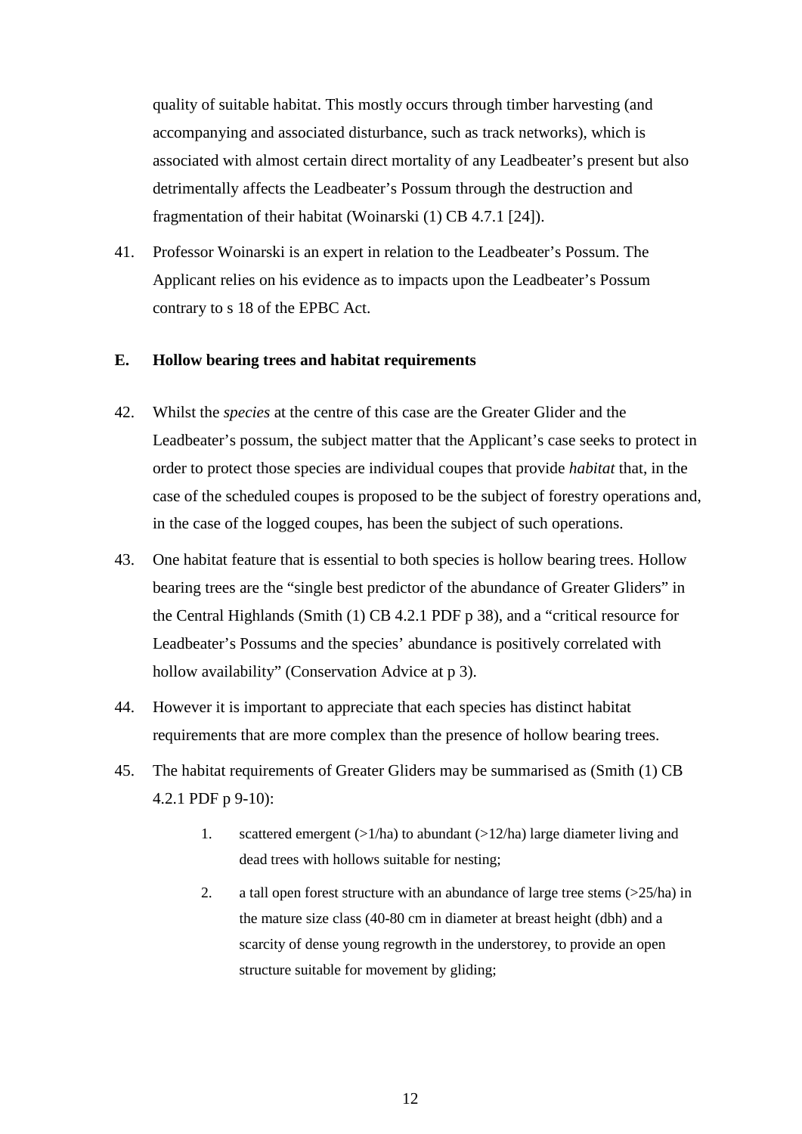quality of suitable habitat. This mostly occurs through timber harvesting (and accompanying and associated disturbance, such as track networks), which is associated with almost certain direct mortality of any Leadbeater's present but also detrimentally affects the Leadbeater's Possum through the destruction and fragmentation of their habitat (Woinarski (1) CB 4.7.1 [24]).

41. Professor Woinarski is an expert in relation to the Leadbeater's Possum. The Applicant relies on his evidence as to impacts upon the Leadbeater's Possum contrary to s 18 of the EPBC Act.

#### **E. Hollow bearing trees and habitat requirements**

- 42. Whilst the *species* at the centre of this case are the Greater Glider and the Leadbeater's possum, the subject matter that the Applicant's case seeks to protect in order to protect those species are individual coupes that provide *habitat* that, in the case of the scheduled coupes is proposed to be the subject of forestry operations and, in the case of the logged coupes, has been the subject of such operations.
- 43. One habitat feature that is essential to both species is hollow bearing trees. Hollow bearing trees are the "single best predictor of the abundance of Greater Gliders" in the Central Highlands (Smith (1) CB 4.2.1 PDF p 38), and a "critical resource for Leadbeater's Possums and the species' abundance is positively correlated with hollow availability" (Conservation Advice at p 3).
- 44. However it is important to appreciate that each species has distinct habitat requirements that are more complex than the presence of hollow bearing trees.
- 45. The habitat requirements of Greater Gliders may be summarised as (Smith (1) CB 4.2.1 PDF p 9-10):
	- 1. scattered emergent  $(>1/ha)$  to abundant  $(>12/ha)$  large diameter living and dead trees with hollows suitable for nesting;
	- 2. a tall open forest structure with an abundance of large tree stems (>25/ha) in the mature size class (40-80 cm in diameter at breast height (dbh) and a scarcity of dense young regrowth in the understorey, to provide an open structure suitable for movement by gliding;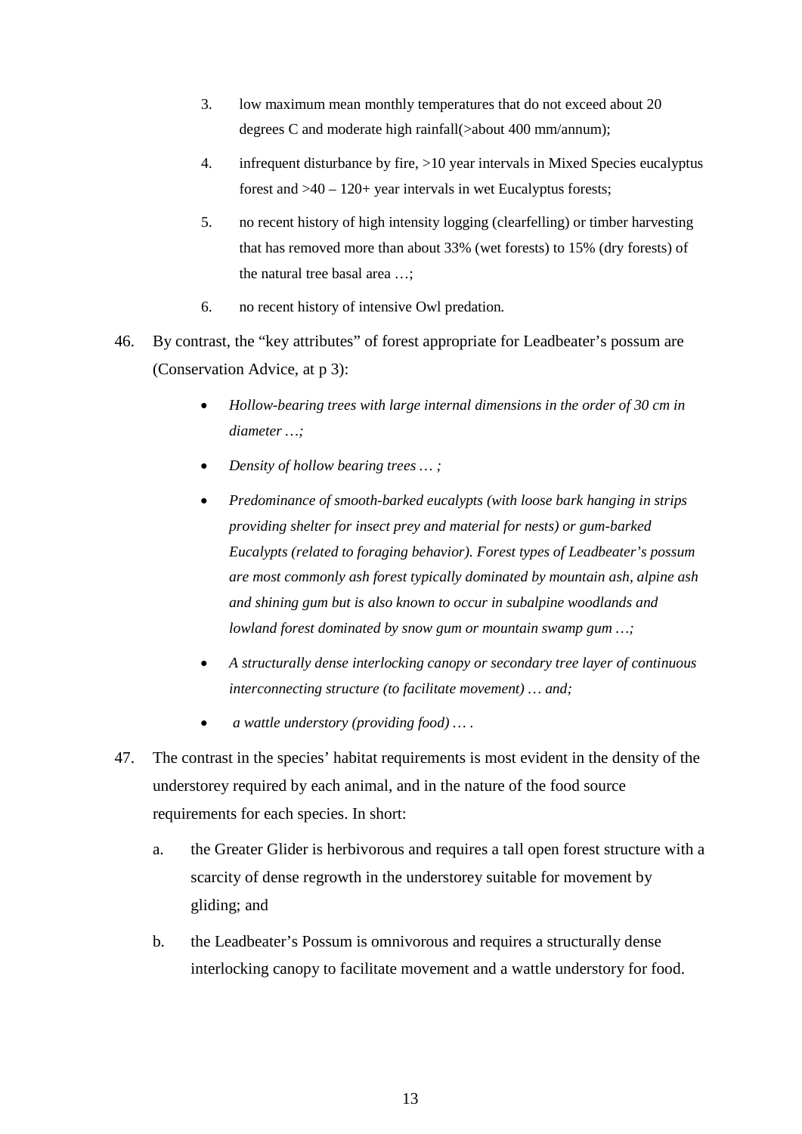- 3. low maximum mean monthly temperatures that do not exceed about 20 degrees C and moderate high rainfall(>about 400 mm/annum);
- 4. infrequent disturbance by fire, >10 year intervals in Mixed Species eucalyptus forest and >40 – 120+ year intervals in wet Eucalyptus forests;
- 5. no recent history of high intensity logging (clearfelling) or timber harvesting that has removed more than about 33% (wet forests) to 15% (dry forests) of the natural tree basal area …;
- 6. no recent history of intensive Owl predation*.*
- 46. By contrast, the "key attributes" of forest appropriate for Leadbeater's possum are (Conservation Advice, at p 3):
	- *Hollow-bearing trees with large internal dimensions in the order of 30 cm in diameter …;*
	- *Density of hollow bearing trees … ;*
	- *Predominance of smooth-barked eucalypts (with loose bark hanging in strips providing shelter for insect prey and material for nests) or gum-barked Eucalypts (related to foraging behavior). Forest types of Leadbeater's possum are most commonly ash forest typically dominated by mountain ash, alpine ash and shining gum but is also known to occur in subalpine woodlands and lowland forest dominated by snow gum or mountain swamp gum …;*
	- *A structurally dense interlocking canopy or secondary tree layer of continuous interconnecting structure (to facilitate movement) … and;*
	- *a wattle understory (providing food) … .*
- 47. The contrast in the species' habitat requirements is most evident in the density of the understorey required by each animal, and in the nature of the food source requirements for each species. In short:
	- a. the Greater Glider is herbivorous and requires a tall open forest structure with a scarcity of dense regrowth in the understorey suitable for movement by gliding; and
	- b. the Leadbeater's Possum is omnivorous and requires a structurally dense interlocking canopy to facilitate movement and a wattle understory for food.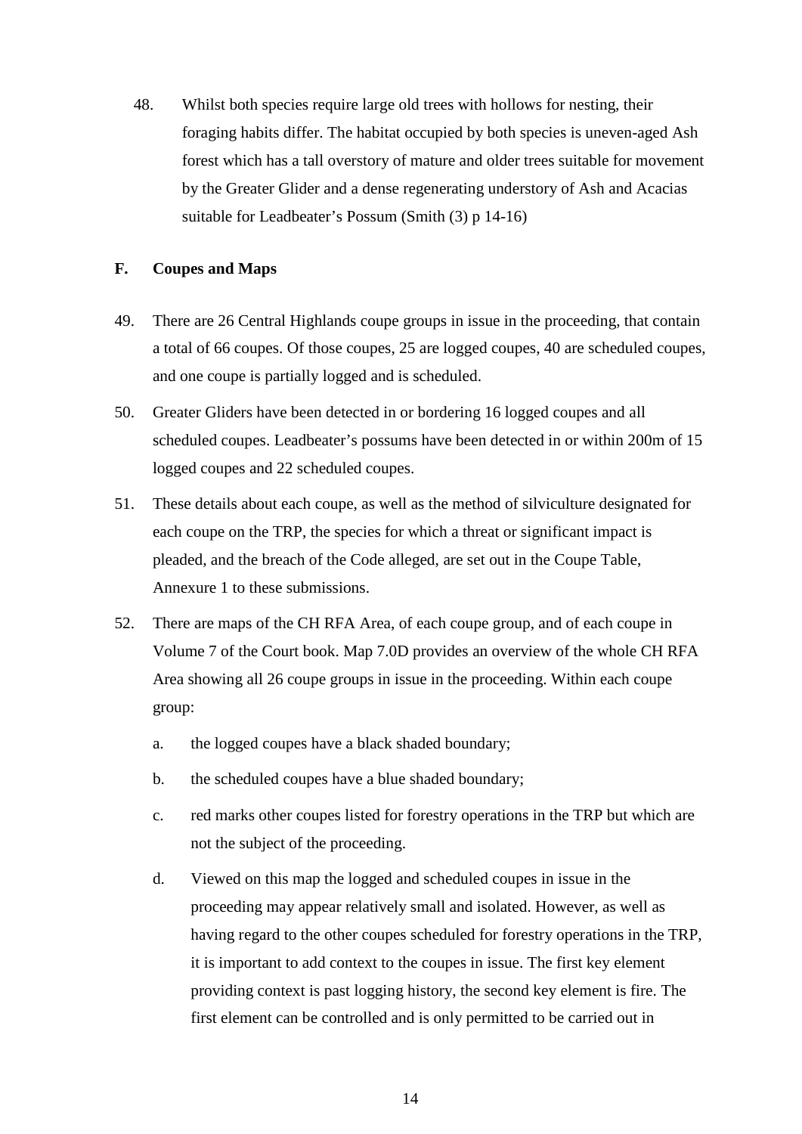48. Whilst both species require large old trees with hollows for nesting, their foraging habits differ. The habitat occupied by both species is uneven-aged Ash forest which has a tall overstory of mature and older trees suitable for movement by the Greater Glider and a dense regenerating understory of Ash and Acacias suitable for Leadbeater's Possum (Smith (3) p 14-16)

## **F. Coupes and Maps**

- 49. There are 26 Central Highlands coupe groups in issue in the proceeding, that contain a total of 66 coupes. Of those coupes, 25 are logged coupes, 40 are scheduled coupes, and one coupe is partially logged and is scheduled.
- 50. Greater Gliders have been detected in or bordering 16 logged coupes and all scheduled coupes. Leadbeater's possums have been detected in or within 200m of 15 logged coupes and 22 scheduled coupes.
- 51. These details about each coupe, as well as the method of silviculture designated for each coupe on the TRP, the species for which a threat or significant impact is pleaded, and the breach of the Code alleged, are set out in the Coupe Table, Annexure 1 to these submissions.
- 52. There are maps of the CH RFA Area, of each coupe group, and of each coupe in Volume 7 of the Court book. Map 7.0D provides an overview of the whole CH RFA Area showing all 26 coupe groups in issue in the proceeding. Within each coupe group:
	- a. the logged coupes have a black shaded boundary;
	- b. the scheduled coupes have a blue shaded boundary;
	- c. red marks other coupes listed for forestry operations in the TRP but which are not the subject of the proceeding.
	- d. Viewed on this map the logged and scheduled coupes in issue in the proceeding may appear relatively small and isolated. However, as well as having regard to the other coupes scheduled for forestry operations in the TRP, it is important to add context to the coupes in issue. The first key element providing context is past logging history, the second key element is fire. The first element can be controlled and is only permitted to be carried out in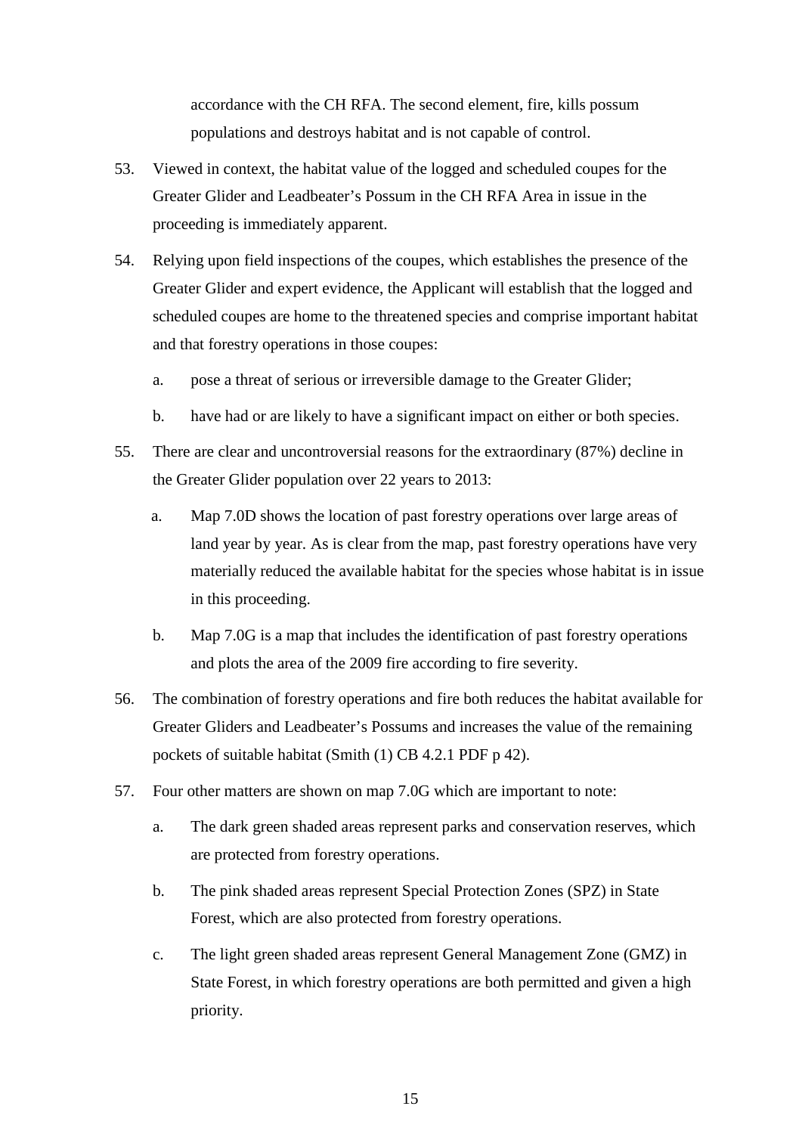accordance with the CH RFA. The second element, fire, kills possum populations and destroys habitat and is not capable of control.

- 53. Viewed in context, the habitat value of the logged and scheduled coupes for the Greater Glider and Leadbeater's Possum in the CH RFA Area in issue in the proceeding is immediately apparent.
- 54. Relying upon field inspections of the coupes, which establishes the presence of the Greater Glider and expert evidence, the Applicant will establish that the logged and scheduled coupes are home to the threatened species and comprise important habitat and that forestry operations in those coupes:
	- a. pose a threat of serious or irreversible damage to the Greater Glider;
	- b. have had or are likely to have a significant impact on either or both species.
- 55. There are clear and uncontroversial reasons for the extraordinary (87%) decline in the Greater Glider population over 22 years to 2013:
	- a. Map 7.0D shows the location of past forestry operations over large areas of land year by year. As is clear from the map, past forestry operations have very materially reduced the available habitat for the species whose habitat is in issue in this proceeding.
	- b. Map 7.0G is a map that includes the identification of past forestry operations and plots the area of the 2009 fire according to fire severity.
- 56. The combination of forestry operations and fire both reduces the habitat available for Greater Gliders and Leadbeater's Possums and increases the value of the remaining pockets of suitable habitat (Smith (1) CB 4.2.1 PDF p 42).
- 57. Four other matters are shown on map 7.0G which are important to note:
	- a. The dark green shaded areas represent parks and conservation reserves, which are protected from forestry operations.
	- b. The pink shaded areas represent Special Protection Zones (SPZ) in State Forest, which are also protected from forestry operations.
	- c. The light green shaded areas represent General Management Zone (GMZ) in State Forest, in which forestry operations are both permitted and given a high priority.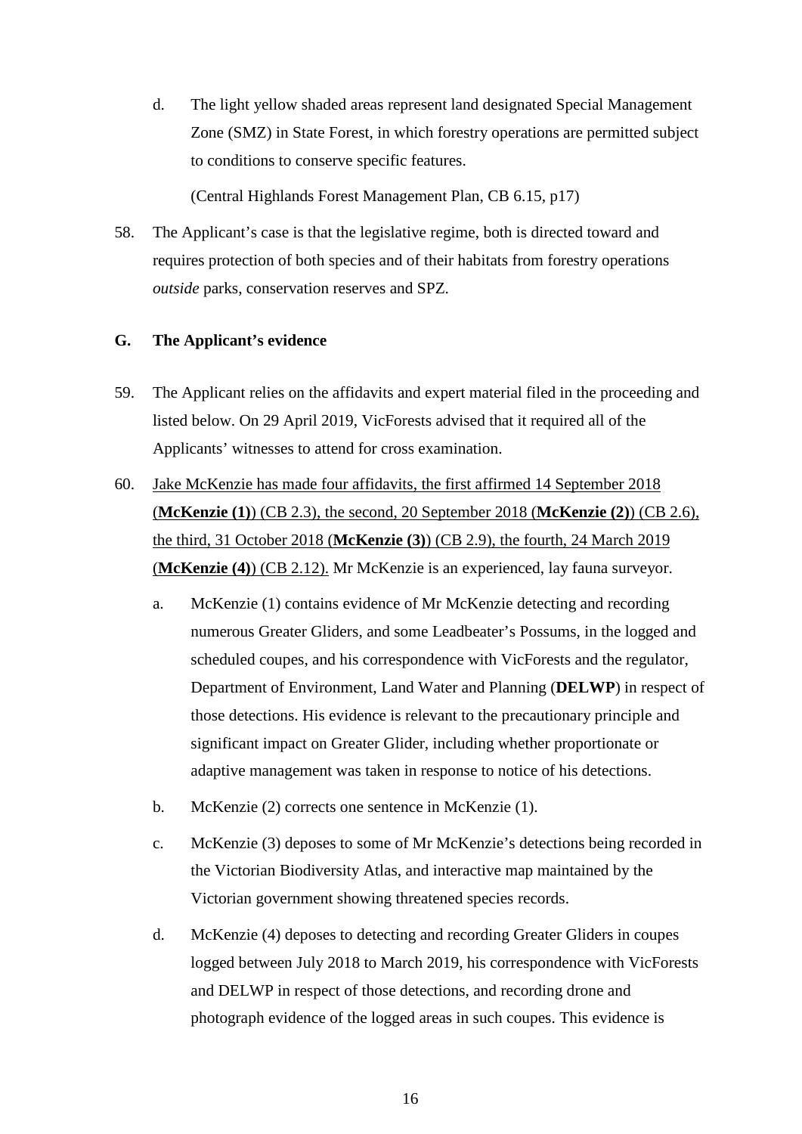d. The light yellow shaded areas represent land designated Special Management Zone (SMZ) in State Forest, in which forestry operations are permitted subject to conditions to conserve specific features.

(Central Highlands Forest Management Plan, CB 6.15, p17)

58. The Applicant's case is that the legislative regime, both is directed toward and requires protection of both species and of their habitats from forestry operations *outside* parks, conservation reserves and SPZ.

# **G. The Applicant's evidence**

- 59. The Applicant relies on the affidavits and expert material filed in the proceeding and listed below. On 29 April 2019, VicForests advised that it required all of the Applicants' witnesses to attend for cross examination.
- 60. Jake McKenzie has made four affidavits, the first affirmed 14 September 2018 (**McKenzie (1)**) (CB 2.3), the second, 20 September 2018 (**McKenzie (2)**) (CB 2.6), the third, 31 October 2018 (**McKenzie (3)**) (CB 2.9), the fourth, 24 March 2019 (**McKenzie (4)**) (CB 2.12). Mr McKenzie is an experienced, lay fauna surveyor.
	- a. McKenzie (1) contains evidence of Mr McKenzie detecting and recording numerous Greater Gliders, and some Leadbeater's Possums, in the logged and scheduled coupes, and his correspondence with VicForests and the regulator, Department of Environment, Land Water and Planning (**DELWP**) in respect of those detections. His evidence is relevant to the precautionary principle and significant impact on Greater Glider, including whether proportionate or adaptive management was taken in response to notice of his detections.
	- b. McKenzie (2) corrects one sentence in McKenzie (1).
	- c. McKenzie (3) deposes to some of Mr McKenzie's detections being recorded in the Victorian Biodiversity Atlas, and interactive map maintained by the Victorian government showing threatened species records.
	- d. McKenzie (4) deposes to detecting and recording Greater Gliders in coupes logged between July 2018 to March 2019, his correspondence with VicForests and DELWP in respect of those detections, and recording drone and photograph evidence of the logged areas in such coupes. This evidence is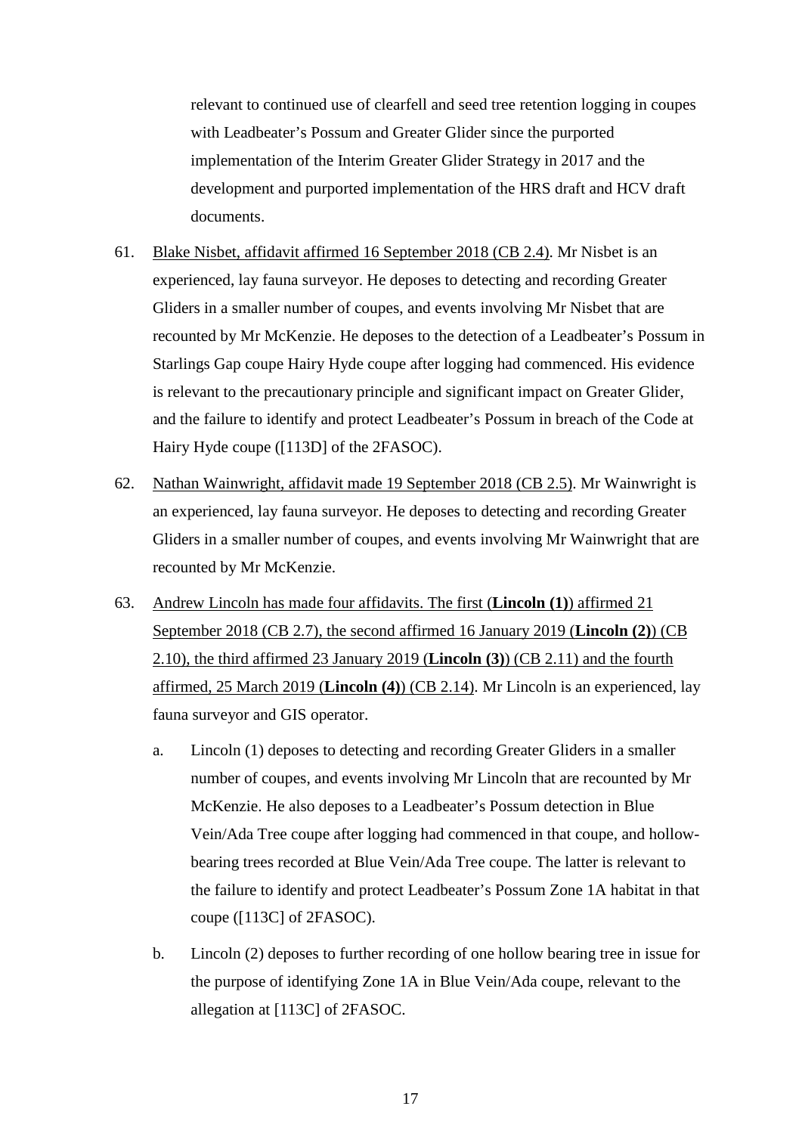relevant to continued use of clearfell and seed tree retention logging in coupes with Leadbeater's Possum and Greater Glider since the purported implementation of the Interim Greater Glider Strategy in 2017 and the development and purported implementation of the HRS draft and HCV draft documents.

- 61. Blake Nisbet, affidavit affirmed 16 September 2018 (CB 2.4). Mr Nisbet is an experienced, lay fauna surveyor. He deposes to detecting and recording Greater Gliders in a smaller number of coupes, and events involving Mr Nisbet that are recounted by Mr McKenzie. He deposes to the detection of a Leadbeater's Possum in Starlings Gap coupe Hairy Hyde coupe after logging had commenced. His evidence is relevant to the precautionary principle and significant impact on Greater Glider, and the failure to identify and protect Leadbeater's Possum in breach of the Code at Hairy Hyde coupe ([113D] of the 2FASOC).
- 62. Nathan Wainwright, affidavit made 19 September 2018 (CB 2.5). Mr Wainwright is an experienced, lay fauna surveyor. He deposes to detecting and recording Greater Gliders in a smaller number of coupes, and events involving Mr Wainwright that are recounted by Mr McKenzie.
- 63. Andrew Lincoln has made four affidavits. The first (**Lincoln (1)**) affirmed 21 September 2018 (CB 2.7), the second affirmed 16 January 2019 (**Lincoln (2)**) (CB 2.10), the third affirmed 23 January 2019 (**Lincoln (3)**) (CB 2.11) and the fourth affirmed, 25 March 2019 (**Lincoln (4)**) (CB 2.14). Mr Lincoln is an experienced, lay fauna surveyor and GIS operator.
	- a. Lincoln (1) deposes to detecting and recording Greater Gliders in a smaller number of coupes, and events involving Mr Lincoln that are recounted by Mr McKenzie. He also deposes to a Leadbeater's Possum detection in Blue Vein/Ada Tree coupe after logging had commenced in that coupe, and hollowbearing trees recorded at Blue Vein/Ada Tree coupe. The latter is relevant to the failure to identify and protect Leadbeater's Possum Zone 1A habitat in that coupe ([113C] of 2FASOC).
	- b. Lincoln (2) deposes to further recording of one hollow bearing tree in issue for the purpose of identifying Zone 1A in Blue Vein/Ada coupe, relevant to the allegation at [113C] of 2FASOC.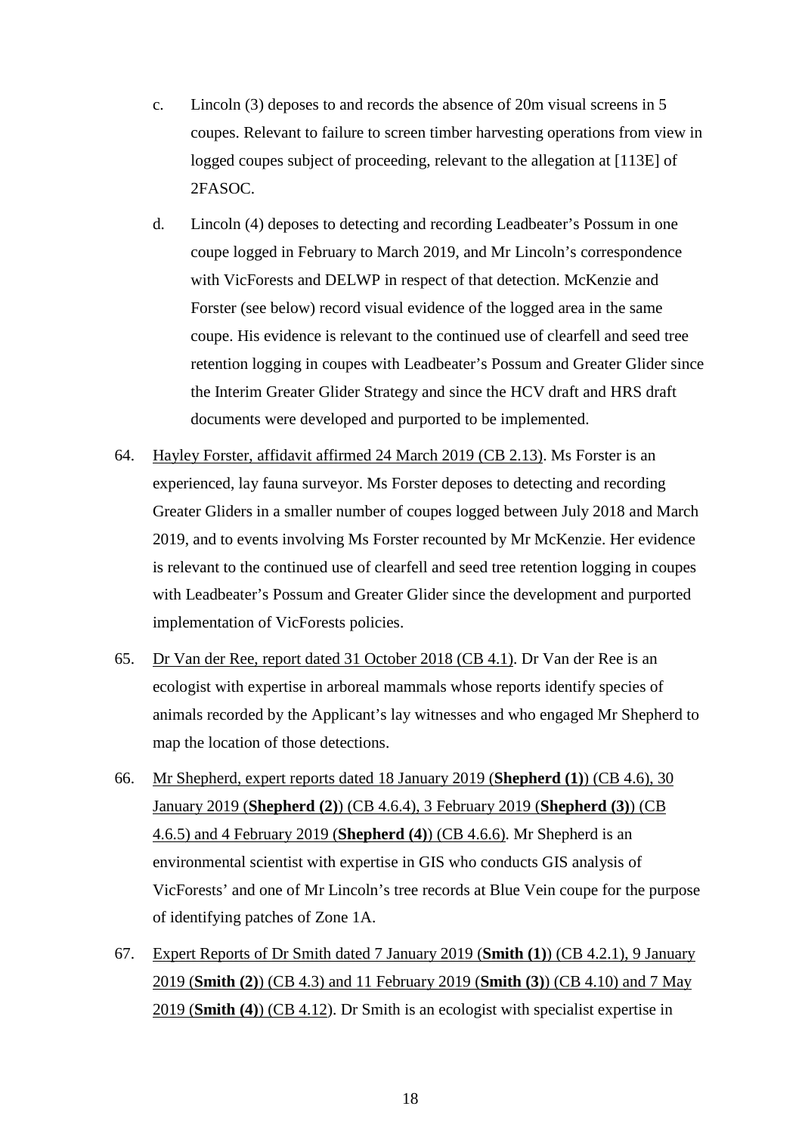- c. Lincoln (3) deposes to and records the absence of 20m visual screens in 5 coupes. Relevant to failure to screen timber harvesting operations from view in logged coupes subject of proceeding, relevant to the allegation at [113E] of 2FASOC.
- d. Lincoln (4) deposes to detecting and recording Leadbeater's Possum in one coupe logged in February to March 2019, and Mr Lincoln's correspondence with VicForests and DELWP in respect of that detection. McKenzie and Forster (see below) record visual evidence of the logged area in the same coupe. His evidence is relevant to the continued use of clearfell and seed tree retention logging in coupes with Leadbeater's Possum and Greater Glider since the Interim Greater Glider Strategy and since the HCV draft and HRS draft documents were developed and purported to be implemented.
- 64. Hayley Forster, affidavit affirmed 24 March 2019 (CB 2.13). Ms Forster is an experienced, lay fauna surveyor. Ms Forster deposes to detecting and recording Greater Gliders in a smaller number of coupes logged between July 2018 and March 2019, and to events involving Ms Forster recounted by Mr McKenzie. Her evidence is relevant to the continued use of clearfell and seed tree retention logging in coupes with Leadbeater's Possum and Greater Glider since the development and purported implementation of VicForests policies.
- 65. Dr Van der Ree, report dated 31 October 2018 (CB 4.1). Dr Van der Ree is an ecologist with expertise in arboreal mammals whose reports identify species of animals recorded by the Applicant's lay witnesses and who engaged Mr Shepherd to map the location of those detections.
- 66. Mr Shepherd, expert reports dated 18 January 2019 (**Shepherd (1)**) (CB 4.6), 30 January 2019 (**Shepherd (2)**) (CB 4.6.4), 3 February 2019 (**Shepherd (3)**) (CB 4.6.5) and 4 February 2019 (**Shepherd (4)**) (CB 4.6.6). Mr Shepherd is an environmental scientist with expertise in GIS who conducts GIS analysis of VicForests' and one of Mr Lincoln's tree records at Blue Vein coupe for the purpose of identifying patches of Zone 1A.
- 67. Expert Reports of Dr Smith dated 7 January 2019 (**Smith (1)**) (CB 4.2.1), 9 January 2019 (**Smith (2)**) (CB 4.3) and 11 February 2019 (**Smith (3)**) (CB 4.10) and 7 May 2019 (**Smith (4)**) (CB 4.12). Dr Smith is an ecologist with specialist expertise in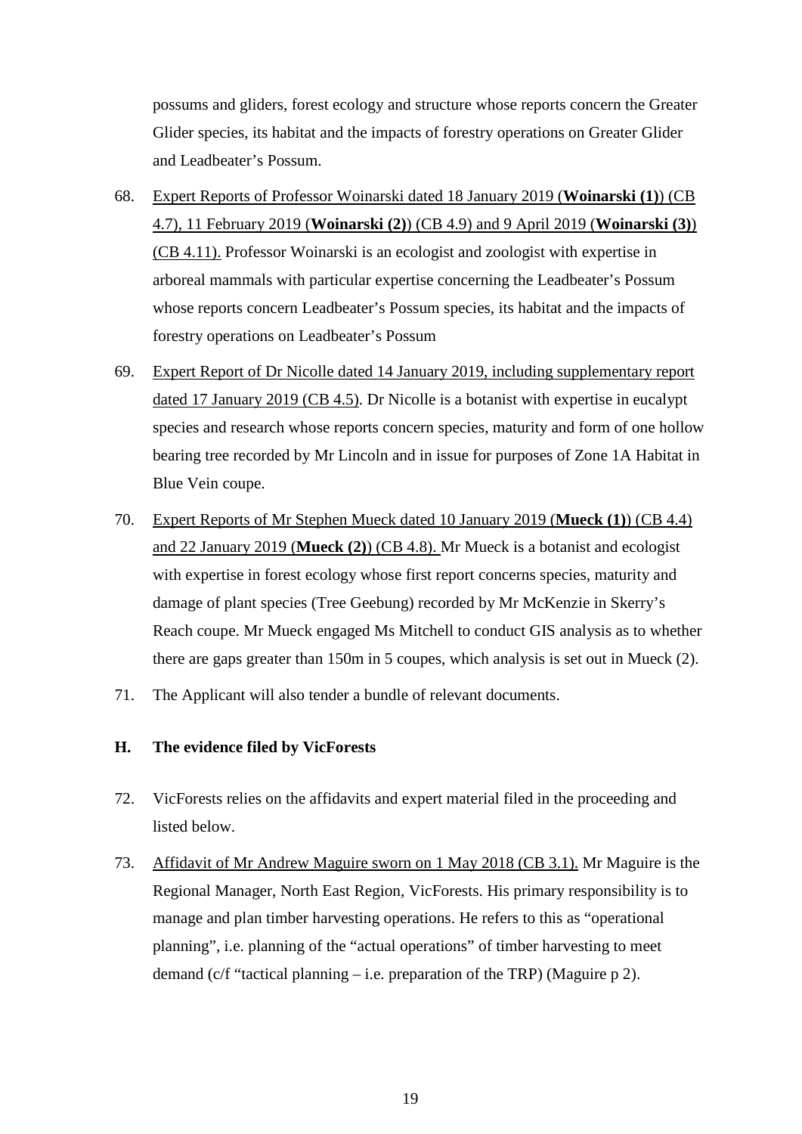possums and gliders, forest ecology and structure whose reports concern the Greater Glider species, its habitat and the impacts of forestry operations on Greater Glider and Leadbeater's Possum.

- 68. Expert Reports of Professor Woinarski dated 18 January 2019 (**Woinarski (1)**) (CB 4.7), 11 February 2019 (**Woinarski (2)**) (CB 4.9) and 9 April 2019 (**Woinarski (3)**) (CB 4.11). Professor Woinarski is an ecologist and zoologist with expertise in arboreal mammals with particular expertise concerning the Leadbeater's Possum whose reports concern Leadbeater's Possum species, its habitat and the impacts of forestry operations on Leadbeater's Possum
- 69. Expert Report of Dr Nicolle dated 14 January 2019, including supplementary report dated 17 January 2019 (CB 4.5). Dr Nicolle is a botanist with expertise in eucalypt species and research whose reports concern species, maturity and form of one hollow bearing tree recorded by Mr Lincoln and in issue for purposes of Zone 1A Habitat in Blue Vein coupe.
- 70. Expert Reports of Mr Stephen Mueck dated 10 January 2019 (**Mueck (1)**) (CB 4.4) and 22 January 2019 (**Mueck (2)**) (CB 4.8). Mr Mueck is a botanist and ecologist with expertise in forest ecology whose first report concerns species, maturity and damage of plant species (Tree Geebung) recorded by Mr McKenzie in Skerry's Reach coupe. Mr Mueck engaged Ms Mitchell to conduct GIS analysis as to whether there are gaps greater than 150m in 5 coupes, which analysis is set out in Mueck (2).
- 71. The Applicant will also tender a bundle of relevant documents.

# **H. The evidence filed by VicForests**

- 72. VicForests relies on the affidavits and expert material filed in the proceeding and listed below.
- 73. Affidavit of Mr Andrew Maguire sworn on 1 May 2018 (CB 3.1). Mr Maguire is the Regional Manager, North East Region, VicForests. His primary responsibility is to manage and plan timber harvesting operations. He refers to this as "operational planning", i.e. planning of the "actual operations" of timber harvesting to meet demand (c/f "tactical planning – i.e. preparation of the TRP) (Maguire p 2).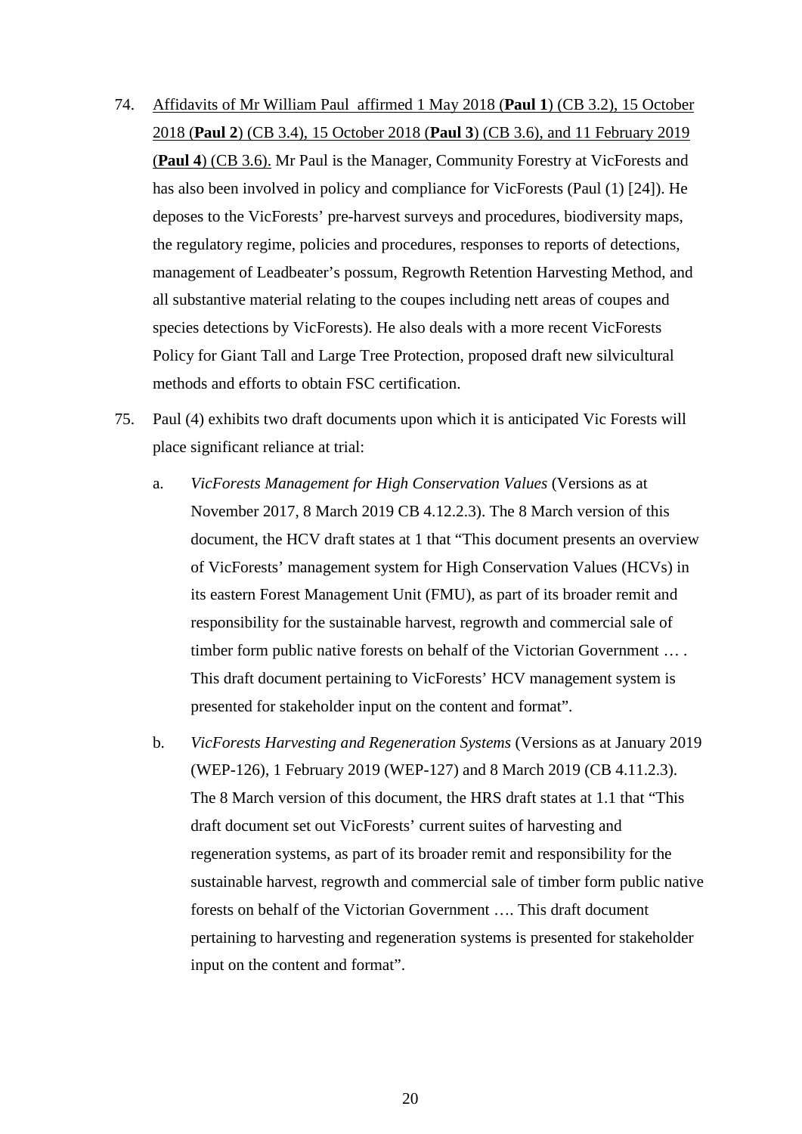- 74. Affidavits of Mr William Paul affirmed 1 May 2018 (**Paul 1**) (CB 3.2), 15 October 2018 (**Paul 2**) (CB 3.4), 15 October 2018 (**Paul 3**) (CB 3.6), and 11 February 2019 (**Paul 4**) (CB 3.6). Mr Paul is the Manager, Community Forestry at VicForests and has also been involved in policy and compliance for VicForests (Paul (1) [24]). He deposes to the VicForests' pre-harvest surveys and procedures, biodiversity maps, the regulatory regime, policies and procedures, responses to reports of detections, management of Leadbeater's possum, Regrowth Retention Harvesting Method, and all substantive material relating to the coupes including nett areas of coupes and species detections by VicForests). He also deals with a more recent VicForests Policy for Giant Tall and Large Tree Protection, proposed draft new silvicultural methods and efforts to obtain FSC certification.
- 75. Paul (4) exhibits two draft documents upon which it is anticipated Vic Forests will place significant reliance at trial:
	- a. *VicForests Management for High Conservation Values* (Versions as at November 2017, 8 March 2019 CB 4.12.2.3). The 8 March version of this document, the HCV draft states at 1 that "This document presents an overview of VicForests' management system for High Conservation Values (HCVs) in its eastern Forest Management Unit (FMU), as part of its broader remit and responsibility for the sustainable harvest, regrowth and commercial sale of timber form public native forests on behalf of the Victorian Government … . This draft document pertaining to VicForests' HCV management system is presented for stakeholder input on the content and format".
	- b. *VicForests Harvesting and Regeneration Systems* (Versions as at January 2019 (WEP-126), 1 February 2019 (WEP-127) and 8 March 2019 (CB 4.11.2.3). The 8 March version of this document, the HRS draft states at 1.1 that "This draft document set out VicForests' current suites of harvesting and regeneration systems, as part of its broader remit and responsibility for the sustainable harvest, regrowth and commercial sale of timber form public native forests on behalf of the Victorian Government …. This draft document pertaining to harvesting and regeneration systems is presented for stakeholder input on the content and format".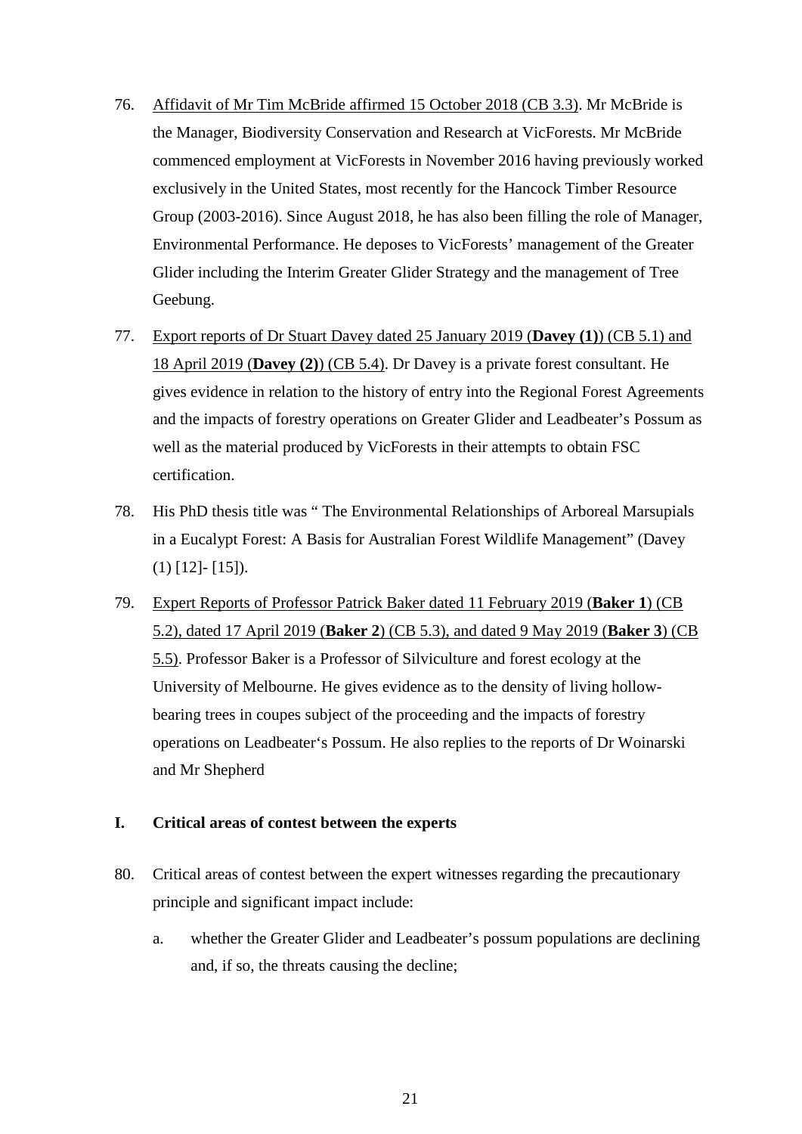- 76. Affidavit of Mr Tim McBride affirmed 15 October 2018 (CB 3.3). Mr McBride is the Manager, Biodiversity Conservation and Research at VicForests. Mr McBride commenced employment at VicForests in November 2016 having previously worked exclusively in the United States, most recently for the Hancock Timber Resource Group (2003-2016). Since August 2018, he has also been filling the role of Manager, Environmental Performance. He deposes to VicForests' management of the Greater Glider including the Interim Greater Glider Strategy and the management of Tree Geebung.
- 77. Export reports of Dr Stuart Davey dated 25 January 2019 (**Davey (1)**) (CB 5.1) and 18 April 2019 (**Davey (2)**) (CB 5.4). Dr Davey is a private forest consultant. He gives evidence in relation to the history of entry into the Regional Forest Agreements and the impacts of forestry operations on Greater Glider and Leadbeater's Possum as well as the material produced by VicForests in their attempts to obtain FSC certification.
- 78. His PhD thesis title was " The Environmental Relationships of Arboreal Marsupials in a Eucalypt Forest: A Basis for Australian Forest Wildlife Management" (Davey (1) [12]- [15]).
- 79. Expert Reports of Professor Patrick Baker dated 11 February 2019 (**Baker 1**) (CB 5.2), dated 17 April 2019 (**Baker 2**) (CB 5.3), and dated 9 May 2019 (**Baker 3**) (CB 5.5). Professor Baker is a Professor of Silviculture and forest ecology at the University of Melbourne. He gives evidence as to the density of living hollowbearing trees in coupes subject of the proceeding and the impacts of forestry operations on Leadbeater's Possum. He also replies to the reports of Dr Woinarski and Mr Shepherd

# **I. Critical areas of contest between the experts**

- 80. Critical areas of contest between the expert witnesses regarding the precautionary principle and significant impact include:
	- a. whether the Greater Glider and Leadbeater's possum populations are declining and, if so, the threats causing the decline;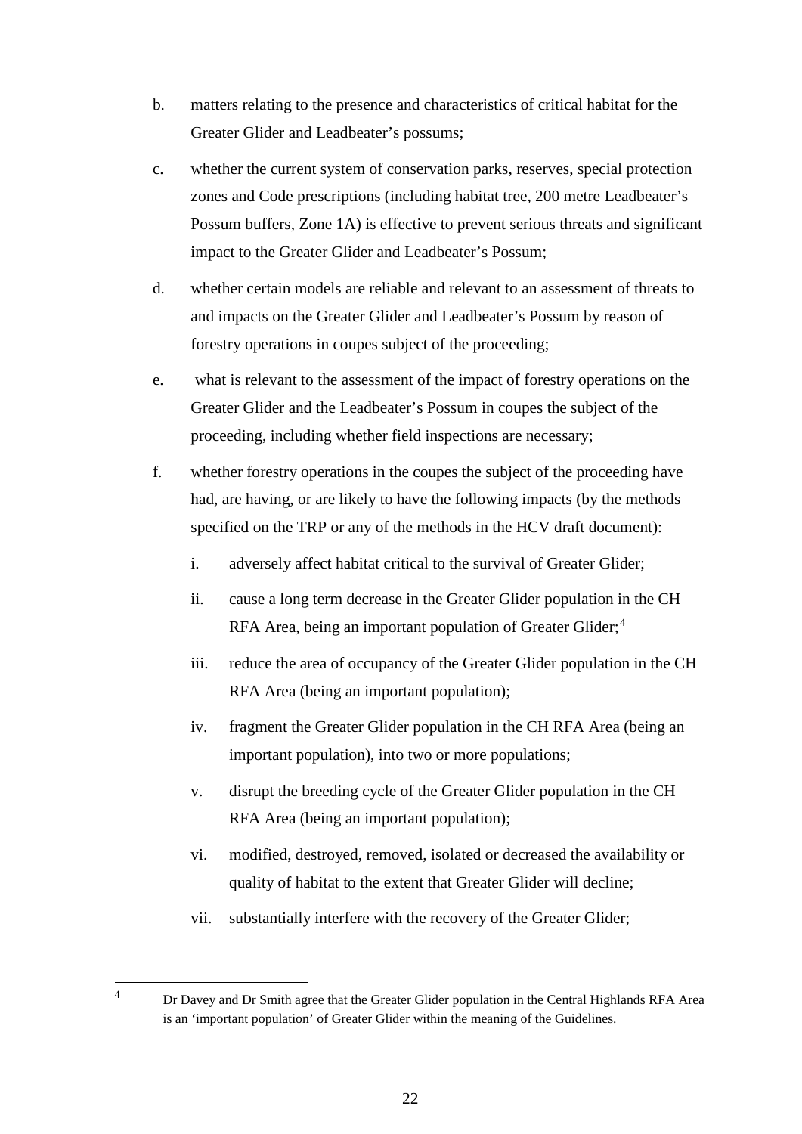- b. matters relating to the presence and characteristics of critical habitat for the Greater Glider and Leadbeater's possums;
- c. whether the current system of conservation parks, reserves, special protection zones and Code prescriptions (including habitat tree, 200 metre Leadbeater's Possum buffers, Zone 1A) is effective to prevent serious threats and significant impact to the Greater Glider and Leadbeater's Possum;
- d. whether certain models are reliable and relevant to an assessment of threats to and impacts on the Greater Glider and Leadbeater's Possum by reason of forestry operations in coupes subject of the proceeding;
- e. what is relevant to the assessment of the impact of forestry operations on the Greater Glider and the Leadbeater's Possum in coupes the subject of the proceeding, including whether field inspections are necessary;
- f. whether forestry operations in the coupes the subject of the proceeding have had, are having, or are likely to have the following impacts (by the methods specified on the TRP or any of the methods in the HCV draft document):
	- i. adversely affect habitat critical to the survival of Greater Glider;
	- ii. cause a long term decrease in the Greater Glider population in the CH RFA Area, being an important population of Greater Glider;<sup>[4](#page-22-0)</sup>
	- iii. reduce the area of occupancy of the Greater Glider population in the CH RFA Area (being an important population);
	- iv. fragment the Greater Glider population in the CH RFA Area (being an important population), into two or more populations;
	- v. disrupt the breeding cycle of the Greater Glider population in the CH RFA Area (being an important population);
	- vi. modified, destroyed, removed, isolated or decreased the availability or quality of habitat to the extent that Greater Glider will decline;
	- vii. substantially interfere with the recovery of the Greater Glider;

<span id="page-22-0"></span><sup>&</sup>lt;sup>4</sup> Dr Davey and Dr Smith agree that the Greater Glider population in the Central Highlands RFA Area is an 'important population' of Greater Glider within the meaning of the Guidelines.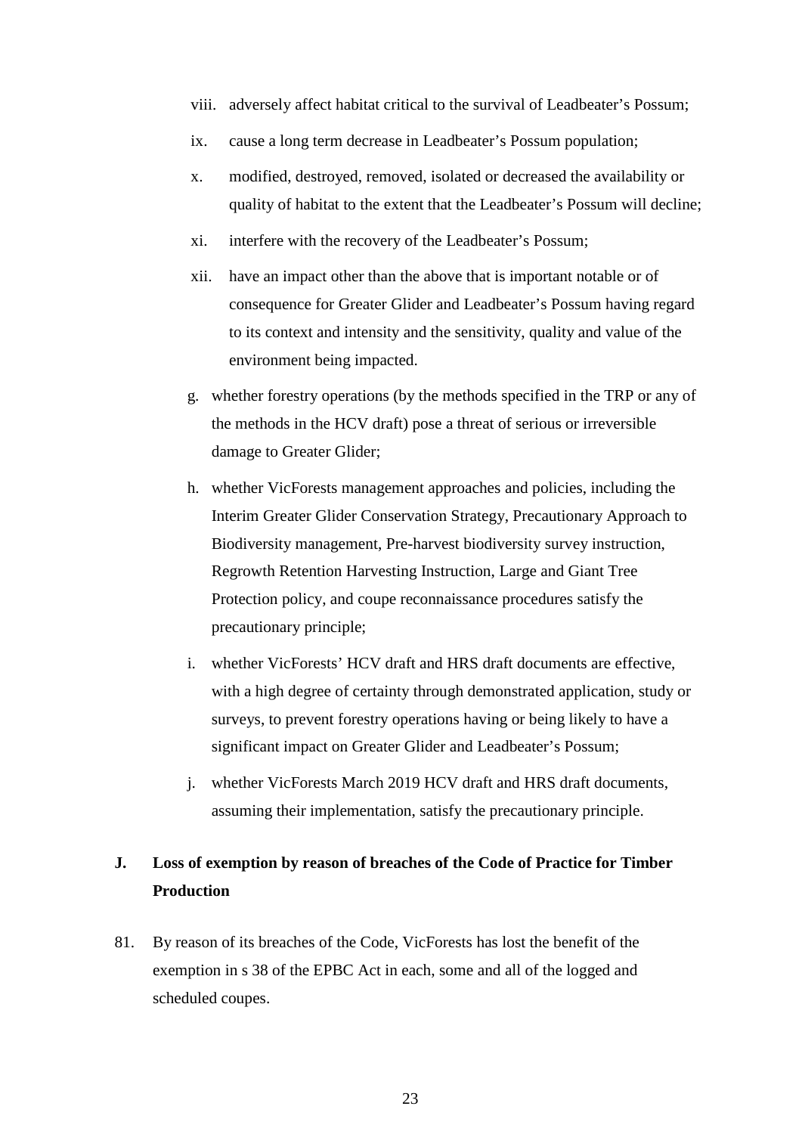- viii. adversely affect habitat critical to the survival of Leadbeater's Possum;
- ix. cause a long term decrease in Leadbeater's Possum population;
- x. modified, destroyed, removed, isolated or decreased the availability or quality of habitat to the extent that the Leadbeater's Possum will decline;
- xi. interfere with the recovery of the Leadbeater's Possum;
- xii. have an impact other than the above that is important notable or of consequence for Greater Glider and Leadbeater's Possum having regard to its context and intensity and the sensitivity, quality and value of the environment being impacted.
- g. whether forestry operations (by the methods specified in the TRP or any of the methods in the HCV draft) pose a threat of serious or irreversible damage to Greater Glider;
- h. whether VicForests management approaches and policies, including the Interim Greater Glider Conservation Strategy, Precautionary Approach to Biodiversity management, Pre-harvest biodiversity survey instruction, Regrowth Retention Harvesting Instruction, Large and Giant Tree Protection policy, and coupe reconnaissance procedures satisfy the precautionary principle;
- i. whether VicForests' HCV draft and HRS draft documents are effective, with a high degree of certainty through demonstrated application, study or surveys, to prevent forestry operations having or being likely to have a significant impact on Greater Glider and Leadbeater's Possum;
- j. whether VicForests March 2019 HCV draft and HRS draft documents, assuming their implementation, satisfy the precautionary principle.

# **J. Loss of exemption by reason of breaches of the Code of Practice for Timber Production**

81. By reason of its breaches of the Code, VicForests has lost the benefit of the exemption in s 38 of the EPBC Act in each, some and all of the logged and scheduled coupes.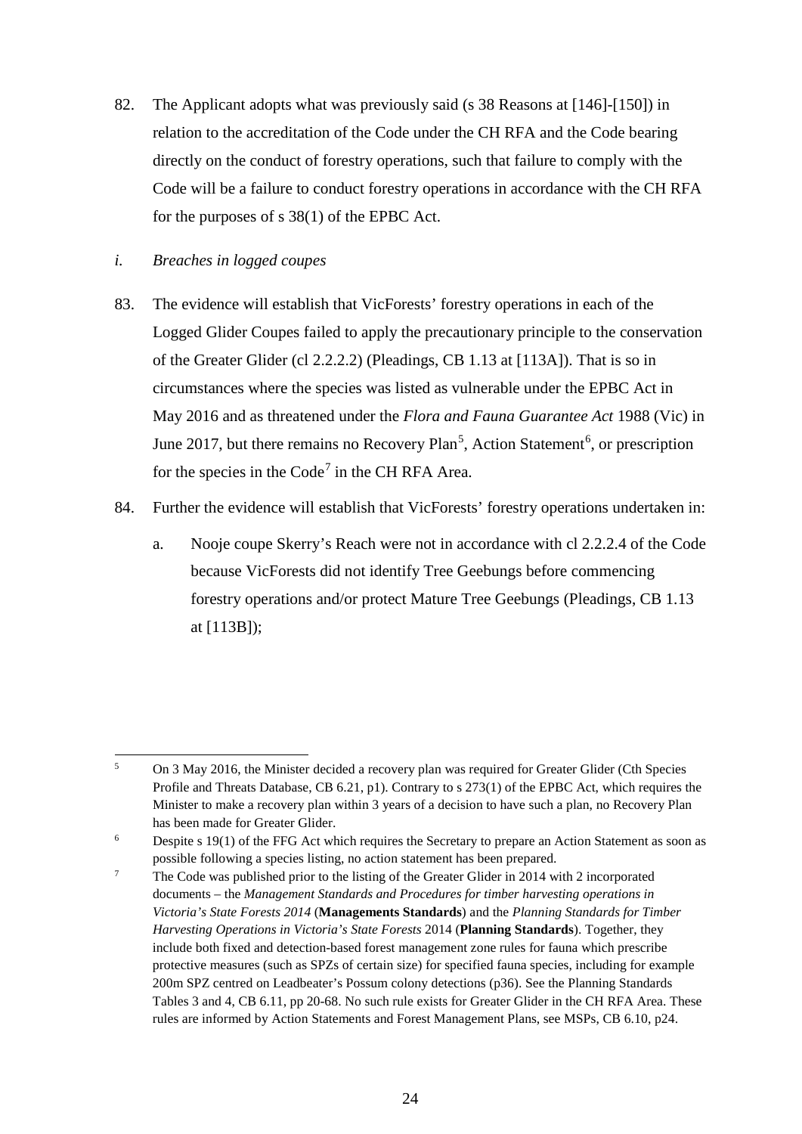82. The Applicant adopts what was previously said (s 38 Reasons at [146]-[150]) in relation to the accreditation of the Code under the CH RFA and the Code bearing directly on the conduct of forestry operations, such that failure to comply with the Code will be a failure to conduct forestry operations in accordance with the CH RFA for the purposes of s 38(1) of the EPBC Act.

# *i. Breaches in logged coupes*

- 83. The evidence will establish that VicForests' forestry operations in each of the Logged Glider Coupes failed to apply the precautionary principle to the conservation of the Greater Glider (cl 2.2.2.2) (Pleadings, CB 1.13 at [113A]). That is so in circumstances where the species was listed as vulnerable under the EPBC Act in May 2016 and as threatened under the *Flora and Fauna Guarantee Act* 1988 (Vic) in June 2017, but there remains no Recovery Plan<sup>[5](#page-24-0)</sup>, Action Statement<sup>[6](#page-24-1)</sup>, or prescription for the species in the Code<sup>[7](#page-24-2)</sup> in the CH RFA Area.
- 84. Further the evidence will establish that VicForests' forestry operations undertaken in:
	- a. Nooje coupe Skerry's Reach were not in accordance with cl 2.2.2.4 of the Code because VicForests did not identify Tree Geebungs before commencing forestry operations and/or protect Mature Tree Geebungs (Pleadings, CB 1.13 at [113B]);

<span id="page-24-0"></span><sup>&</sup>lt;sup>5</sup> On 3 May 2016, the Minister decided a recovery plan was required for Greater Glider (Cth Species Profile and Threats Database, CB 6.21, p1). Contrary to s 273(1) of the EPBC Act, which requires the Minister to make a recovery plan within 3 years of a decision to have such a plan, no Recovery Plan has been made for Greater Glider.<br><sup>6</sup> Despite s 19(1) of the FFG Act which requires the Secretary to prepare an Action Statement as soon as

<span id="page-24-1"></span>possible following a species listing, no action statement has been prepared.

<span id="page-24-2"></span><sup>&</sup>lt;sup>7</sup> The Code was published prior to the listing of the Greater Glider in 2014 with 2 incorporated documents – the *Management Standards and Procedures for timber harvesting operations in Victoria's State Forests 2014* (**Managements Standards**) and the *Planning Standards for Timber Harvesting Operations in Victoria's State Forests* 2014 (**Planning Standards**). Together, they include both fixed and detection-based forest management zone rules for fauna which prescribe protective measures (such as SPZs of certain size) for specified fauna species, including for example 200m SPZ centred on Leadbeater's Possum colony detections (p36). See the Planning Standards Tables 3 and 4, CB 6.11, pp 20-68. No such rule exists for Greater Glider in the CH RFA Area. These rules are informed by Action Statements and Forest Management Plans, see MSPs, CB 6.10, p24.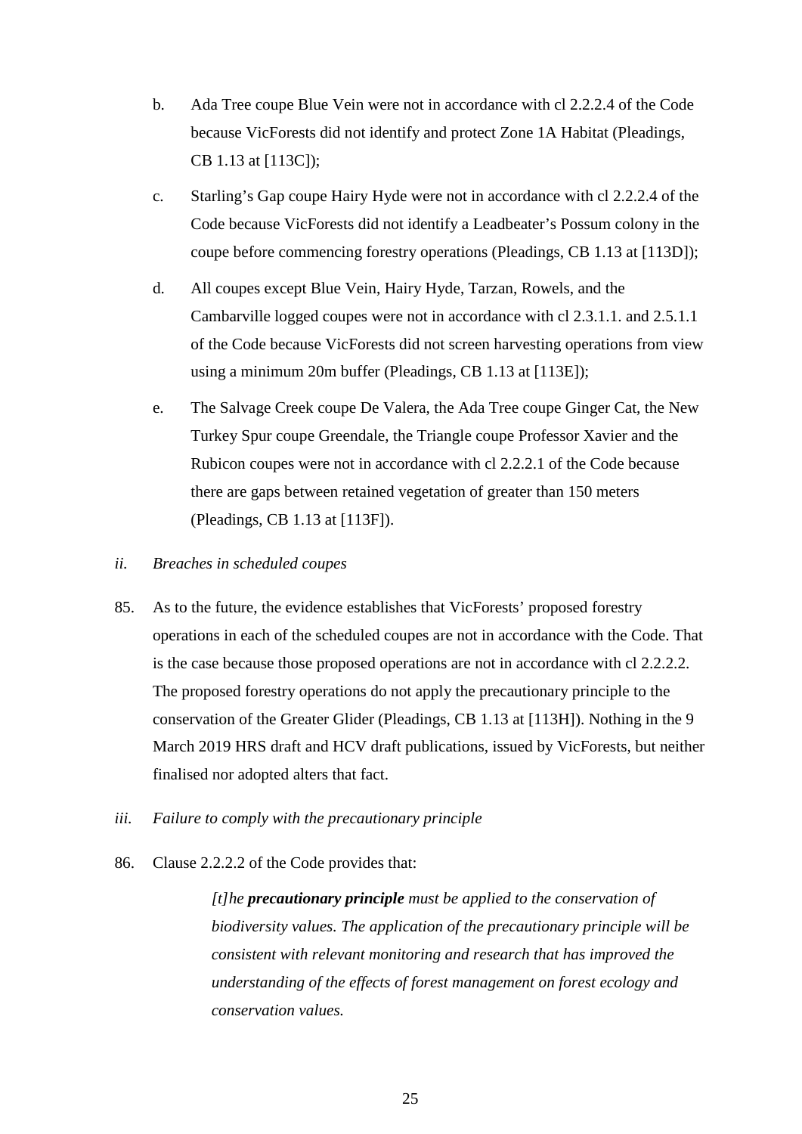- b. Ada Tree coupe Blue Vein were not in accordance with cl 2.2.2.4 of the Code because VicForests did not identify and protect Zone 1A Habitat (Pleadings, CB 1.13 at [113C]);
- c. Starling's Gap coupe Hairy Hyde were not in accordance with cl 2.2.2.4 of the Code because VicForests did not identify a Leadbeater's Possum colony in the coupe before commencing forestry operations (Pleadings, CB 1.13 at [113D]);
- d. All coupes except Blue Vein, Hairy Hyde, Tarzan, Rowels, and the Cambarville logged coupes were not in accordance with cl 2.3.1.1. and 2.5.1.1 of the Code because VicForests did not screen harvesting operations from view using a minimum 20m buffer (Pleadings, CB 1.13 at [113E]);
- e. The Salvage Creek coupe De Valera, the Ada Tree coupe Ginger Cat, the New Turkey Spur coupe Greendale, the Triangle coupe Professor Xavier and the Rubicon coupes were not in accordance with cl 2.2.2.1 of the Code because there are gaps between retained vegetation of greater than 150 meters (Pleadings, CB 1.13 at [113F]).
- *ii. Breaches in scheduled coupes*
- 85. As to the future, the evidence establishes that VicForests' proposed forestry operations in each of the scheduled coupes are not in accordance with the Code. That is the case because those proposed operations are not in accordance with cl 2.2.2.2. The proposed forestry operations do not apply the precautionary principle to the conservation of the Greater Glider (Pleadings, CB 1.13 at [113H]). Nothing in the 9 March 2019 HRS draft and HCV draft publications, issued by VicForests, but neither finalised nor adopted alters that fact.
- *iii. Failure to comply with the precautionary principle*
- 86. Clause 2.2.2.2 of the Code provides that:

*[t]he precautionary principle must be applied to the conservation of biodiversity values. The application of the precautionary principle will be consistent with relevant monitoring and research that has improved the understanding of the effects of forest management on forest ecology and conservation values.*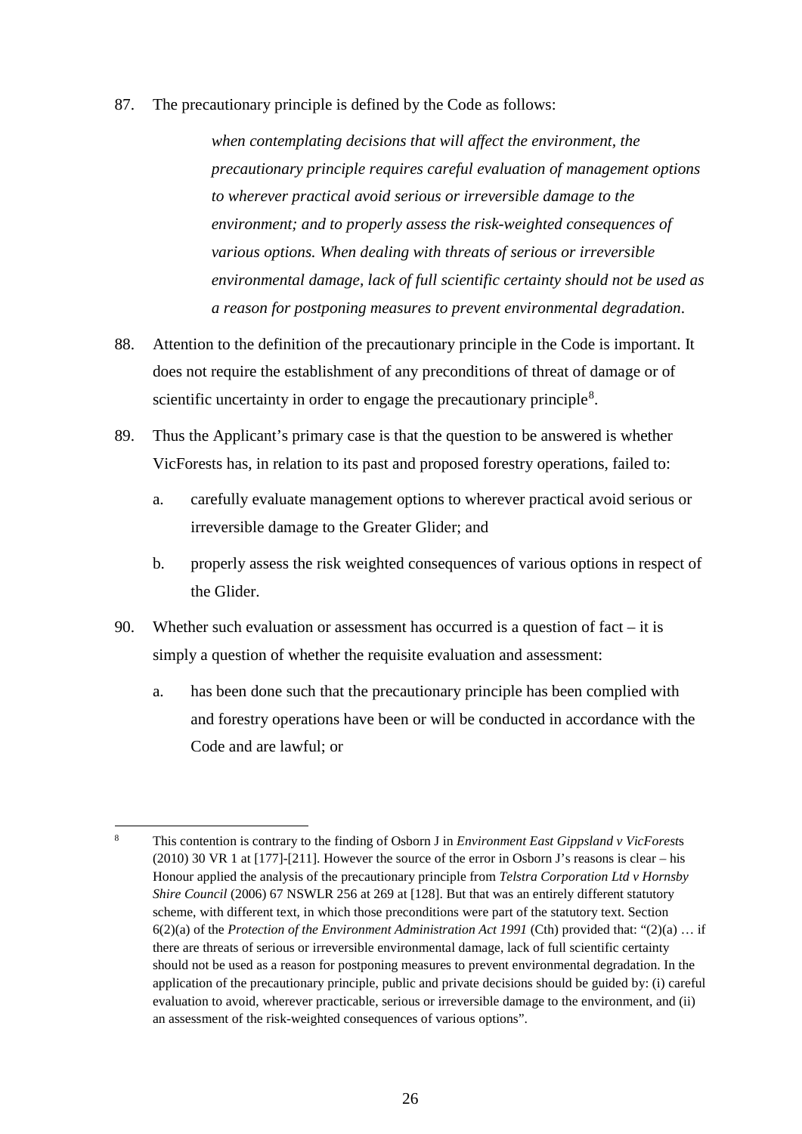87. The precautionary principle is defined by the Code as follows:

*when contemplating decisions that will affect the environment, the precautionary principle requires careful evaluation of management options to wherever practical avoid serious or irreversible damage to the environment; and to properly assess the risk-weighted consequences of various options. When dealing with threats of serious or irreversible environmental damage, lack of full scientific certainty should not be used as a reason for postponing measures to prevent environmental degradation*.

- 88. Attention to the definition of the precautionary principle in the Code is important. It does not require the establishment of any preconditions of threat of damage or of scientific uncertainty in order to engage the precautionary principle<sup>[8](#page-26-0)</sup>.
- 89. Thus the Applicant's primary case is that the question to be answered is whether VicForests has, in relation to its past and proposed forestry operations, failed to:
	- a. carefully evaluate management options to wherever practical avoid serious or irreversible damage to the Greater Glider; and
	- b. properly assess the risk weighted consequences of various options in respect of the Glider.
- 90. Whether such evaluation or assessment has occurred is a question of fact  $-$  it is simply a question of whether the requisite evaluation and assessment:
	- a. has been done such that the precautionary principle has been complied with and forestry operations have been or will be conducted in accordance with the Code and are lawful; or

<span id="page-26-0"></span><sup>8</sup> This contention is contrary to the finding of Osborn J in *Environment East Gippsland v VicForest*<sup>s</sup> (2010) 30 VR 1 at [177]-[211]. However the source of the error in Osborn J's reasons is clear – his Honour applied the analysis of the precautionary principle from *Telstra Corporation Ltd v Hornsby Shire Council* (2006) 67 NSWLR 256 at 269 at [128]. But that was an entirely different statutory scheme, with different text, in which those preconditions were part of the statutory text. Section 6(2)(a) of the *Protection of the Environment Administration Act 1991* (Cth) provided that: "(2)(a) … if there are threats of serious or irreversible environmental damage, lack of full scientific certainty should not be used as a reason for postponing measures to prevent environmental degradation. In the application of the precautionary principle, public and private decisions should be guided by: (i) careful evaluation to avoid, wherever practicable, serious or irreversible damage to the environment, and (ii) an assessment of the risk-weighted consequences of various options".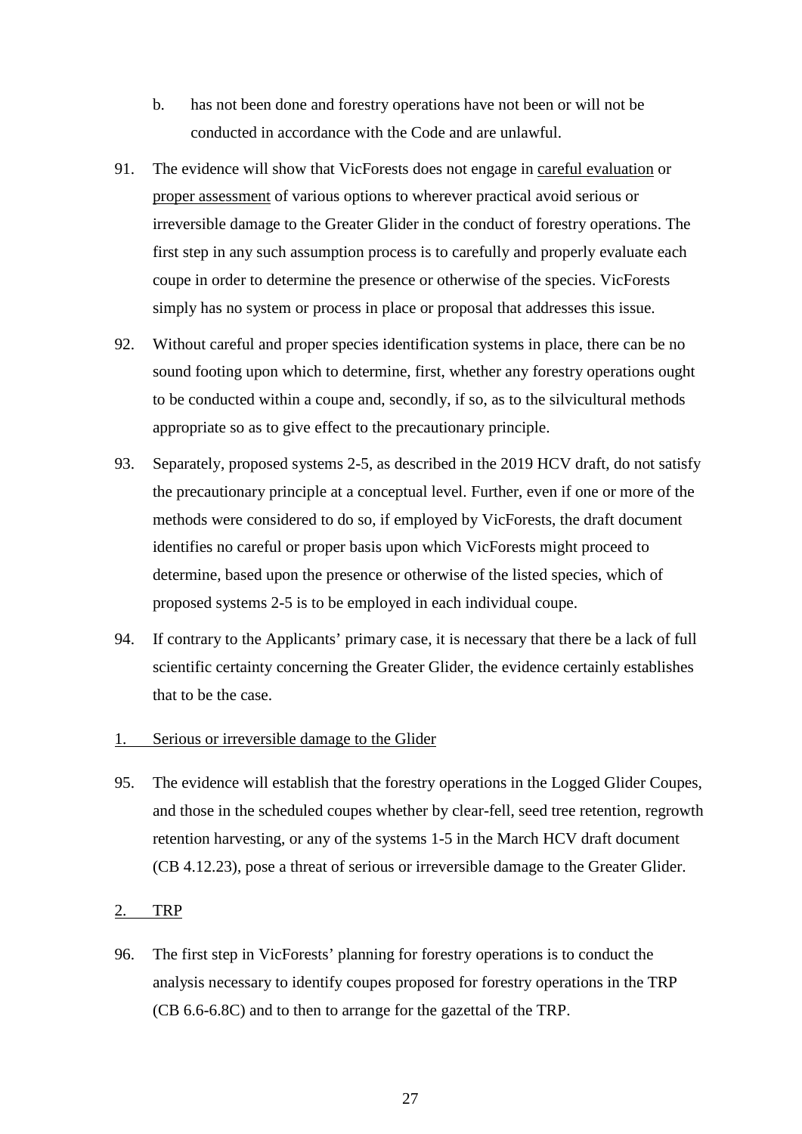- b. has not been done and forestry operations have not been or will not be conducted in accordance with the Code and are unlawful.
- 91. The evidence will show that VicForests does not engage in careful evaluation or proper assessment of various options to wherever practical avoid serious or irreversible damage to the Greater Glider in the conduct of forestry operations. The first step in any such assumption process is to carefully and properly evaluate each coupe in order to determine the presence or otherwise of the species. VicForests simply has no system or process in place or proposal that addresses this issue.
- 92. Without careful and proper species identification systems in place, there can be no sound footing upon which to determine, first, whether any forestry operations ought to be conducted within a coupe and, secondly, if so, as to the silvicultural methods appropriate so as to give effect to the precautionary principle.
- 93. Separately, proposed systems 2-5, as described in the 2019 HCV draft, do not satisfy the precautionary principle at a conceptual level. Further, even if one or more of the methods were considered to do so, if employed by VicForests, the draft document identifies no careful or proper basis upon which VicForests might proceed to determine, based upon the presence or otherwise of the listed species, which of proposed systems 2-5 is to be employed in each individual coupe.
- 94. If contrary to the Applicants' primary case, it is necessary that there be a lack of full scientific certainty concerning the Greater Glider, the evidence certainly establishes that to be the case.

#### 1. Serious or irreversible damage to the Glider

95. The evidence will establish that the forestry operations in the Logged Glider Coupes, and those in the scheduled coupes whether by clear-fell, seed tree retention, regrowth retention harvesting, or any of the systems 1-5 in the March HCV draft document (CB 4.12.23), pose a threat of serious or irreversible damage to the Greater Glider.

#### 2. TRP

96. The first step in VicForests' planning for forestry operations is to conduct the analysis necessary to identify coupes proposed for forestry operations in the TRP (CB 6.6-6.8C) and to then to arrange for the gazettal of the TRP.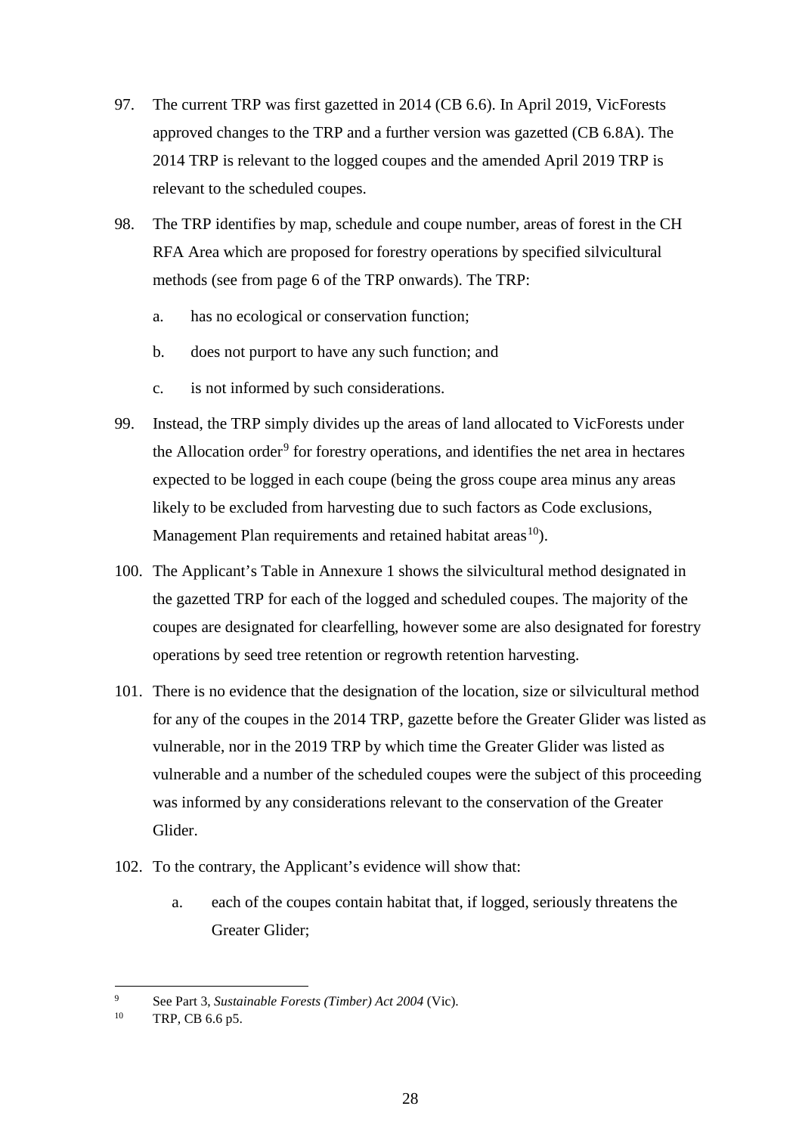- 97. The current TRP was first gazetted in 2014 (CB 6.6). In April 2019, VicForests approved changes to the TRP and a further version was gazetted (CB 6.8A). The 2014 TRP is relevant to the logged coupes and the amended April 2019 TRP is relevant to the scheduled coupes.
- 98. The TRP identifies by map, schedule and coupe number, areas of forest in the CH RFA Area which are proposed for forestry operations by specified silvicultural methods (see from page 6 of the TRP onwards). The TRP:
	- a. has no ecological or conservation function;
	- b. does not purport to have any such function; and
	- c. is not informed by such considerations.
- 99. Instead, the TRP simply divides up the areas of land allocated to VicForests under the Allocation order<sup>[9](#page-28-0)</sup> for forestry operations, and identifies the net area in hectares expected to be logged in each coupe (being the gross coupe area minus any areas likely to be excluded from harvesting due to such factors as Code exclusions, Management Plan requirements and retained habitat areas<sup>[10](#page-28-1)</sup>).
- 100. The Applicant's Table in Annexure 1 shows the silvicultural method designated in the gazetted TRP for each of the logged and scheduled coupes. The majority of the coupes are designated for clearfelling, however some are also designated for forestry operations by seed tree retention or regrowth retention harvesting.
- 101. There is no evidence that the designation of the location, size or silvicultural method for any of the coupes in the 2014 TRP, gazette before the Greater Glider was listed as vulnerable, nor in the 2019 TRP by which time the Greater Glider was listed as vulnerable and a number of the scheduled coupes were the subject of this proceeding was informed by any considerations relevant to the conservation of the Greater Glider.
- 102. To the contrary, the Applicant's evidence will show that:
	- a. each of the coupes contain habitat that, if logged, seriously threatens the Greater Glider;

<span id="page-28-0"></span><sup>9</sup> See Part 3, *Sustainable Forests (Timber) Act 2004* (Vic). 10 TRP, CB 6.6 p5.

<span id="page-28-1"></span>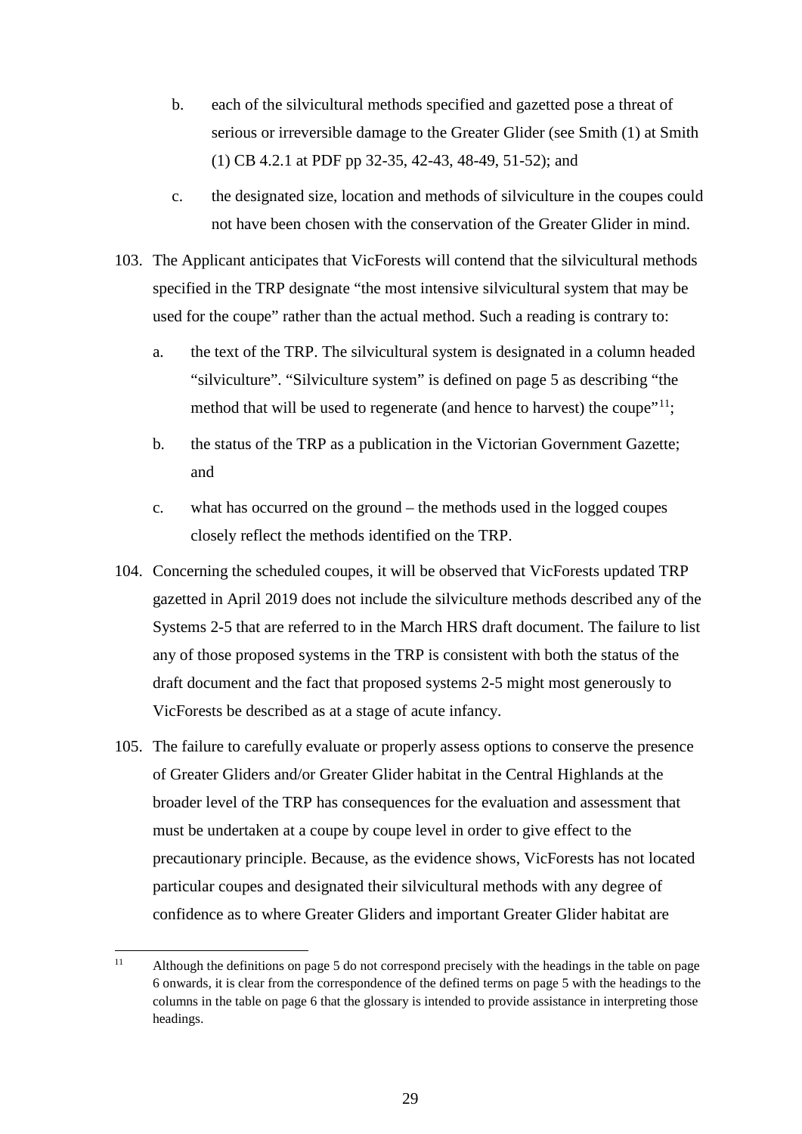- b. each of the silvicultural methods specified and gazetted pose a threat of serious or irreversible damage to the Greater Glider (see Smith (1) at Smith (1) CB 4.2.1 at PDF pp 32-35, 42-43, 48-49, 51-52); and
- c. the designated size, location and methods of silviculture in the coupes could not have been chosen with the conservation of the Greater Glider in mind.
- 103. The Applicant anticipates that VicForests will contend that the silvicultural methods specified in the TRP designate "the most intensive silvicultural system that may be used for the coupe" rather than the actual method. Such a reading is contrary to:
	- a. the text of the TRP. The silvicultural system is designated in a column headed "silviculture". "Silviculture system" is defined on page 5 as describing "the method that will be used to regenerate (and hence to harvest) the coupe"<sup>11</sup>;
	- b. the status of the TRP as a publication in the Victorian Government Gazette; and
	- c. what has occurred on the ground the methods used in the logged coupes closely reflect the methods identified on the TRP.
- 104. Concerning the scheduled coupes, it will be observed that VicForests updated TRP gazetted in April 2019 does not include the silviculture methods described any of the Systems 2-5 that are referred to in the March HRS draft document. The failure to list any of those proposed systems in the TRP is consistent with both the status of the draft document and the fact that proposed systems 2-5 might most generously to VicForests be described as at a stage of acute infancy.
- 105. The failure to carefully evaluate or properly assess options to conserve the presence of Greater Gliders and/or Greater Glider habitat in the Central Highlands at the broader level of the TRP has consequences for the evaluation and assessment that must be undertaken at a coupe by coupe level in order to give effect to the precautionary principle. Because, as the evidence shows, VicForests has not located particular coupes and designated their silvicultural methods with any degree of confidence as to where Greater Gliders and important Greater Glider habitat are

<span id="page-29-0"></span><sup>&</sup>lt;sup>11</sup> Although the definitions on page 5 do not correspond precisely with the headings in the table on page 6 onwards, it is clear from the correspondence of the defined terms on page 5 with the headings to the columns in the table on page 6 that the glossary is intended to provide assistance in interpreting those headings.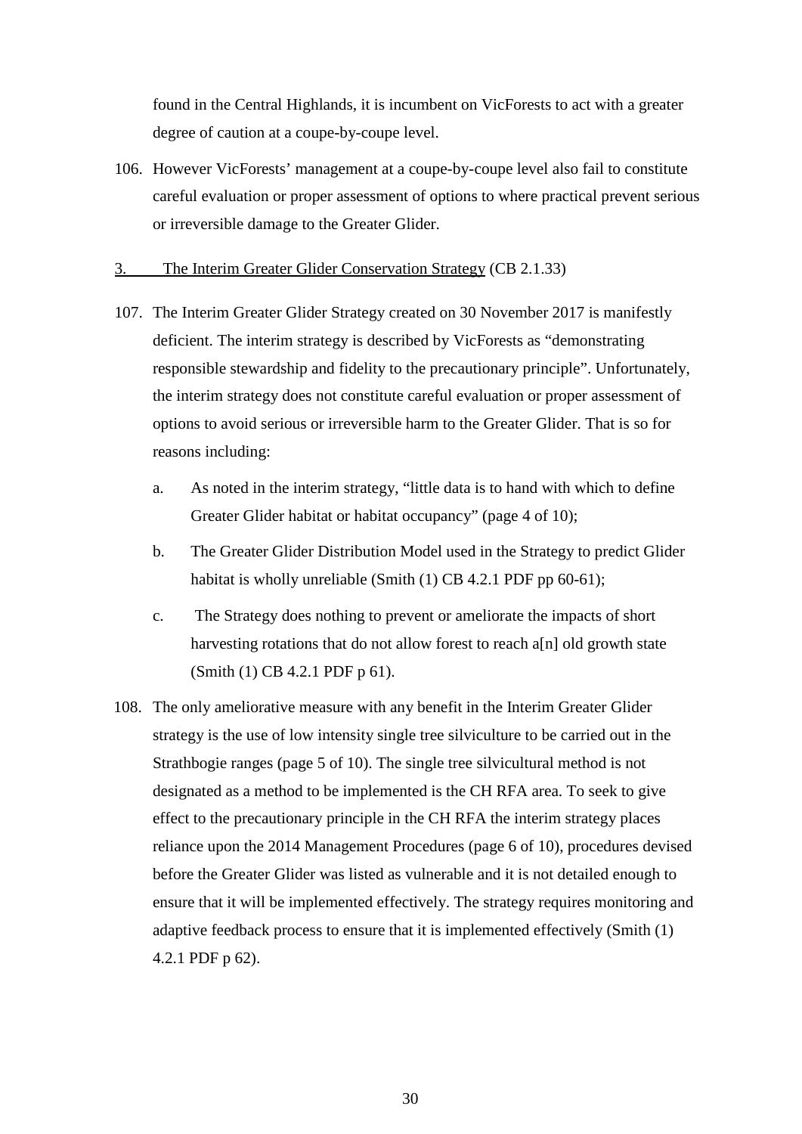found in the Central Highlands, it is incumbent on VicForests to act with a greater degree of caution at a coupe-by-coupe level.

106. However VicForests' management at a coupe-by-coupe level also fail to constitute careful evaluation or proper assessment of options to where practical prevent serious or irreversible damage to the Greater Glider.

#### 3. The Interim Greater Glider Conservation Strategy (CB 2.1.33)

- 107. The Interim Greater Glider Strategy created on 30 November 2017 is manifestly deficient. The interim strategy is described by VicForests as "demonstrating responsible stewardship and fidelity to the precautionary principle". Unfortunately, the interim strategy does not constitute careful evaluation or proper assessment of options to avoid serious or irreversible harm to the Greater Glider. That is so for reasons including:
	- a. As noted in the interim strategy, "little data is to hand with which to define Greater Glider habitat or habitat occupancy" (page 4 of 10);
	- b. The Greater Glider Distribution Model used in the Strategy to predict Glider habitat is wholly unreliable (Smith (1) CB 4.2.1 PDF pp 60-61);
	- c. The Strategy does nothing to prevent or ameliorate the impacts of short harvesting rotations that do not allow forest to reach a[n] old growth state (Smith (1) CB 4.2.1 PDF p 61).
- 108. The only ameliorative measure with any benefit in the Interim Greater Glider strategy is the use of low intensity single tree silviculture to be carried out in the Strathbogie ranges (page 5 of 10). The single tree silvicultural method is not designated as a method to be implemented is the CH RFA area. To seek to give effect to the precautionary principle in the CH RFA the interim strategy places reliance upon the 2014 Management Procedures (page 6 of 10), procedures devised before the Greater Glider was listed as vulnerable and it is not detailed enough to ensure that it will be implemented effectively. The strategy requires monitoring and adaptive feedback process to ensure that it is implemented effectively (Smith (1) 4.2.1 PDF p 62).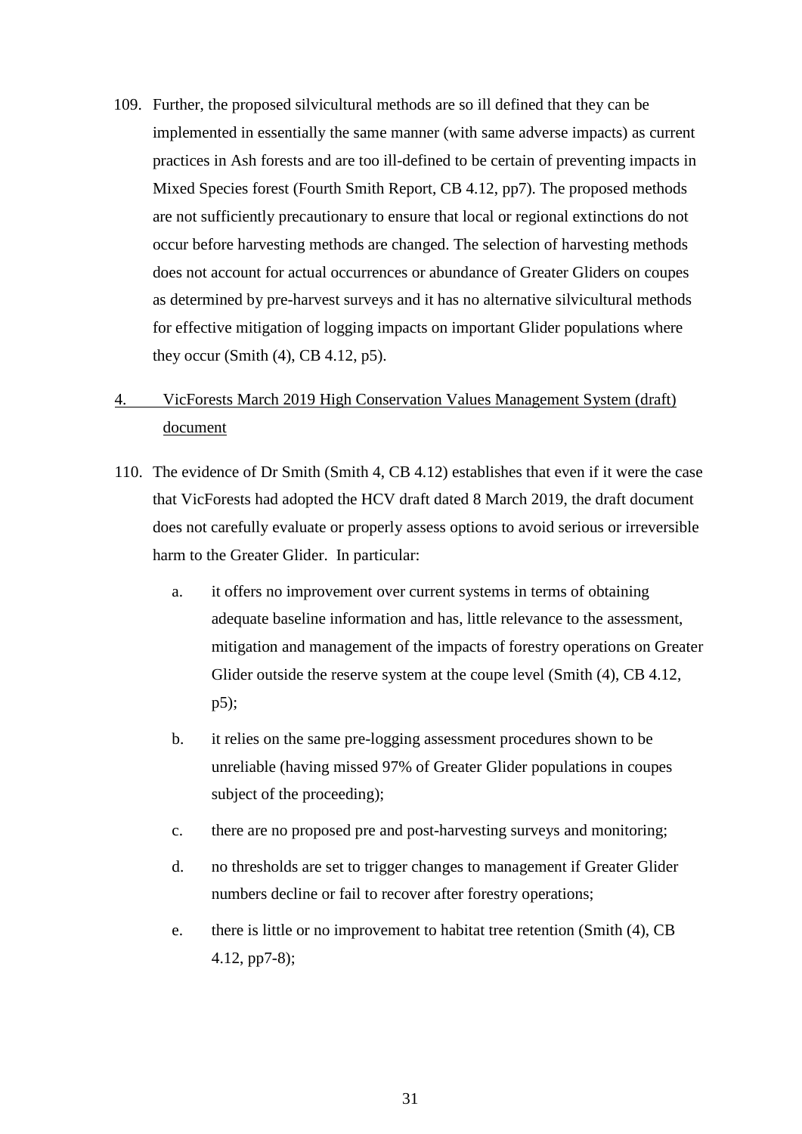- 109. Further, the proposed silvicultural methods are so ill defined that they can be implemented in essentially the same manner (with same adverse impacts) as current practices in Ash forests and are too ill-defined to be certain of preventing impacts in Mixed Species forest (Fourth Smith Report, CB 4.12, pp7). The proposed methods are not sufficiently precautionary to ensure that local or regional extinctions do not occur before harvesting methods are changed. The selection of harvesting methods does not account for actual occurrences or abundance of Greater Gliders on coupes as determined by pre-harvest surveys and it has no alternative silvicultural methods for effective mitigation of logging impacts on important Glider populations where they occur (Smith  $(4)$ , CB 4.12, p5).
- 4. VicForests March 2019 High Conservation Values Management System (draft) document
- 110. The evidence of Dr Smith (Smith 4, CB 4.12) establishes that even if it were the case that VicForests had adopted the HCV draft dated 8 March 2019, the draft document does not carefully evaluate or properly assess options to avoid serious or irreversible harm to the Greater Glider. In particular:
	- a. it offers no improvement over current systems in terms of obtaining adequate baseline information and has, little relevance to the assessment, mitigation and management of the impacts of forestry operations on Greater Glider outside the reserve system at the coupe level (Smith (4), CB 4.12, p5);
	- b. it relies on the same pre-logging assessment procedures shown to be unreliable (having missed 97% of Greater Glider populations in coupes subject of the proceeding);
	- c. there are no proposed pre and post-harvesting surveys and monitoring;
	- d. no thresholds are set to trigger changes to management if Greater Glider numbers decline or fail to recover after forestry operations;
	- e. there is little or no improvement to habitat tree retention (Smith (4), CB 4.12, pp7-8);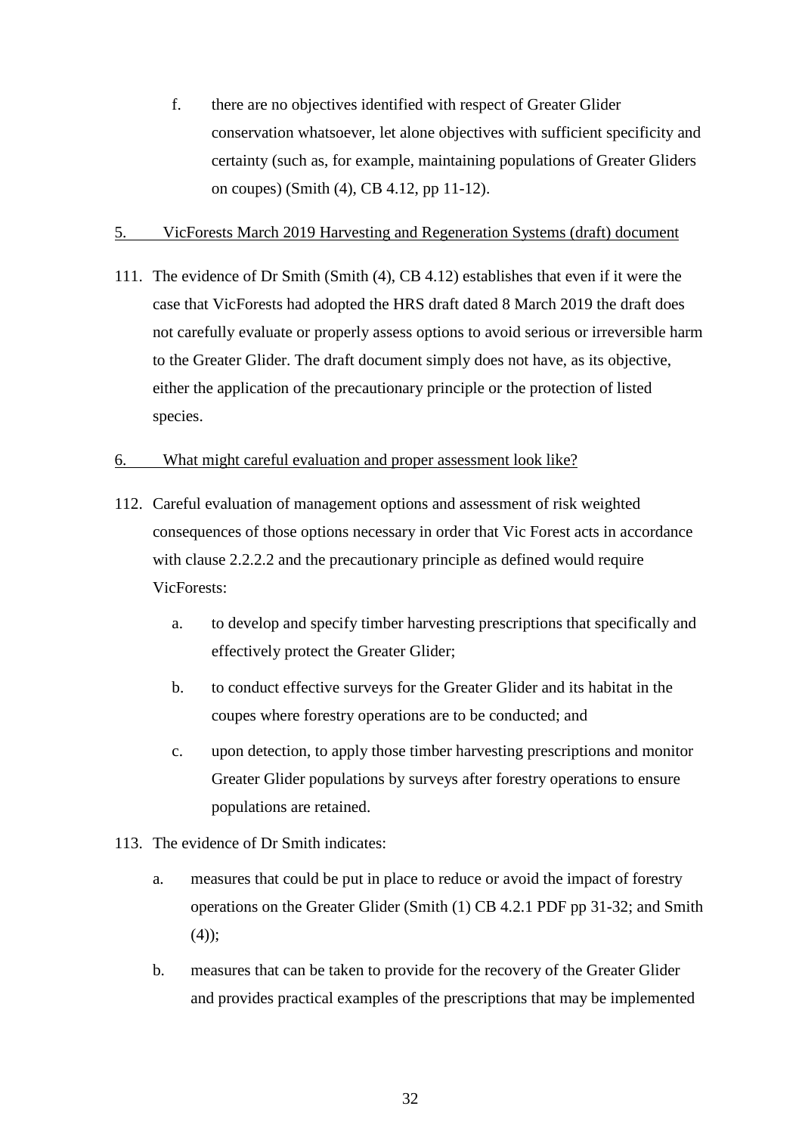f. there are no objectives identified with respect of Greater Glider conservation whatsoever, let alone objectives with sufficient specificity and certainty (such as, for example, maintaining populations of Greater Gliders on coupes) (Smith (4), CB 4.12, pp 11-12).

#### 5. VicForests March 2019 Harvesting and Regeneration Systems (draft) document

111. The evidence of Dr Smith (Smith (4), CB 4.12) establishes that even if it were the case that VicForests had adopted the HRS draft dated 8 March 2019 the draft does not carefully evaluate or properly assess options to avoid serious or irreversible harm to the Greater Glider. The draft document simply does not have, as its objective, either the application of the precautionary principle or the protection of listed species.

# 6. What might careful evaluation and proper assessment look like?

- 112. Careful evaluation of management options and assessment of risk weighted consequences of those options necessary in order that Vic Forest acts in accordance with clause 2.2.2.2 and the precautionary principle as defined would require VicForests:
	- a. to develop and specify timber harvesting prescriptions that specifically and effectively protect the Greater Glider;
	- b. to conduct effective surveys for the Greater Glider and its habitat in the coupes where forestry operations are to be conducted; and
	- c. upon detection, to apply those timber harvesting prescriptions and monitor Greater Glider populations by surveys after forestry operations to ensure populations are retained.
- 113. The evidence of Dr Smith indicates:
	- a. measures that could be put in place to reduce or avoid the impact of forestry operations on the Greater Glider (Smith (1) CB 4.2.1 PDF pp 31-32; and Smith (4));
	- b. measures that can be taken to provide for the recovery of the Greater Glider and provides practical examples of the prescriptions that may be implemented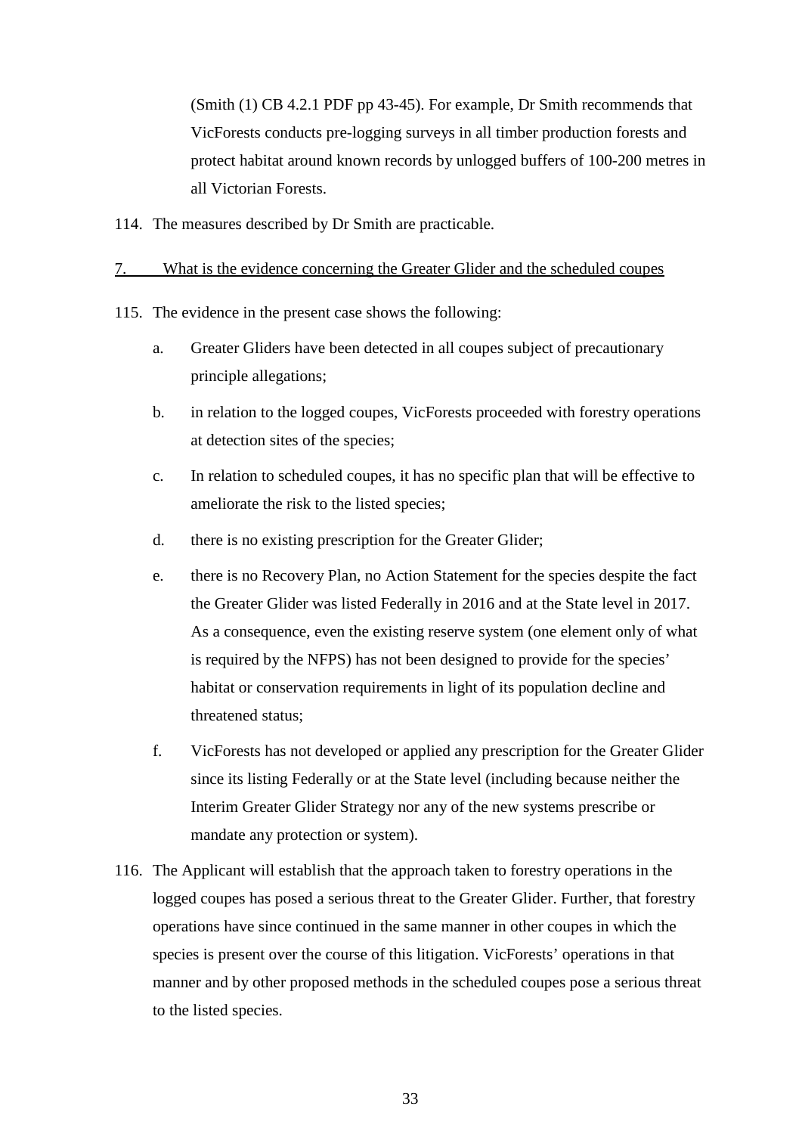(Smith (1) CB 4.2.1 PDF pp 43-45). For example, Dr Smith recommends that VicForests conducts pre-logging surveys in all timber production forests and protect habitat around known records by unlogged buffers of 100-200 metres in all Victorian Forests.

114. The measures described by Dr Smith are practicable.

#### 7. What is the evidence concerning the Greater Glider and the scheduled coupes

- 115. The evidence in the present case shows the following:
	- a. Greater Gliders have been detected in all coupes subject of precautionary principle allegations;
	- b. in relation to the logged coupes, VicForests proceeded with forestry operations at detection sites of the species;
	- c. In relation to scheduled coupes, it has no specific plan that will be effective to ameliorate the risk to the listed species;
	- d. there is no existing prescription for the Greater Glider;
	- e. there is no Recovery Plan, no Action Statement for the species despite the fact the Greater Glider was listed Federally in 2016 and at the State level in 2017. As a consequence, even the existing reserve system (one element only of what is required by the NFPS) has not been designed to provide for the species' habitat or conservation requirements in light of its population decline and threatened status;
	- f. VicForests has not developed or applied any prescription for the Greater Glider since its listing Federally or at the State level (including because neither the Interim Greater Glider Strategy nor any of the new systems prescribe or mandate any protection or system).
- 116. The Applicant will establish that the approach taken to forestry operations in the logged coupes has posed a serious threat to the Greater Glider. Further, that forestry operations have since continued in the same manner in other coupes in which the species is present over the course of this litigation. VicForests' operations in that manner and by other proposed methods in the scheduled coupes pose a serious threat to the listed species.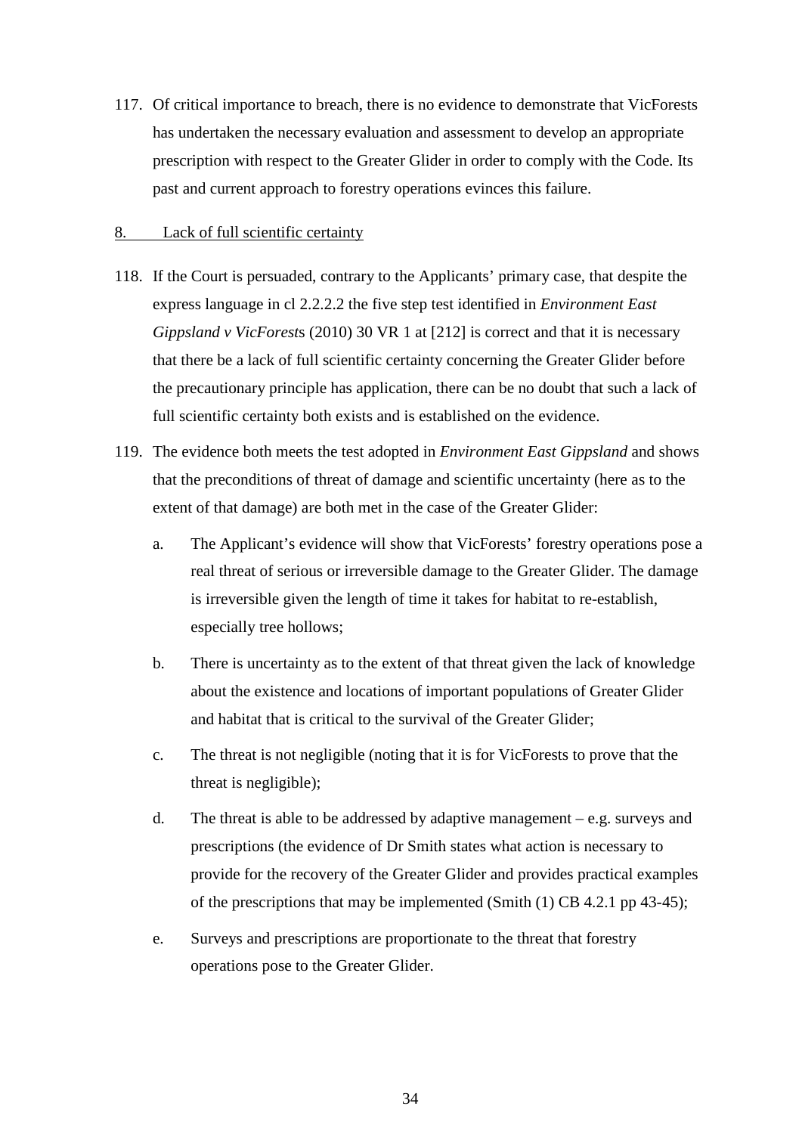117. Of critical importance to breach, there is no evidence to demonstrate that VicForests has undertaken the necessary evaluation and assessment to develop an appropriate prescription with respect to the Greater Glider in order to comply with the Code. Its past and current approach to forestry operations evinces this failure.

#### 8. Lack of full scientific certainty

- 118. If the Court is persuaded, contrary to the Applicants' primary case, that despite the express language in cl 2.2.2.2 the five step test identified in *Environment East Gippsland v VicForest*s (2010) 30 VR 1 at [212] is correct and that it is necessary that there be a lack of full scientific certainty concerning the Greater Glider before the precautionary principle has application, there can be no doubt that such a lack of full scientific certainty both exists and is established on the evidence.
- 119. The evidence both meets the test adopted in *Environment East Gippsland* and shows that the preconditions of threat of damage and scientific uncertainty (here as to the extent of that damage) are both met in the case of the Greater Glider:
	- a. The Applicant's evidence will show that VicForests' forestry operations pose a real threat of serious or irreversible damage to the Greater Glider. The damage is irreversible given the length of time it takes for habitat to re-establish, especially tree hollows;
	- b. There is uncertainty as to the extent of that threat given the lack of knowledge about the existence and locations of important populations of Greater Glider and habitat that is critical to the survival of the Greater Glider;
	- c. The threat is not negligible (noting that it is for VicForests to prove that the threat is negligible);
	- d. The threat is able to be addressed by adaptive management e.g. surveys and prescriptions (the evidence of Dr Smith states what action is necessary to provide for the recovery of the Greater Glider and provides practical examples of the prescriptions that may be implemented (Smith (1) CB 4.2.1 pp 43-45);
	- e. Surveys and prescriptions are proportionate to the threat that forestry operations pose to the Greater Glider.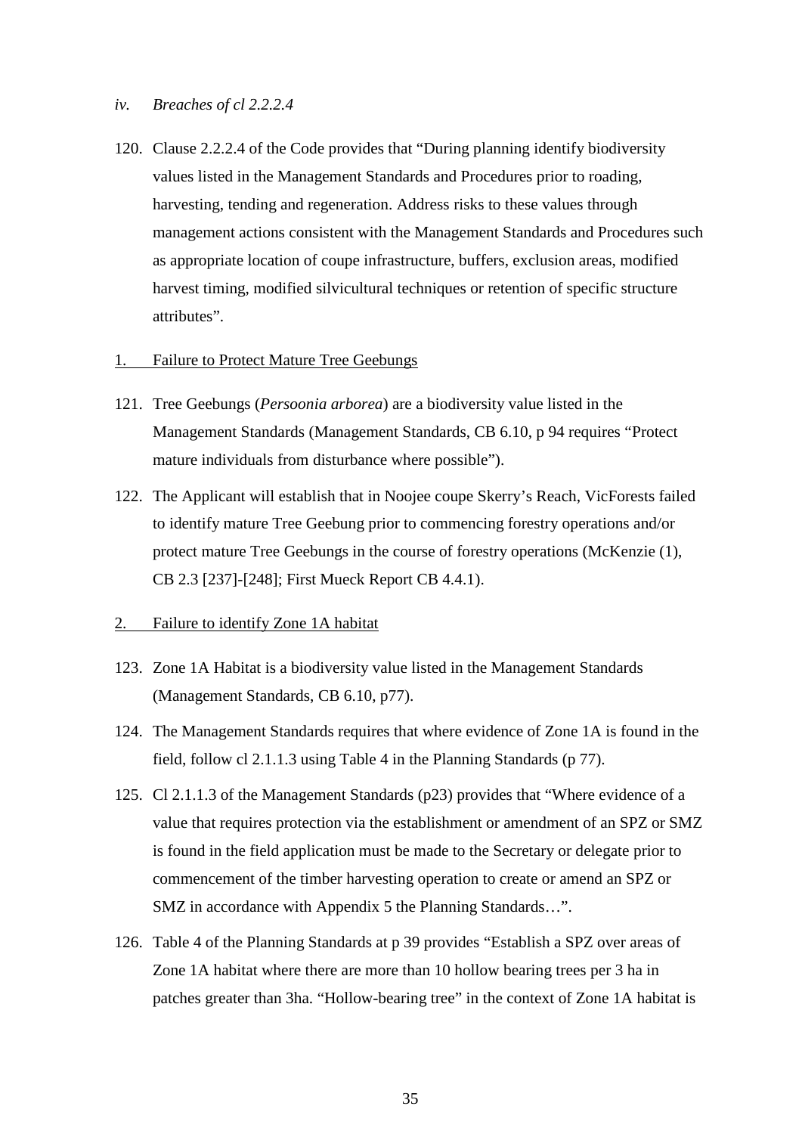- *iv. Breaches of cl 2.2.2.4*
- 120. Clause 2.2.2.4 of the Code provides that "During planning identify biodiversity values listed in the Management Standards and Procedures prior to roading, harvesting, tending and regeneration. Address risks to these values through management actions consistent with the Management Standards and Procedures such as appropriate location of coupe infrastructure, buffers, exclusion areas, modified harvest timing, modified silvicultural techniques or retention of specific structure attributes".

#### 1. Failure to Protect Mature Tree Geebungs

- 121. Tree Geebungs (*Persoonia arborea*) are a biodiversity value listed in the Management Standards (Management Standards, CB 6.10, p 94 requires "Protect mature individuals from disturbance where possible").
- 122. The Applicant will establish that in Noojee coupe Skerry's Reach, VicForests failed to identify mature Tree Geebung prior to commencing forestry operations and/or protect mature Tree Geebungs in the course of forestry operations (McKenzie (1), CB 2.3 [237]-[248]; First Mueck Report CB 4.4.1).

#### 2. Failure to identify Zone 1A habitat

- 123. Zone 1A Habitat is a biodiversity value listed in the Management Standards (Management Standards, CB 6.10, p77).
- 124. The Management Standards requires that where evidence of Zone 1A is found in the field, follow cl 2.1.1.3 using Table 4 in the Planning Standards (p 77).
- 125. Cl 2.1.1.3 of the Management Standards (p23) provides that "Where evidence of a value that requires protection via the establishment or amendment of an SPZ or SMZ is found in the field application must be made to the Secretary or delegate prior to commencement of the timber harvesting operation to create or amend an SPZ or SMZ in accordance with Appendix 5 the Planning Standards…".
- 126. Table 4 of the Planning Standards at p 39 provides "Establish a SPZ over areas of Zone 1A habitat where there are more than 10 hollow bearing trees per 3 ha in patches greater than 3ha. "Hollow-bearing tree" in the context of Zone 1A habitat is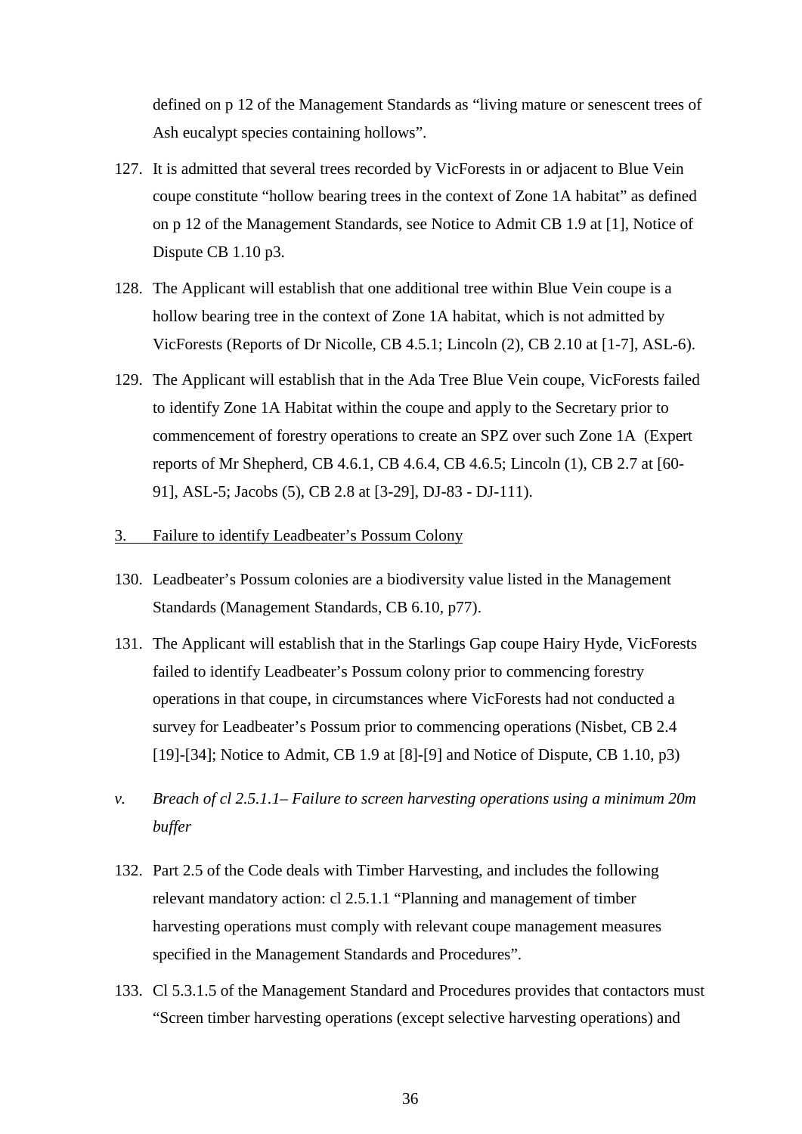defined on p 12 of the Management Standards as "living mature or senescent trees of Ash eucalypt species containing hollows".

- 127. It is admitted that several trees recorded by VicForests in or adjacent to Blue Vein coupe constitute "hollow bearing trees in the context of Zone 1A habitat" as defined on p 12 of the Management Standards, see Notice to Admit CB 1.9 at [1], Notice of Dispute CB 1.10 p3.
- 128. The Applicant will establish that one additional tree within Blue Vein coupe is a hollow bearing tree in the context of Zone 1A habitat, which is not admitted by VicForests (Reports of Dr Nicolle, CB 4.5.1; Lincoln (2), CB 2.10 at [1-7], ASL-6).
- 129. The Applicant will establish that in the Ada Tree Blue Vein coupe, VicForests failed to identify Zone 1A Habitat within the coupe and apply to the Secretary prior to commencement of forestry operations to create an SPZ over such Zone 1A (Expert reports of Mr Shepherd, CB 4.6.1, CB 4.6.4, CB 4.6.5; Lincoln (1), CB 2.7 at [60- 91], ASL-5; Jacobs (5), CB 2.8 at [3-29], DJ-83 - DJ-111).
- 3. Failure to identify Leadbeater's Possum Colony
- 130. Leadbeater's Possum colonies are a biodiversity value listed in the Management Standards (Management Standards, CB 6.10, p77).
- 131. The Applicant will establish that in the Starlings Gap coupe Hairy Hyde, VicForests failed to identify Leadbeater's Possum colony prior to commencing forestry operations in that coupe, in circumstances where VicForests had not conducted a survey for Leadbeater's Possum prior to commencing operations (Nisbet, CB 2.4 [19]-[34]; Notice to Admit, CB 1.9 at [8]-[9] and Notice of Dispute, CB 1.10, p3)
- *v. Breach of cl 2.5.1.1– Failure to screen harvesting operations using a minimum 20m buffer*
- 132. Part 2.5 of the Code deals with Timber Harvesting, and includes the following relevant mandatory action: cl 2.5.1.1 "Planning and management of timber harvesting operations must comply with relevant coupe management measures specified in the Management Standards and Procedures".
- 133. Cl 5.3.1.5 of the Management Standard and Procedures provides that contactors must "Screen timber harvesting operations (except selective harvesting operations) and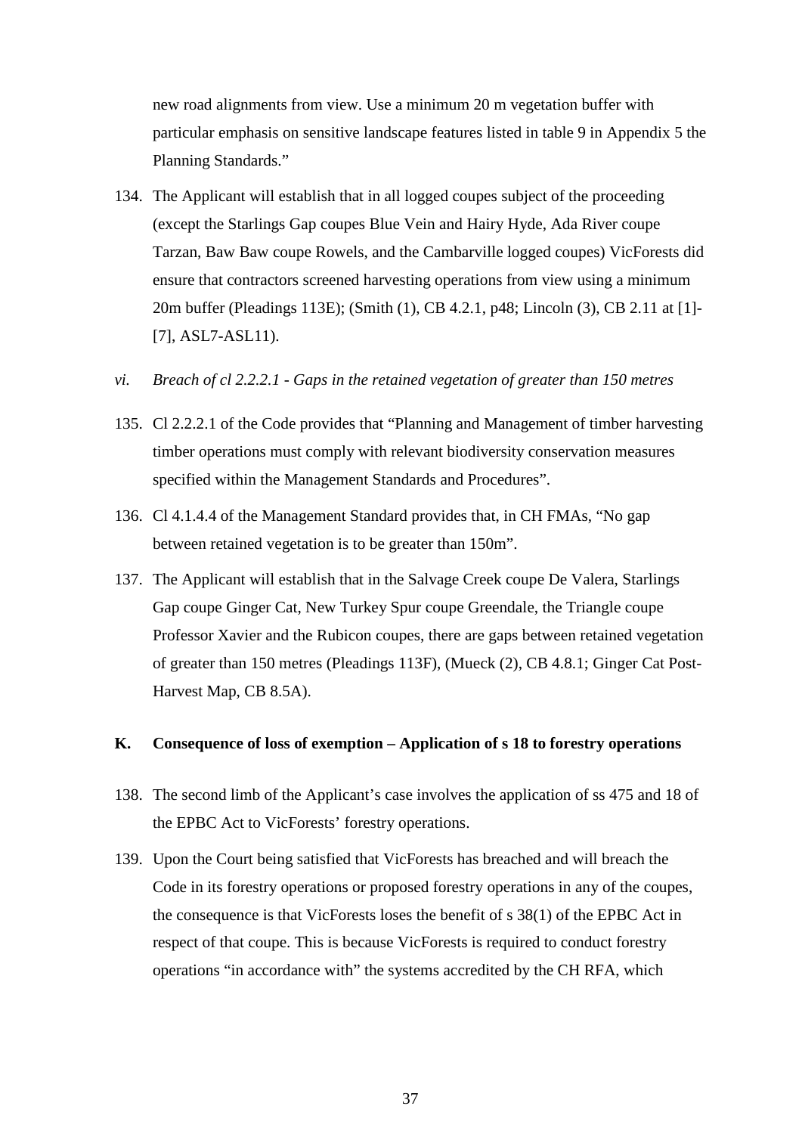new road alignments from view. Use a minimum 20 m vegetation buffer with particular emphasis on sensitive landscape features listed in table 9 in Appendix 5 the Planning Standards."

- 134. The Applicant will establish that in all logged coupes subject of the proceeding (except the Starlings Gap coupes Blue Vein and Hairy Hyde, Ada River coupe Tarzan, Baw Baw coupe Rowels, and the Cambarville logged coupes) VicForests did ensure that contractors screened harvesting operations from view using a minimum 20m buffer (Pleadings 113E); (Smith (1), CB 4.2.1, p48; Lincoln (3), CB 2.11 at [1]- [7], ASL7-ASL11).
- *vi. Breach of cl 2.2.2.1 - Gaps in the retained vegetation of greater than 150 metres*
- 135. Cl 2.2.2.1 of the Code provides that "Planning and Management of timber harvesting timber operations must comply with relevant biodiversity conservation measures specified within the Management Standards and Procedures".
- 136. Cl 4.1.4.4 of the Management Standard provides that, in CH FMAs, "No gap between retained vegetation is to be greater than 150m".
- 137. The Applicant will establish that in the Salvage Creek coupe De Valera, Starlings Gap coupe Ginger Cat, New Turkey Spur coupe Greendale, the Triangle coupe Professor Xavier and the Rubicon coupes, there are gaps between retained vegetation of greater than 150 metres (Pleadings 113F), (Mueck (2), CB 4.8.1; Ginger Cat Post-Harvest Map, CB 8.5A).

## **K. Consequence of loss of exemption – Application of s 18 to forestry operations**

- 138. The second limb of the Applicant's case involves the application of ss 475 and 18 of the EPBC Act to VicForests' forestry operations.
- 139. Upon the Court being satisfied that VicForests has breached and will breach the Code in its forestry operations or proposed forestry operations in any of the coupes, the consequence is that VicForests loses the benefit of s 38(1) of the EPBC Act in respect of that coupe. This is because VicForests is required to conduct forestry operations "in accordance with" the systems accredited by the CH RFA, which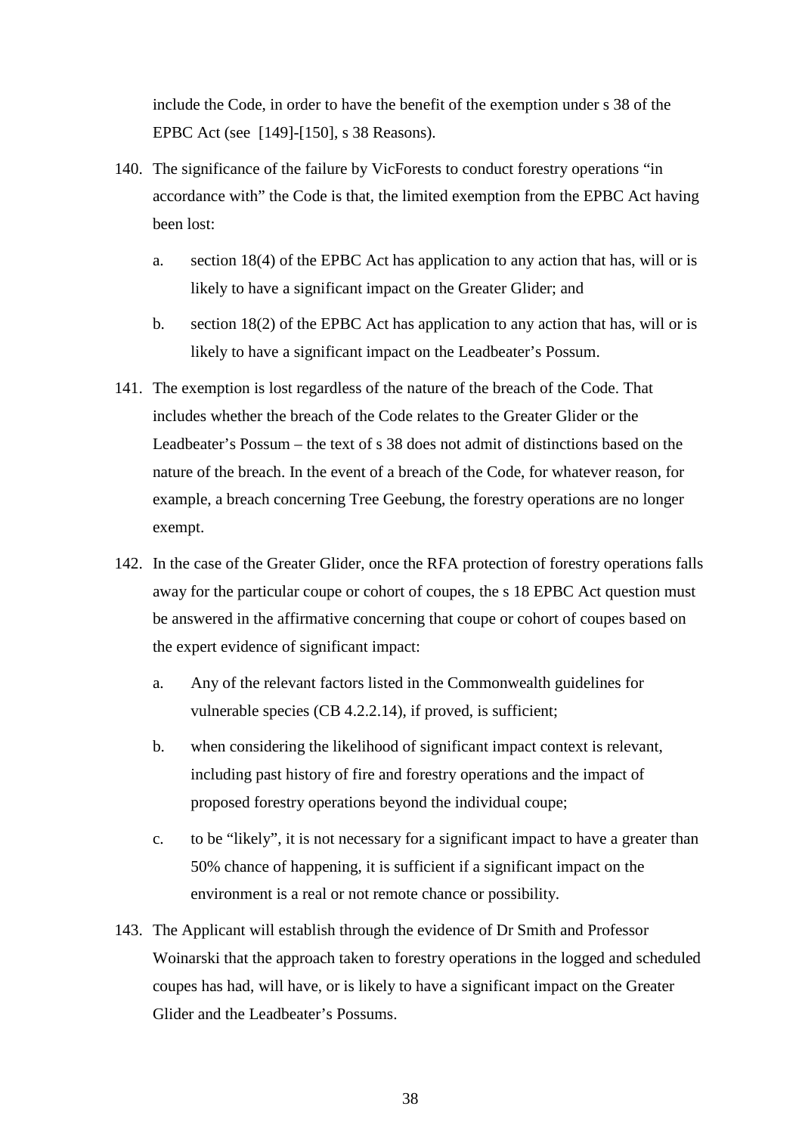include the Code, in order to have the benefit of the exemption under s 38 of the EPBC Act (see [149]-[150], s 38 Reasons).

- 140. The significance of the failure by VicForests to conduct forestry operations "in accordance with" the Code is that, the limited exemption from the EPBC Act having been lost:
	- a. section 18(4) of the EPBC Act has application to any action that has, will or is likely to have a significant impact on the Greater Glider; and
	- b. section 18(2) of the EPBC Act has application to any action that has, will or is likely to have a significant impact on the Leadbeater's Possum.
- 141. The exemption is lost regardless of the nature of the breach of the Code. That includes whether the breach of the Code relates to the Greater Glider or the Leadbeater's Possum – the text of s 38 does not admit of distinctions based on the nature of the breach. In the event of a breach of the Code, for whatever reason, for example, a breach concerning Tree Geebung, the forestry operations are no longer exempt.
- 142. In the case of the Greater Glider, once the RFA protection of forestry operations falls away for the particular coupe or cohort of coupes, the s 18 EPBC Act question must be answered in the affirmative concerning that coupe or cohort of coupes based on the expert evidence of significant impact:
	- a. Any of the relevant factors listed in the Commonwealth guidelines for vulnerable species (CB 4.2.2.14), if proved, is sufficient;
	- b. when considering the likelihood of significant impact context is relevant, including past history of fire and forestry operations and the impact of proposed forestry operations beyond the individual coupe;
	- c. to be "likely", it is not necessary for a significant impact to have a greater than 50% chance of happening, it is sufficient if a significant impact on the environment is a real or not remote chance or possibility.
- 143. The Applicant will establish through the evidence of Dr Smith and Professor Woinarski that the approach taken to forestry operations in the logged and scheduled coupes has had, will have, or is likely to have a significant impact on the Greater Glider and the Leadbeater's Possums.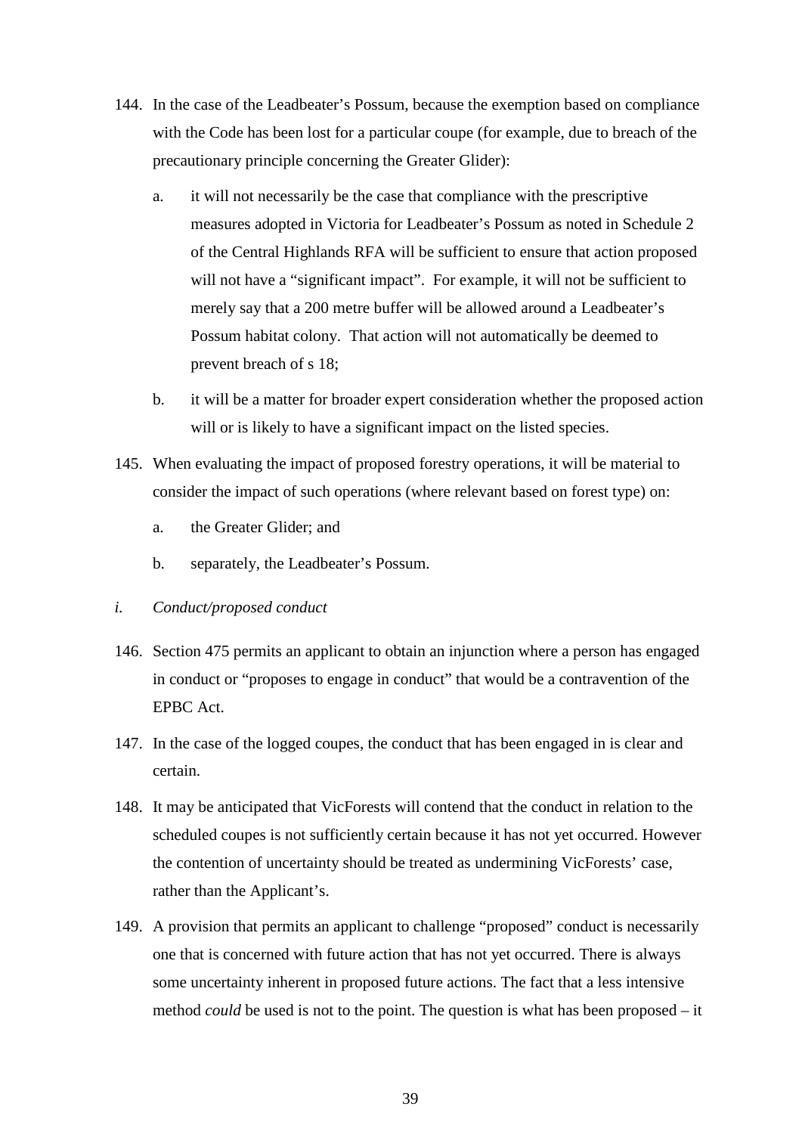- 144. In the case of the Leadbeater's Possum, because the exemption based on compliance with the Code has been lost for a particular coupe (for example, due to breach of the precautionary principle concerning the Greater Glider):
	- a. it will not necessarily be the case that compliance with the prescriptive measures adopted in Victoria for Leadbeater's Possum as noted in Schedule 2 of the Central Highlands RFA will be sufficient to ensure that action proposed will not have a "significant impact". For example, it will not be sufficient to merely say that a 200 metre buffer will be allowed around a Leadbeater's Possum habitat colony. That action will not automatically be deemed to prevent breach of s 18;
	- b. it will be a matter for broader expert consideration whether the proposed action will or is likely to have a significant impact on the listed species.
- 145. When evaluating the impact of proposed forestry operations, it will be material to consider the impact of such operations (where relevant based on forest type) on:
	- a. the Greater Glider; and
	- b. separately, the Leadbeater's Possum.
- *i. Conduct/proposed conduct*
- 146. Section 475 permits an applicant to obtain an injunction where a person has engaged in conduct or "proposes to engage in conduct" that would be a contravention of the EPBC Act.
- 147. In the case of the logged coupes, the conduct that has been engaged in is clear and certain.
- 148. It may be anticipated that VicForests will contend that the conduct in relation to the scheduled coupes is not sufficiently certain because it has not yet occurred. However the contention of uncertainty should be treated as undermining VicForests' case, rather than the Applicant's.
- 149. A provision that permits an applicant to challenge "proposed" conduct is necessarily one that is concerned with future action that has not yet occurred. There is always some uncertainty inherent in proposed future actions. The fact that a less intensive method *could* be used is not to the point. The question is what has been proposed – it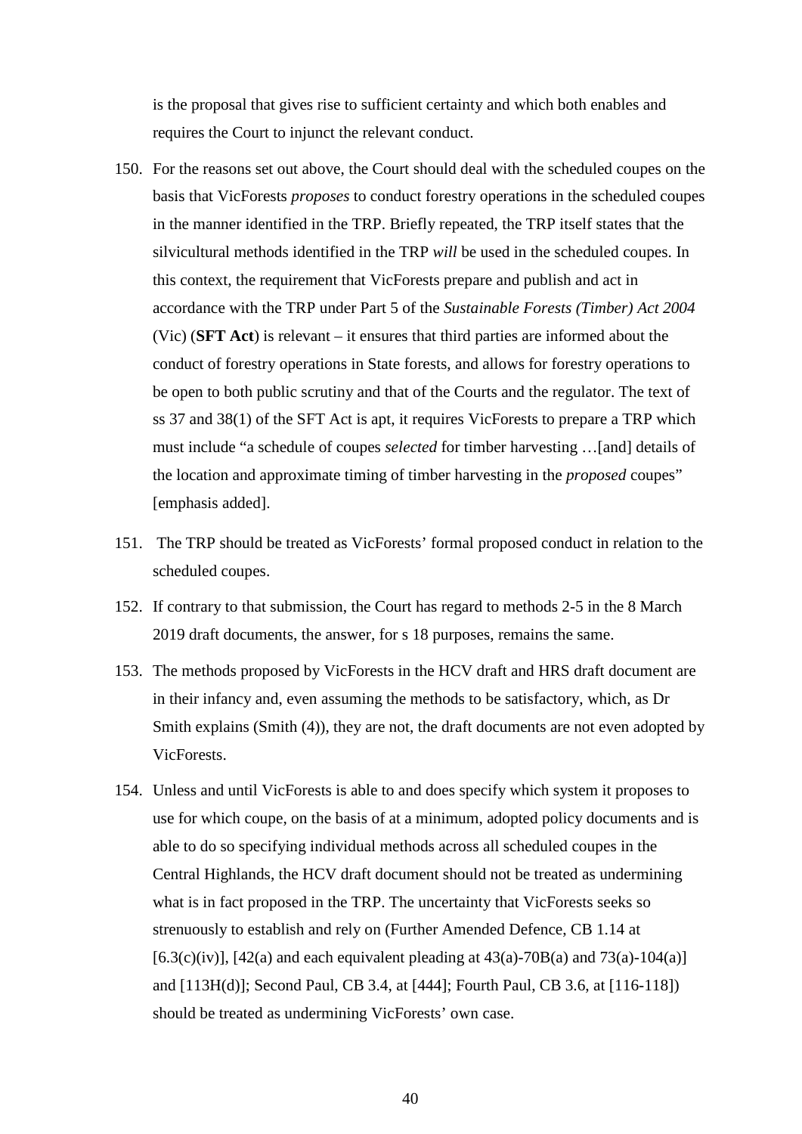is the proposal that gives rise to sufficient certainty and which both enables and requires the Court to injunct the relevant conduct.

- 150. For the reasons set out above, the Court should deal with the scheduled coupes on the basis that VicForests *proposes* to conduct forestry operations in the scheduled coupes in the manner identified in the TRP. Briefly repeated, the TRP itself states that the silvicultural methods identified in the TRP *will* be used in the scheduled coupes. In this context, the requirement that VicForests prepare and publish and act in accordance with the TRP under Part 5 of the *Sustainable Forests (Timber) Act 2004*  (Vic) (**SFT Act**) is relevant – it ensures that third parties are informed about the conduct of forestry operations in State forests, and allows for forestry operations to be open to both public scrutiny and that of the Courts and the regulator. The text of ss 37 and 38(1) of the SFT Act is apt, it requires VicForests to prepare a TRP which must include "a schedule of [coupes](http://www.austlii.edu.au/cgi-bin/viewdoc/au/legis/vic/consol_act/sfa2004289/s77a.html#coupe) *selected* for timber harvesting …[and] details of the location and approximate timing of timber harvesting in the *proposed* [coupes"](http://www.austlii.edu.au/cgi-bin/viewdoc/au/legis/vic/consol_act/sfa2004289/s77a.html#coupe) [emphasis added].
- 151. The TRP should be treated as VicForests' formal proposed conduct in relation to the scheduled coupes.
- 152. If contrary to that submission, the Court has regard to methods 2-5 in the 8 March 2019 draft documents, the answer, for s 18 purposes, remains the same.
- 153. The methods proposed by VicForests in the HCV draft and HRS draft document are in their infancy and, even assuming the methods to be satisfactory, which, as Dr Smith explains (Smith (4)), they are not, the draft documents are not even adopted by VicForests.
- 154. Unless and until VicForests is able to and does specify which system it proposes to use for which coupe, on the basis of at a minimum, adopted policy documents and is able to do so specifying individual methods across all scheduled coupes in the Central Highlands, the HCV draft document should not be treated as undermining what is in fact proposed in the TRP. The uncertainty that VicForests seeks so strenuously to establish and rely on (Further Amended Defence, CB 1.14 at [6.3(c)(iv)], [42(a) and each equivalent pleading at  $43(a)$ -70B(a) and  $73(a)$ -104(a)] and [113H(d)]; Second Paul, CB 3.4, at [444]; Fourth Paul, CB 3.6, at [116-118]) should be treated as undermining VicForests' own case.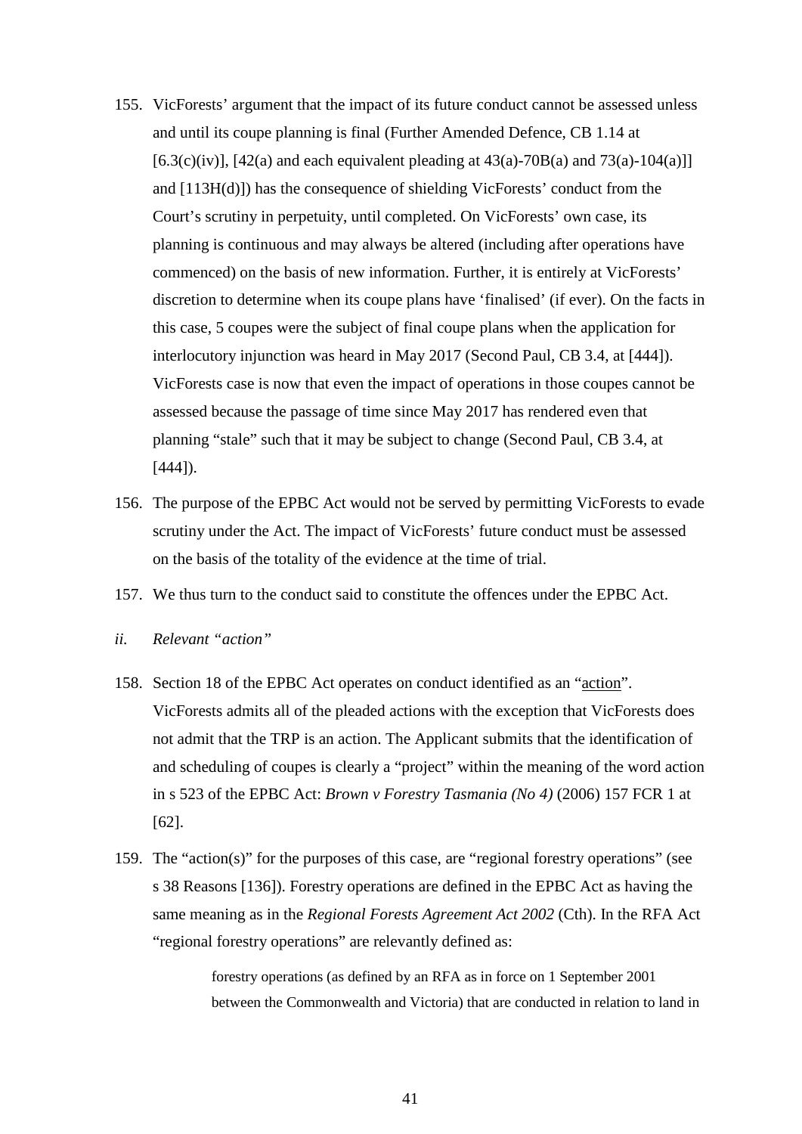- 155. VicForests' argument that the impact of its future conduct cannot be assessed unless and until its coupe planning is final (Further Amended Defence, CB 1.14 at [6.3(c)(iv)], [42(a) and each equivalent pleading at  $43(a)$ -70B(a) and  $73(a)$ -104(a)]] and [113H(d)]) has the consequence of shielding VicForests' conduct from the Court's scrutiny in perpetuity, until completed. On VicForests' own case, its planning is continuous and may always be altered (including after operations have commenced) on the basis of new information. Further, it is entirely at VicForests' discretion to determine when its coupe plans have 'finalised' (if ever). On the facts in this case, 5 coupes were the subject of final coupe plans when the application for interlocutory injunction was heard in May 2017 (Second Paul, CB 3.4, at [444]). VicForests case is now that even the impact of operations in those coupes cannot be assessed because the passage of time since May 2017 has rendered even that planning "stale" such that it may be subject to change (Second Paul, CB 3.4, at  $[444]$ ).
- 156. The purpose of the EPBC Act would not be served by permitting VicForests to evade scrutiny under the Act. The impact of VicForests' future conduct must be assessed on the basis of the totality of the evidence at the time of trial.
- 157. We thus turn to the conduct said to constitute the offences under the EPBC Act.
- *ii. Relevant "action"*
- 158. Section 18 of the EPBC Act operates on conduct identified as an "action". VicForests admits all of the pleaded actions with the exception that VicForests does not admit that the TRP is an action. The Applicant submits that the identification of and scheduling of coupes is clearly a "project" within the meaning of the word action in s 523 of the EPBC Act: *Brown v Forestry Tasmania (No 4)* (2006) 157 FCR 1 at [62].
- 159. The "action(s)" for the purposes of this case, are "regional forestry operations" (see s 38 Reasons [136]). Forestry operations are defined in the EPBC Act as having the same meaning as in the *Regional Forests Agreement Act 2002* (Cth). In the RFA Act "regional forestry operations" are relevantly defined as:

forestry operations (as defined by an RFA as in force on 1 September 2001 between the Commonwealth and Victoria) that are conducted in relation to land in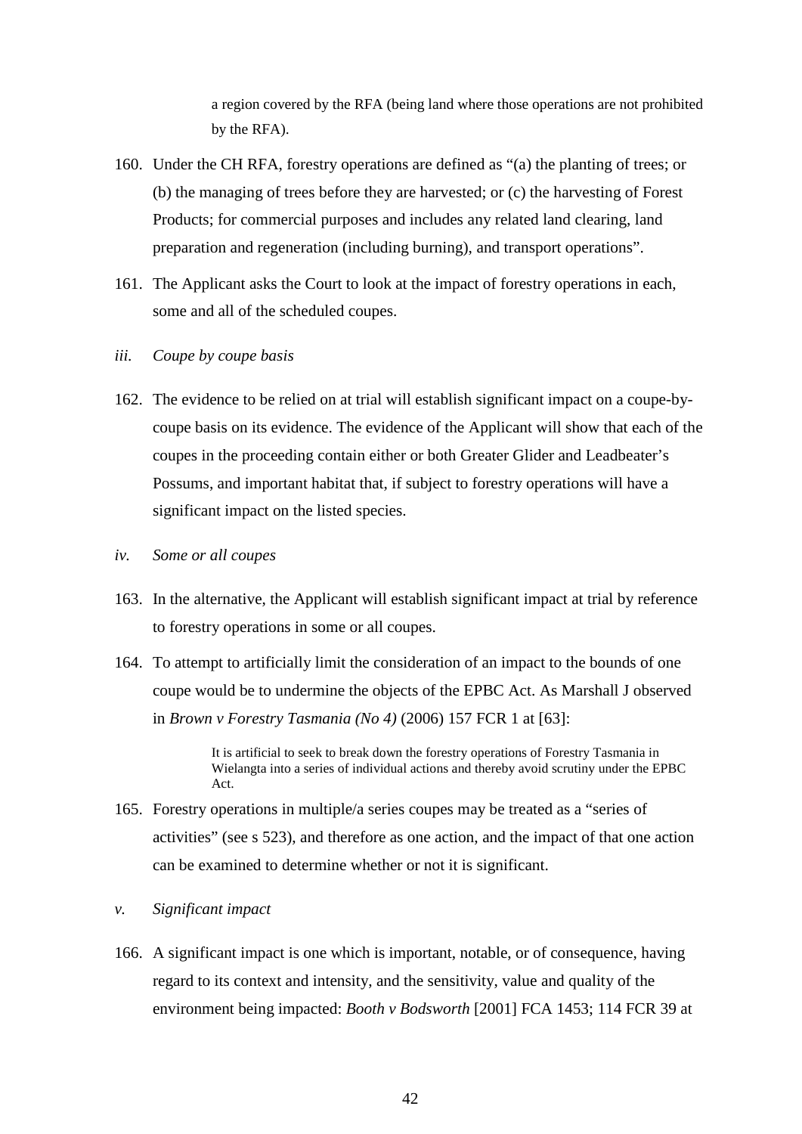a region covered by the RFA (being land where those operations are not prohibited by the RFA).

- 160. Under the CH RFA, forestry operations are defined as "(a) the planting of trees; or (b) the managing of trees before they are harvested; or (c) the harvesting of Forest Products; for commercial purposes and includes any related land clearing, land preparation and regeneration (including burning), and transport operations".
- 161. The Applicant asks the Court to look at the impact of forestry operations in each, some and all of the scheduled coupes.
- *iii. Coupe by coupe basis*
- 162. The evidence to be relied on at trial will establish significant impact on a coupe-bycoupe basis on its evidence. The evidence of the Applicant will show that each of the coupes in the proceeding contain either or both Greater Glider and Leadbeater's Possums, and important habitat that, if subject to forestry operations will have a significant impact on the listed species.
- *iv. Some or all coupes*
- 163. In the alternative, the Applicant will establish significant impact at trial by reference to forestry operations in some or all coupes.
- 164. To attempt to artificially limit the consideration of an impact to the bounds of one coupe would be to undermine the objects of the EPBC Act. As Marshall J observed in *Brown v Forestry Tasmania (No 4)* (2006) 157 FCR 1 at [63]:

It is artificial to seek to break down the forestry operations of Forestry Tasmania in Wielangta into a series of individual actions and thereby avoid scrutiny under the EPBC Act.

- 165. Forestry operations in multiple/a series coupes may be treated as a "series of activities" (see s 523), and therefore as one action, and the impact of that one action can be examined to determine whether or not it is significant.
- *v. Significant impact*
- 166. A significant impact is one which is important, notable, or of consequence, having regard to its context and intensity, and the sensitivity, value and quality of the environment being impacted: *Booth v Bodsworth* [2001] FCA 1453; 114 FCR 39 at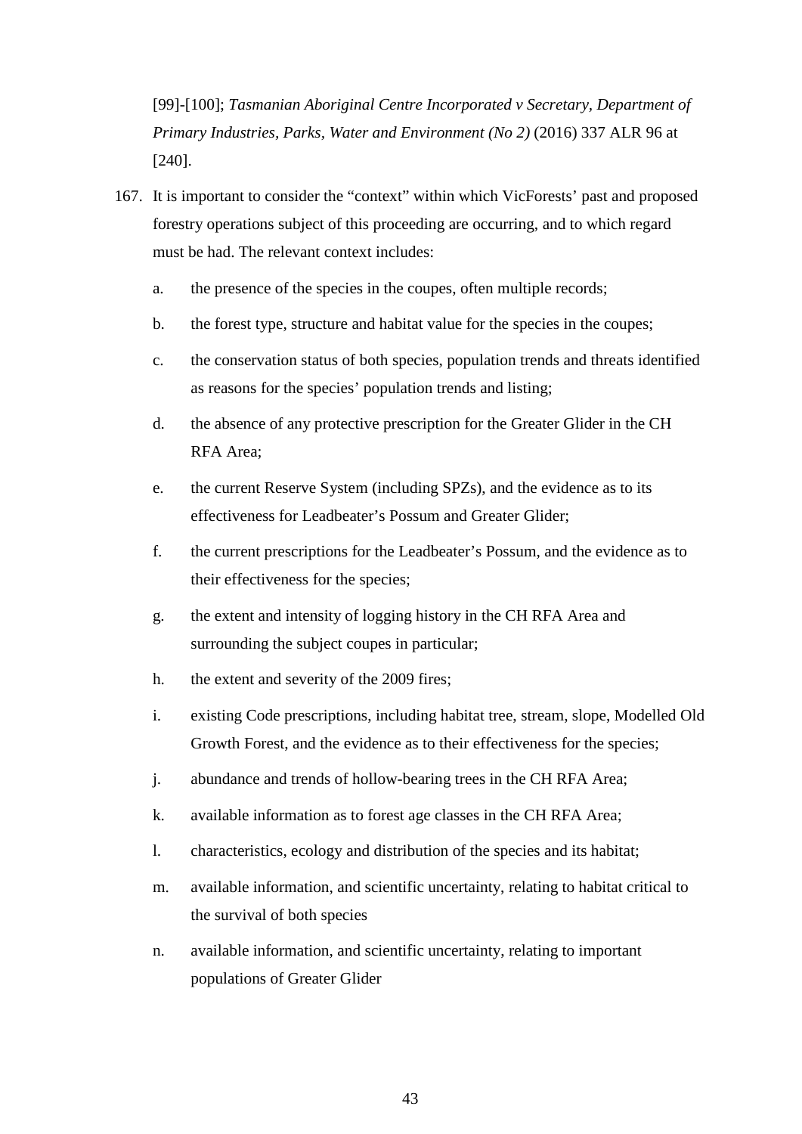[99]-[100]; *Tasmanian Aboriginal Centre Incorporated v Secretary, Department of Primary Industries, Parks, Water and Environment (No 2)* (2016) 337 ALR 96 at [240].

- 167. It is important to consider the "context" within which VicForests' past and proposed forestry operations subject of this proceeding are occurring, and to which regard must be had. The relevant context includes:
	- a. the presence of the species in the coupes, often multiple records;
	- b. the forest type, structure and habitat value for the species in the coupes;
	- c. the conservation status of both species, population trends and threats identified as reasons for the species' population trends and listing;
	- d. the absence of any protective prescription for the Greater Glider in the CH RFA Area;
	- e. the current Reserve System (including SPZs), and the evidence as to its effectiveness for Leadbeater's Possum and Greater Glider;
	- f. the current prescriptions for the Leadbeater's Possum, and the evidence as to their effectiveness for the species;
	- g. the extent and intensity of logging history in the CH RFA Area and surrounding the subject coupes in particular;
	- h. the extent and severity of the 2009 fires;
	- i. existing Code prescriptions, including habitat tree, stream, slope, Modelled Old Growth Forest, and the evidence as to their effectiveness for the species;
	- j. abundance and trends of hollow-bearing trees in the CH RFA Area;
	- k. available information as to forest age classes in the CH RFA Area;
	- l. characteristics, ecology and distribution of the species and its habitat;
	- m. available information, and scientific uncertainty, relating to habitat critical to the survival of both species
	- n. available information, and scientific uncertainty, relating to important populations of Greater Glider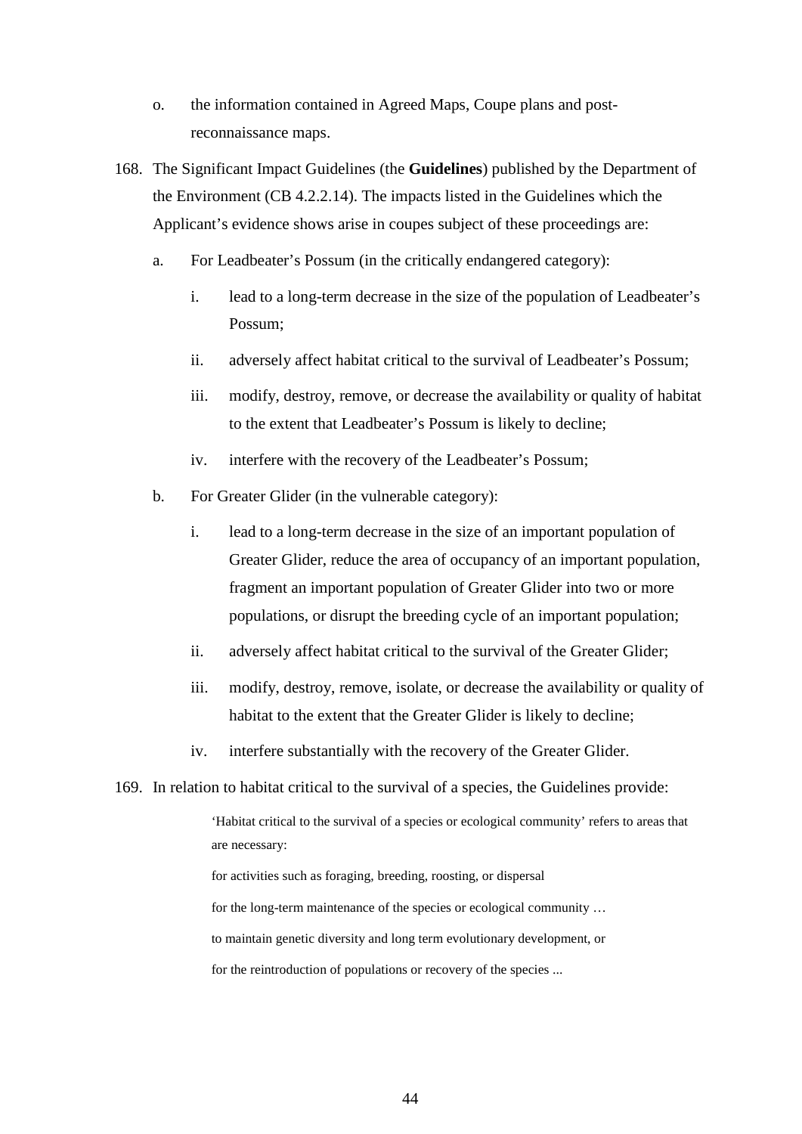- o. the information contained in Agreed Maps, Coupe plans and postreconnaissance maps.
- 168. The Significant Impact Guidelines (the **Guidelines**) published by the Department of the Environment (CB 4.2.2.14). The impacts listed in the Guidelines which the Applicant's evidence shows arise in coupes subject of these proceedings are:
	- a. For Leadbeater's Possum (in the critically endangered category):
		- i. lead to a long-term decrease in the size of the population of Leadbeater's Possum;
		- ii. adversely affect habitat critical to the survival of Leadbeater's Possum;
		- iii. modify, destroy, remove, or decrease the availability or quality of habitat to the extent that Leadbeater's Possum is likely to decline;
		- iv. interfere with the recovery of the Leadbeater's Possum;
	- b. For Greater Glider (in the vulnerable category):
		- i. lead to a long-term decrease in the size of an important population of Greater Glider, reduce the area of occupancy of an important population, fragment an important population of Greater Glider into two or more populations, or disrupt the breeding cycle of an important population;
		- ii. adversely affect habitat critical to the survival of the Greater Glider;
		- iii. modify, destroy, remove, isolate, or decrease the availability or quality of habitat to the extent that the Greater Glider is likely to decline;
		- iv. interfere substantially with the recovery of the Greater Glider.
- 169. In relation to habitat critical to the survival of a species, the Guidelines provide:

'Habitat critical to the survival of a species or ecological community' refers to areas that are necessary:

for activities such as foraging, breeding, roosting, or dispersal for the long-term maintenance of the species or ecological community … to maintain genetic diversity and long term evolutionary development, or for the reintroduction of populations or recovery of the species ...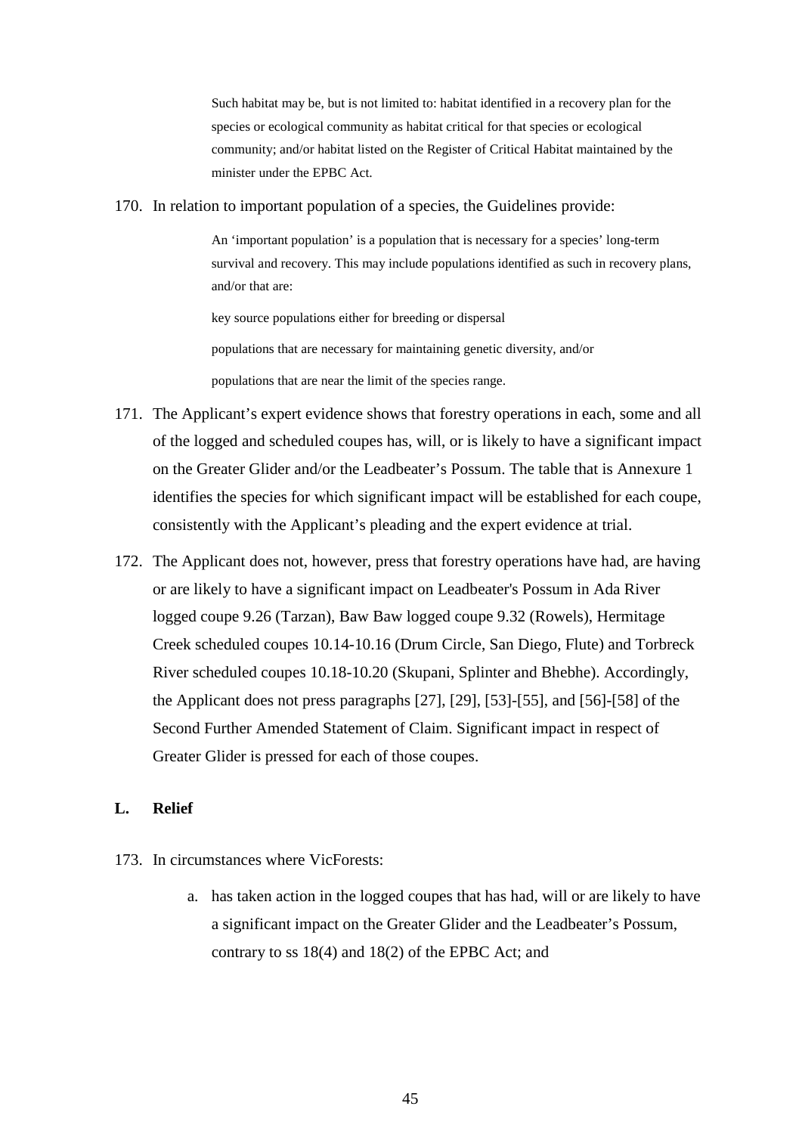Such habitat may be, but is not limited to: habitat identified in a recovery plan for the species or ecological community as habitat critical for that species or ecological community; and/or habitat listed on the Register of Critical Habitat maintained by the minister under the EPBC Act.

#### 170. In relation to important population of a species, the Guidelines provide:

An 'important population' is a population that is necessary for a species' long-term survival and recovery. This may include populations identified as such in recovery plans, and/or that are:

key source populations either for breeding or dispersal

populations that are necessary for maintaining genetic diversity, and/or

populations that are near the limit of the species range.

- 171. The Applicant's expert evidence shows that forestry operations in each, some and all of the logged and scheduled coupes has, will, or is likely to have a significant impact on the Greater Glider and/or the Leadbeater's Possum. The table that is Annexure 1 identifies the species for which significant impact will be established for each coupe, consistently with the Applicant's pleading and the expert evidence at trial.
- 172. The Applicant does not, however, press that forestry operations have had, are having or are likely to have a significant impact on Leadbeater's Possum in Ada River logged coupe 9.26 (Tarzan), Baw Baw logged coupe 9.32 (Rowels), Hermitage Creek scheduled coupes 10.14-10.16 (Drum Circle, San Diego, Flute) and Torbreck River scheduled coupes 10.18-10.20 (Skupani, Splinter and Bhebhe). Accordingly, the Applicant does not press paragraphs [27], [29], [53]-[55], and [56]-[58] of the Second Further Amended Statement of Claim. Significant impact in respect of Greater Glider is pressed for each of those coupes.

#### **L. Relief**

- 173. In circumstances where VicForests:
	- a. has taken action in the logged coupes that has had, will or are likely to have a significant impact on the Greater Glider and the Leadbeater's Possum, contrary to ss 18(4) and 18(2) of the EPBC Act; and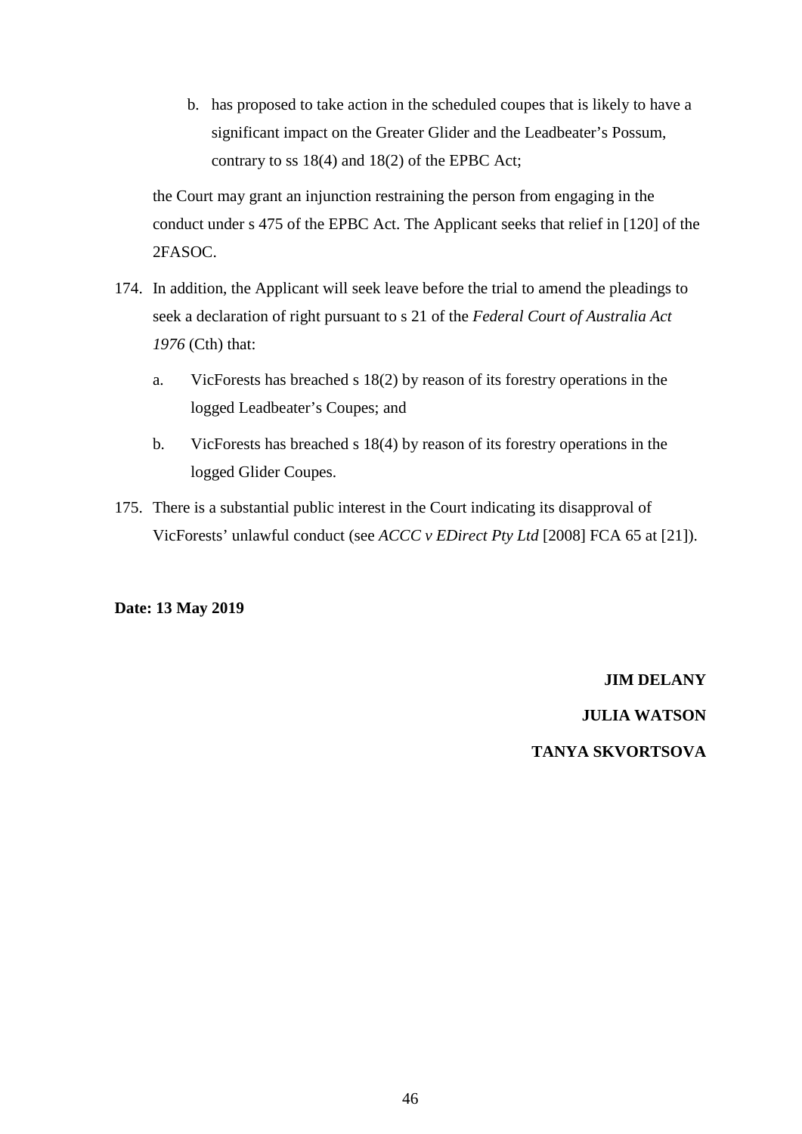b. has proposed to take action in the scheduled coupes that is likely to have a significant impact on the Greater Glider and the Leadbeater's Possum, contrary to ss 18(4) and 18(2) of the EPBC Act;

the Court may grant an injunction restraining the person from engaging in the conduct under s 475 of the EPBC Act. The Applicant seeks that relief in [120] of the 2FASOC.

- 174. In addition, the Applicant will seek leave before the trial to amend the pleadings to seek a declaration of right pursuant to s 21 of the *Federal Court of Australia Act 1976* (Cth) that:
	- a. VicForests has breached s 18(2) by reason of its forestry operations in the logged Leadbeater's Coupes; and
	- b. VicForests has breached s 18(4) by reason of its forestry operations in the logged Glider Coupes.
- 175. There is a substantial public interest in the Court indicating its disapproval of VicForests' unlawful conduct (see *ACCC v EDirect Pty Ltd* [2008] FCA 65 at [21]).

# **Date: 13 May 2019**

#### **JIM DELANY**

**JULIA WATSON**

# **TANYA SKVORTSOVA**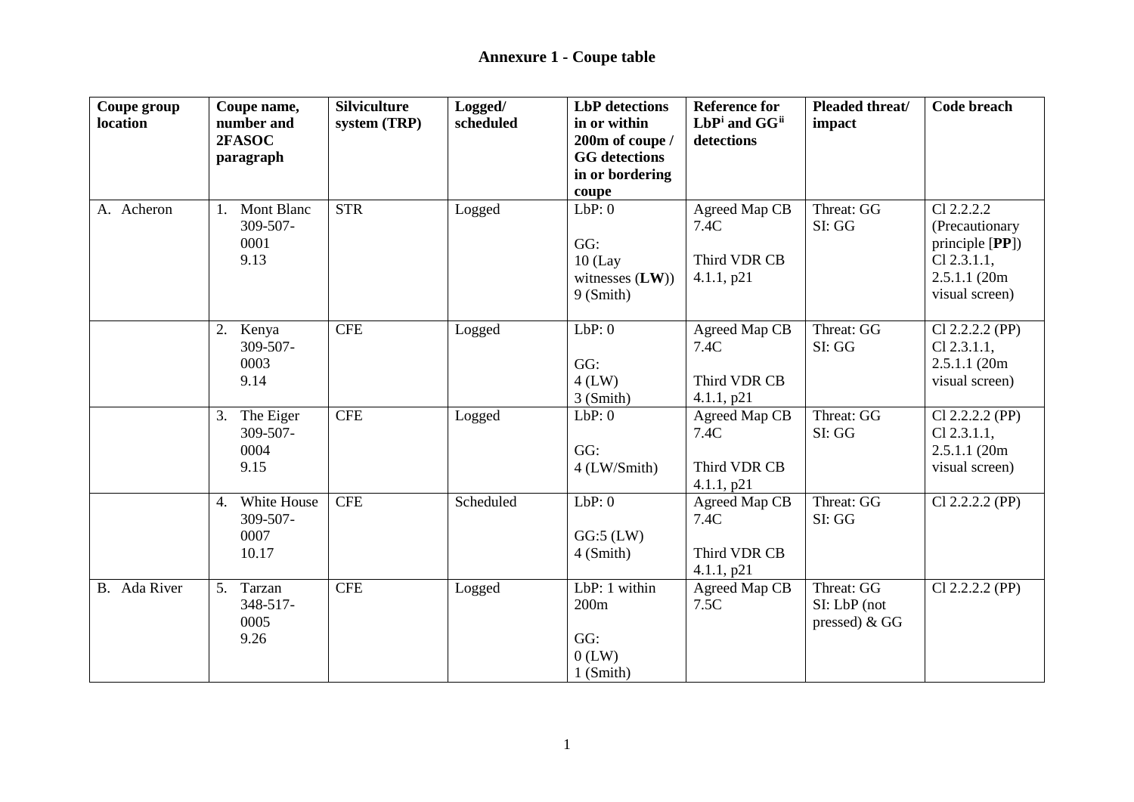| Coupe group<br>location | Coupe name,<br>number and | <b>Silviculture</b><br>system (TRP) | Logged/<br>scheduled | <b>LbP</b> detections<br>in or within | <b>Reference for</b><br>LbPi and GG <sup>ii</sup> | Pleaded threat/<br>impact | <b>Code breach</b> |
|-------------------------|---------------------------|-------------------------------------|----------------------|---------------------------------------|---------------------------------------------------|---------------------------|--------------------|
|                         | 2FASOC                    |                                     |                      | 200m of coupe /                       | detections                                        |                           |                    |
|                         | paragraph                 |                                     |                      | <b>GG</b> detections                  |                                                   |                           |                    |
|                         |                           |                                     |                      | in or bordering                       |                                                   |                           |                    |
|                         |                           |                                     |                      | coupe                                 |                                                   |                           |                    |
| A. Acheron              | Mont Blanc<br>1.          | <b>STR</b>                          | Logged               | LbP:0                                 | Agreed Map CB                                     | Threat: GG                | Cl 2.2.2.2         |
|                         | 309-507-                  |                                     |                      |                                       | 7.4C                                              | SI: GG                    | (Precautionary     |
|                         | 0001                      |                                     |                      | GG:                                   |                                                   |                           | principle $[PP]$ ) |
|                         | 9.13                      |                                     |                      | $10$ (Lay                             | Third VDR CB                                      |                           | $Cl$ 2.3.1.1,      |
|                         |                           |                                     |                      | witnesses $(LW)$ )                    | 4.1.1, p21                                        |                           | 2.5.1.1 (20m)      |
|                         |                           |                                     |                      | 9 (Smith)                             |                                                   |                           | visual screen)     |
|                         | 2.<br>Kenya               | <b>CFE</b>                          | Logged               | LbP:0                                 | Agreed Map CB                                     | Threat: GG                | $Cl$ 2.2.2.2 (PP)  |
|                         | 309-507-                  |                                     |                      |                                       | 7.4C                                              | SI: GG                    | $Cl$ 2.3.1.1,      |
|                         | 0003                      |                                     |                      | GG:                                   |                                                   |                           | 2.5.1.1(20m)       |
|                         | 9.14                      |                                     |                      | $4$ (LW)                              | Third VDR CB                                      |                           | visual screen)     |
|                         |                           |                                     |                      | $3$ (Smith)                           | 4.1.1, p21                                        |                           |                    |
|                         | The Eiger<br>3.           | <b>CFE</b>                          | Logged               | LbP:0                                 | Agreed Map CB                                     | Threat: GG                | $Cl$ 2.2.2.2 (PP)  |
|                         | 309-507-                  |                                     |                      |                                       | 7.4C                                              | SI: GG                    | $Cl$ 2.3.1.1,      |
|                         | 0004                      |                                     |                      | GG:                                   |                                                   |                           | 2.5.1.1(20m)       |
|                         | 9.15                      |                                     |                      | 4 (LW/Smith)                          | Third VDR CB                                      |                           | visual screen)     |
|                         |                           |                                     |                      |                                       | 4.1.1, p21                                        |                           |                    |
|                         | White House<br>4.         | <b>CFE</b>                          | Scheduled            | LbP:0                                 | Agreed Map CB                                     | Threat: GG                | $Cl 2.2.2.2$ (PP)  |
|                         | 309-507-<br>0007          |                                     |                      | $GG:5$ (LW)                           | 7.4C                                              | SI: GG                    |                    |
|                         | 10.17                     |                                     |                      | 4 (Smith)                             | Third VDR CB                                      |                           |                    |
|                         |                           |                                     |                      |                                       | 4.1.1, p21                                        |                           |                    |
| B. Ada River            | Tarzan<br>5.              | <b>CFE</b>                          | Logged               | LbP: 1 within                         | Agreed Map CB                                     | Threat: GG                | $Cl$ 2.2.2.2 (PP)  |
|                         | 348-517-                  |                                     |                      | 200m                                  | 7.5C                                              | SI: LbP (not              |                    |
|                         | 0005                      |                                     |                      |                                       |                                                   | pressed) & GG             |                    |
|                         | 9.26                      |                                     |                      | GG:                                   |                                                   |                           |                    |
|                         |                           |                                     |                      | $0$ (LW)                              |                                                   |                           |                    |
|                         |                           |                                     |                      | 1 (Smith)                             |                                                   |                           |                    |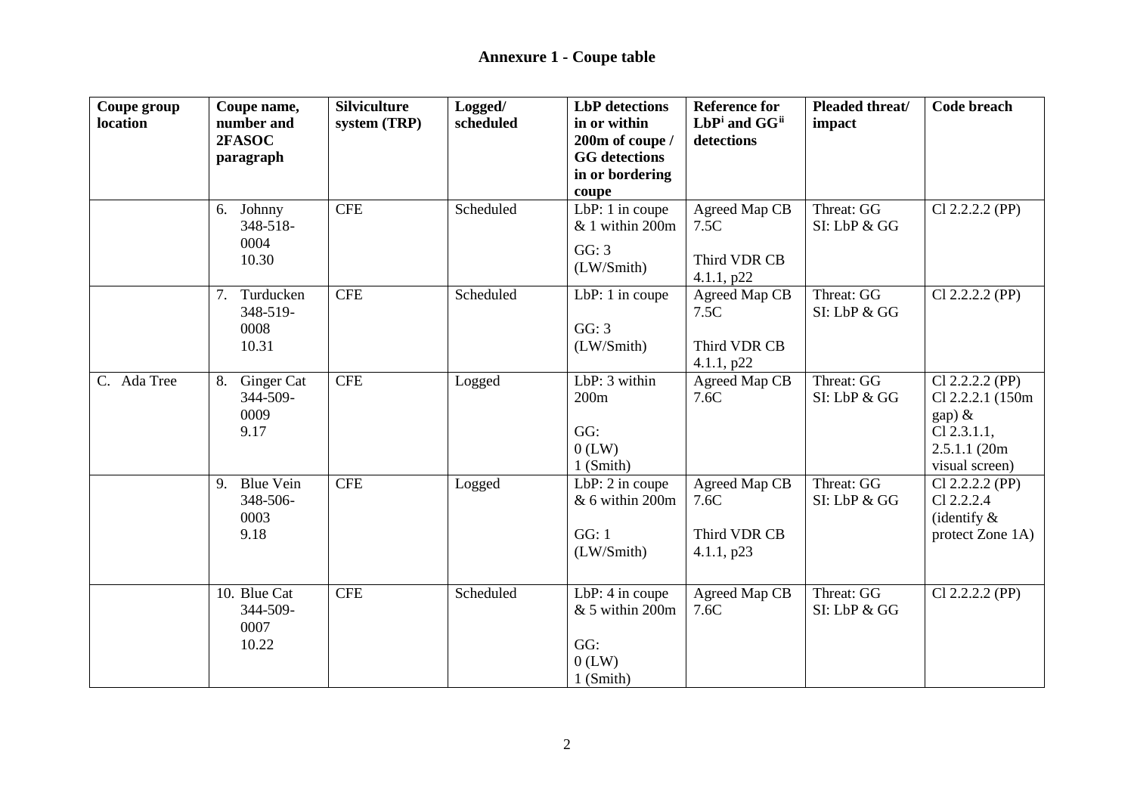| Coupe group<br>location | Coupe name,<br>number and<br>2FASOC<br>paragraph | <b>Silviculture</b><br>system (TRP) | Logged/<br>scheduled | <b>LbP</b> detections<br>in or within<br>200m of coupe /<br><b>GG</b> detections<br>in or bordering | <b>Reference for</b><br>LbPi and GGii<br>detections | Pleaded threat/<br>impact  | Code breach                                                                                           |
|-------------------------|--------------------------------------------------|-------------------------------------|----------------------|-----------------------------------------------------------------------------------------------------|-----------------------------------------------------|----------------------------|-------------------------------------------------------------------------------------------------------|
|                         |                                                  |                                     |                      | coupe                                                                                               |                                                     |                            |                                                                                                       |
|                         | Johnny<br>6.<br>348-518-<br>0004<br>10.30        | <b>CFE</b>                          | Scheduled            | LbP: $1$ in coupe<br>& 1 within 200m<br>GG: 3<br>(LW/Smith)                                         | Agreed Map CB<br>7.5C<br>Third VDR CB<br>4.1.1, p22 | Threat: GG<br>SI: LbP & GG | $Cl$ 2.2.2.2 (PP)                                                                                     |
|                         | Turducken<br>7.<br>348-519-<br>0008<br>10.31     | <b>CFE</b>                          | Scheduled            | LbP: 1 in coupe<br>GG: 3<br>(LW/Smith)                                                              | Agreed Map CB<br>7.5C<br>Third VDR CB<br>4.1.1, p22 | Threat: GG<br>SI: LbP & GG | $Cl$ 2.2.2.2 (PP)                                                                                     |
| C. Ada Tree             | Ginger Cat<br>8.<br>344-509-<br>0009<br>9.17     | <b>CFE</b>                          | Logged               | LbP: $3$ within<br>200m<br>GG:<br>$0$ (LW)<br>1 (Smith)                                             | Agreed Map CB<br>7.6C                               | Threat: GG<br>SI: LbP & GG | $Cl$ 2.2.2.2 (PP)<br>Cl 2.2.2.1 (150m)<br>$gap)$ &<br>$Cl$ 2.3.1.1,<br>2.5.1.1(20m)<br>visual screen) |
|                         | 9. Blue Vein<br>348-506-<br>0003<br>9.18         | <b>CFE</b>                          | Logged               | LbP: $2$ in coupe<br>& 6 within 200m<br>GG: 1<br>(LW/Smith)                                         | Agreed Map CB<br>7.6C<br>Third VDR CB<br>4.1.1, p23 | Threat: GG<br>SI: LbP & GG | $Cl 2.2.2.2$ (PP)<br>Cl 2.2.2.4<br>(identify $\&$<br>protect Zone 1A)                                 |
|                         | 10. Blue Cat<br>344-509-<br>0007<br>10.22        | <b>CFE</b>                          | Scheduled            | LbP: 4 in coupe<br>& 5 within 200m<br>GG:<br>$0$ (LW)<br>1 (Smith)                                  | Agreed Map CB<br>7.6C                               | Threat: GG<br>SI: LbP & GG | $Cl$ 2.2.2.2 (PP)                                                                                     |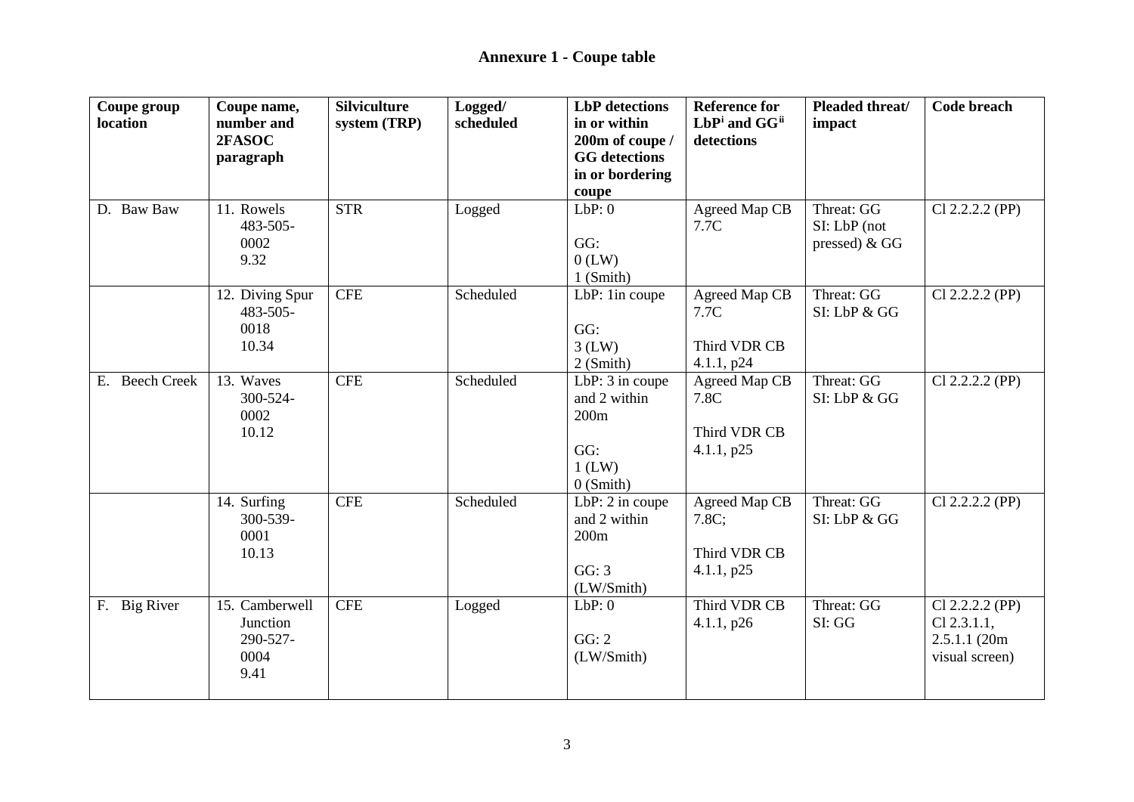| Coupe group<br>location | Coupe name,<br>number and<br>2FASOC                    | <b>Silviculture</b><br>system (TRP) | Logged/<br>scheduled | <b>LbP</b> detections<br>in or within<br>200m of coupe /                  | <b>Reference for</b><br>LbPi and GG <sup>ii</sup><br>detections | Pleaded threat/<br>impact                   | <b>Code breach</b>                                                   |
|-------------------------|--------------------------------------------------------|-------------------------------------|----------------------|---------------------------------------------------------------------------|-----------------------------------------------------------------|---------------------------------------------|----------------------------------------------------------------------|
|                         | paragraph                                              |                                     |                      | <b>GG</b> detections<br>in or bordering<br>coupe                          |                                                                 |                                             |                                                                      |
| D. Baw Baw              | 11. Rowels<br>483-505-<br>0002<br>9.32                 | <b>STR</b>                          | Logged               | LbP:0<br>GG:<br>$0$ (LW)<br>$1$ (Smith)                                   | Agreed Map CB<br>7.7C                                           | Threat: GG<br>SI: LbP (not<br>pressed) & GG | $Cl$ 2.2.2.2 (PP)                                                    |
|                         | 12. Diving Spur<br>483-505-<br>0018<br>10.34           | <b>CFE</b>                          | Scheduled            | LbP: 1in coupe<br>GG:<br>$3$ (LW)<br>2 (Smith)                            | Agreed Map CB<br>7.7C<br>Third VDR CB<br>4.1.1, p24             | Threat: GG<br>SI: LbP & GG                  | $Cl$ 2.2.2.2 (PP)                                                    |
| E. Beech Creek          | 13. Waves<br>$300 - 524 -$<br>0002<br>10.12            | <b>CFE</b>                          | Scheduled            | LbP: 3 in coupe<br>and 2 within<br>200m<br>GG:<br>$1$ (LW)<br>$0$ (Smith) | Agreed Map CB<br>7.8C<br>Third VDR CB<br>4.1.1, p25             | Threat: GG<br>SI: LbP & GG                  | $Cl$ 2.2.2.2 (PP)                                                    |
|                         | 14. Surfing<br>300-539-<br>0001<br>10.13               | <b>CFE</b>                          | Scheduled            | LbP: 2 in coupe<br>and 2 within<br>200m<br>GG: 3<br>(LW/Smith)            | Agreed Map CB<br>7.8C;<br>Third VDR CB<br>4.1.1, p25            | Threat: GG<br>SI: LbP & GG                  | $Cl$ 2.2.2.2 (PP)                                                    |
| F. Big River            | 15. Camberwell<br>Junction<br>290-527-<br>0004<br>9.41 | <b>CFE</b>                          | Logged               | LbP:0<br>GG: 2<br>(LW/Smith)                                              | Third VDR CB<br>4.1.1, p26                                      | Threat: GG<br>SI: GG                        | $Cl 2.2.2.2$ (PP)<br>$Cl$ 2.3.1.1,<br>2.5.1.1(20m)<br>visual screen) |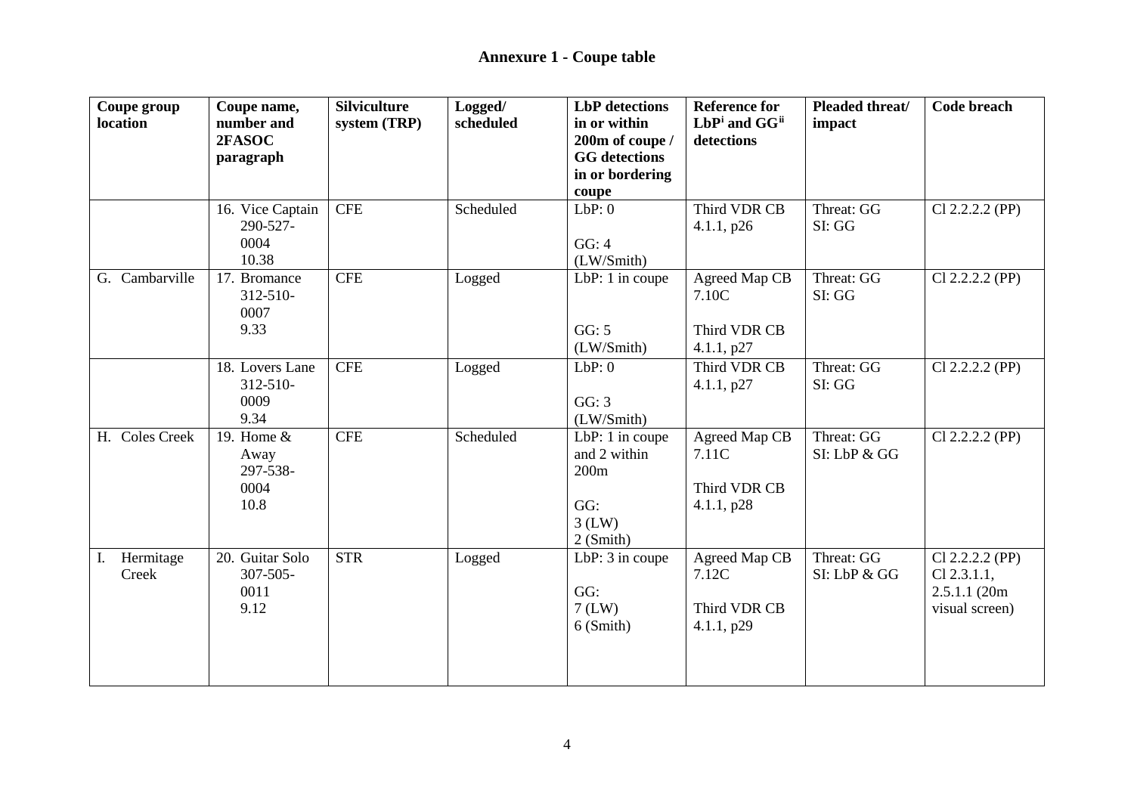| Coupe group<br>location  | Coupe name,<br>number and<br>2FASOC<br>paragraph | <b>Silviculture</b><br>system (TRP) | Logged/<br>scheduled | <b>LbP</b> detections<br>in or within<br>200m of coupe /<br><b>GG</b> detections<br>in or bordering | <b>Reference for</b><br>LbPi and GGii<br>detections  | Pleaded threat/<br>impact  | <b>Code breach</b>                                                  |
|--------------------------|--------------------------------------------------|-------------------------------------|----------------------|-----------------------------------------------------------------------------------------------------|------------------------------------------------------|----------------------------|---------------------------------------------------------------------|
|                          |                                                  |                                     |                      | coupe                                                                                               |                                                      |                            |                                                                     |
|                          | 16. Vice Captain<br>290-527-<br>0004<br>10.38    | CFE                                 | Scheduled            | LbP:0<br>GG: 4<br>(LW/Smith)                                                                        | Third VDR CB<br>4.1.1, p26                           | Threat: GG<br>SI: GG       | $Cl 2.2.2.2$ (PP)                                                   |
| G. Cambarville           | 17. Bromance<br>$312 - 510$<br>0007<br>9.33      | <b>CFE</b>                          | Logged               | LbP: 1 in coupe<br>GG: 5<br>(LW/Smith)                                                              | Agreed Map CB<br>7.10C<br>Third VDR CB<br>4.1.1, p27 | Threat: GG<br>SI: GG       | $Cl$ 2.2.2.2 (PP)                                                   |
|                          | 18. Lovers Lane<br>$312 - 510$<br>0009<br>9.34   | CFE                                 | Logged               | LbP:0<br>GG: 3<br>(LW/Smith)                                                                        | Third VDR CB<br>4.1.1, p27                           | Threat: GG<br>SI: GG       | $Cl$ 2.2.2.2 (PP)                                                   |
| H. Coles Creek           | 19. Home &<br>Away<br>297-538-<br>0004<br>10.8   | CFE                                 | Scheduled            | LbP: 1 in coupe<br>and 2 within<br>200m<br>GG:<br>$3$ (LW)<br>2 (Smith)                             | Agreed Map CB<br>7.11C<br>Third VDR CB<br>4.1.1, p28 | Threat: GG<br>SI: LbP & GG | $Cl$ 2.2.2.2 (PP)                                                   |
| Hermitage<br>Ι.<br>Creek | 20. Guitar Solo<br>$307 - 505 -$<br>0011<br>9.12 | <b>STR</b>                          | Logged               | LbP: 3 in coupe<br>GG:<br>$7$ (LW)<br>6 (Smith)                                                     | Agreed Map CB<br>7.12C<br>Third VDR CB<br>4.1.1, p29 | Threat: GG<br>SI: LbP & GG | Cl 2.2.2.2 (PP)<br>$Cl$ 2.3.1.1,<br>2.5.1.1 (20m)<br>visual screen) |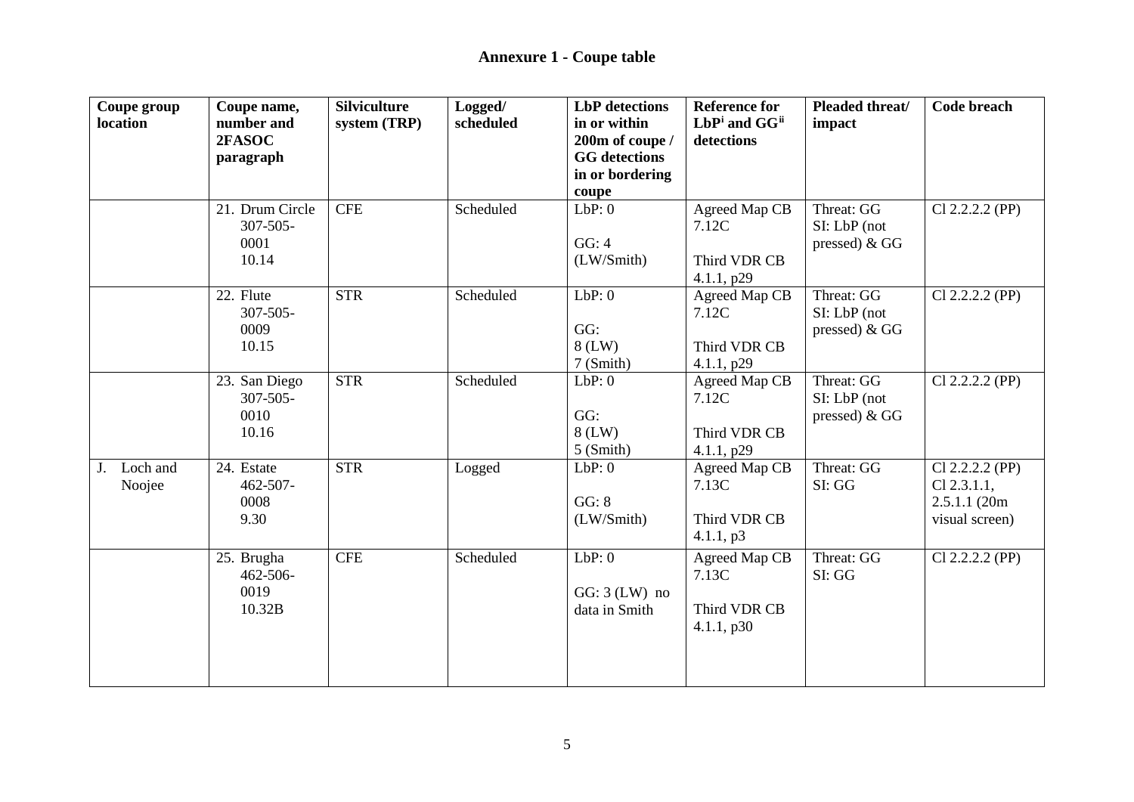| Coupe group<br>location  | Coupe name,<br>number and<br>2FASOC<br>paragraph  | <b>Silviculture</b><br>system (TRP) | Logged/<br>scheduled | <b>LbP</b> detections<br>in or within<br>200m of coupe /<br><b>GG</b> detections | <b>Reference for</b><br>LbPi and GGii<br>detections  | Pleaded threat/<br>impact                    | <b>Code breach</b>                                                   |
|--------------------------|---------------------------------------------------|-------------------------------------|----------------------|----------------------------------------------------------------------------------|------------------------------------------------------|----------------------------------------------|----------------------------------------------------------------------|
|                          |                                                   |                                     |                      | in or bordering<br>coupe                                                         |                                                      |                                              |                                                                      |
|                          | 21. Drum Circle<br>$307 - 505 -$<br>0001<br>10.14 | <b>CFE</b>                          | Scheduled            | LbP:0<br>GG: 4<br>(LW/Smith)                                                     | Agreed Map CB<br>7.12C<br>Third VDR CB<br>4.1.1, p29 | Threat: GG<br>SI: LbP (not<br>pressed) $&GG$ | $Cl 2.2.2.2$ (PP)                                                    |
|                          | 22. Flute<br>$307 - 505 -$<br>0009<br>10.15       | <b>STR</b>                          | Scheduled            | LbP:0<br>GG:<br>$8$ (LW)<br>7 (Smith)                                            | Agreed Map CB<br>7.12C<br>Third VDR CB<br>4.1.1, p29 | Threat: GG<br>SI: LbP (not<br>pressed) $&GG$ | $Cl 2.2.2.2$ (PP)                                                    |
|                          | 23. San Diego<br>$307 - 505 -$<br>0010<br>10.16   | <b>STR</b>                          | Scheduled            | LbP:0<br>GG:<br>$8$ (LW)<br>$5$ (Smith)                                          | Agreed Map CB<br>7.12C<br>Third VDR CB<br>4.1.1, p29 | Threat: GG<br>SI: LbP (not<br>pressed) $&GG$ | $Cl 2.2.2.2$ (PP)                                                    |
| Loch and<br>J.<br>Noojee | 24. Estate<br>$462 - 507 -$<br>0008<br>9.30       | <b>STR</b>                          | Logged               | LbP:0<br>GG: 8<br>(LW/Smith)                                                     | Agreed Map CB<br>7.13C<br>Third VDR CB<br>4.1.1, p3  | Threat: GG<br>SI: GG                         | $Cl 2.2.2.2$ (PP)<br>$Cl$ 2.3.1.1,<br>2.5.1.1(20m)<br>visual screen) |
|                          | 25. Brugha<br>462-506-<br>0019<br>10.32B          | <b>CFE</b>                          | Scheduled            | LbP:0<br>$GG: 3(LW)$ no<br>data in Smith                                         | Agreed Map CB<br>7.13C<br>Third VDR CB<br>4.1.1, p30 | Threat: GG<br>SI: GG                         | $Cl 2.2.2.2$ (PP)                                                    |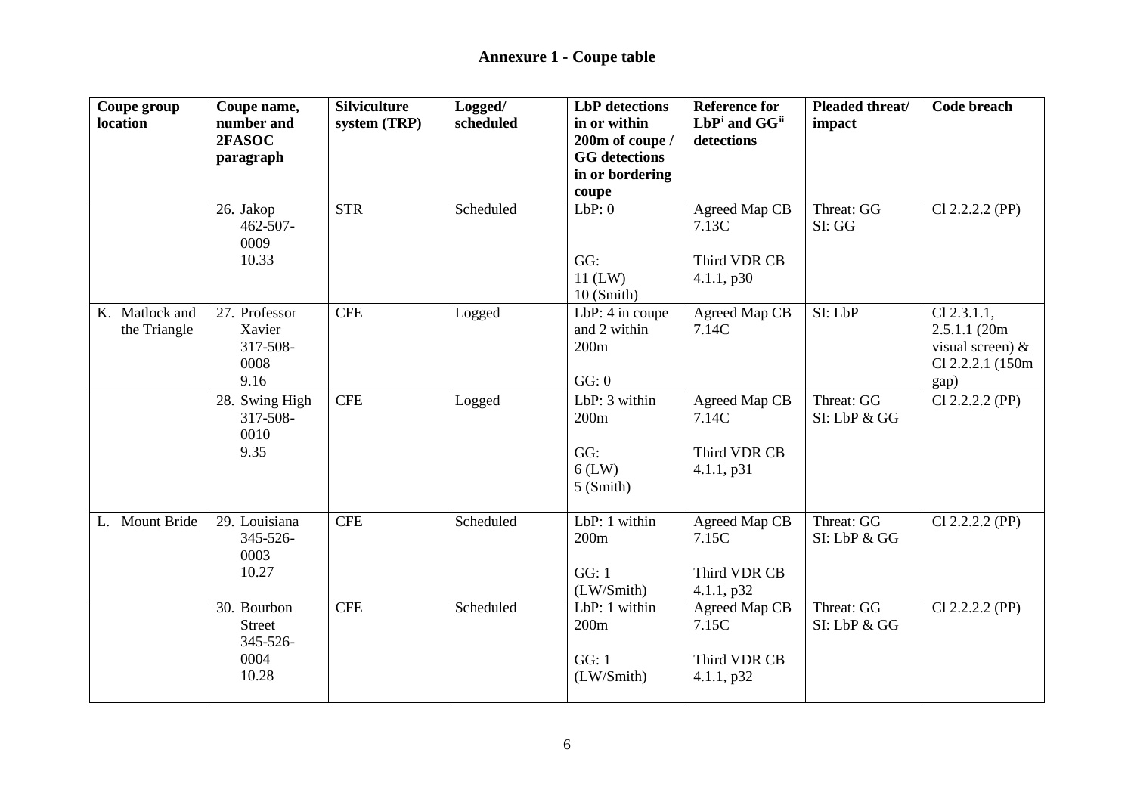| Coupe group    | Coupe name,                | <b>Silviculture</b> | Logged/   | <b>LbP</b> detections | <b>Reference for</b>   | Pleaded threat/ | <b>Code breach</b>  |
|----------------|----------------------------|---------------------|-----------|-----------------------|------------------------|-----------------|---------------------|
| location       | number and                 | system (TRP)        | scheduled | in or within          | LbPi and GGii          | impact          |                     |
|                | 2FASOC                     |                     |           | 200m of coupe /       | detections             |                 |                     |
|                | paragraph                  |                     |           | <b>GG</b> detections  |                        |                 |                     |
|                |                            |                     |           | in or bordering       |                        |                 |                     |
|                |                            | <b>STR</b>          | Scheduled | coupe<br>LbP:0        |                        | Threat: GG      |                     |
|                | 26. Jakop<br>$462 - 507 -$ |                     |           |                       | Agreed Map CB<br>7.13C | SI: GG          | Cl 2.2.2.2 (PP)     |
|                | 0009                       |                     |           |                       |                        |                 |                     |
|                | 10.33                      |                     |           | GG:                   | Third VDR CB           |                 |                     |
|                |                            |                     |           | $11$ (LW)             | 4.1.1, p30             |                 |                     |
|                |                            |                     |           | $10$ (Smith)          |                        |                 |                     |
| K. Matlock and | 27. Professor              | <b>CFE</b>          | Logged    | LbP: 4 in coupe       | Agreed Map CB          | SI: LbP         | $Cl$ 2.3.1.1,       |
| the Triangle   | Xavier                     |                     |           | and 2 within          | 7.14C                  |                 | 2.5.1.1(20m)        |
|                | 317-508-                   |                     |           | 200m                  |                        |                 | visual screen) $\&$ |
|                | 0008                       |                     |           |                       |                        |                 | Cl 2.2.2.1 (150m)   |
|                | 9.16                       |                     |           | GG: 0                 |                        |                 | gap)                |
|                | 28. Swing High             | <b>CFE</b>          | Logged    | LbP: 3 within         | Agreed Map CB          | Threat: GG      | $Cl$ 2.2.2.2 (PP)   |
|                | 317-508-                   |                     |           | 200m                  | 7.14C                  | SI: LbP & GG    |                     |
|                | 0010                       |                     |           |                       |                        |                 |                     |
|                | 9.35                       |                     |           | GG:                   | Third VDR CB           |                 |                     |
|                |                            |                     |           | $6$ (LW)              | 4.1.1, p31             |                 |                     |
|                |                            |                     |           | $5$ (Smith)           |                        |                 |                     |
|                |                            |                     |           |                       |                        |                 |                     |
| L. Mount Bride | 29. Louisiana              | <b>CFE</b>          | Scheduled | LbP: 1 within         | Agreed Map CB          | Threat: GG      | $Cl$ 2.2.2.2 (PP)   |
|                | 345-526-                   |                     |           | 200m                  | 7.15C                  | SI: LbP & GG    |                     |
|                | 0003                       |                     |           |                       |                        |                 |                     |
|                | 10.27                      |                     |           | GG: 1                 | Third VDR CB           |                 |                     |
|                |                            |                     |           | (LW/Smith)            | 4.1.1, p32             |                 |                     |
|                | 30. Bourbon                | <b>CFE</b>          | Scheduled | LbP: 1 within         | Agreed Map CB          | Threat: GG      | $Cl$ 2.2.2.2 (PP)   |
|                | <b>Street</b>              |                     |           | 200m                  | 7.15C                  | SI: LbP & GG    |                     |
|                | 345-526-                   |                     |           |                       |                        |                 |                     |
|                | 0004                       |                     |           | GG: 1                 | Third VDR CB           |                 |                     |
|                | 10.28                      |                     |           | (LW/Smith)            | 4.1.1, p32             |                 |                     |
|                |                            |                     |           |                       |                        |                 |                     |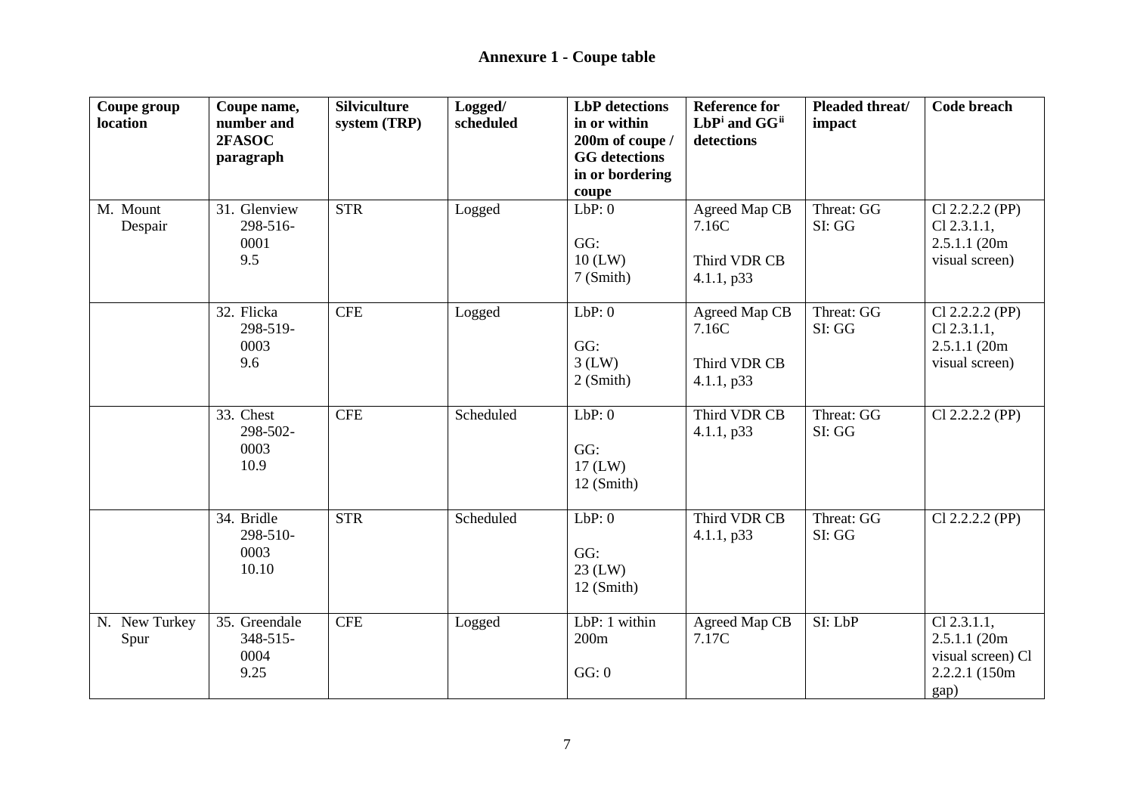| Coupe group<br>location | Coupe name,<br>number and<br>2FASOC<br>paragraph | <b>Silviculture</b><br>system (TRP) | Logged/<br>scheduled | <b>LbP</b> detections<br>in or within<br>200m of coupe /<br><b>GG</b> detections<br>in or bordering<br>coupe | <b>Reference for</b><br>LbPi and GGii<br>detections  | Pleaded threat/<br>impact | <b>Code breach</b>                                                            |
|-------------------------|--------------------------------------------------|-------------------------------------|----------------------|--------------------------------------------------------------------------------------------------------------|------------------------------------------------------|---------------------------|-------------------------------------------------------------------------------|
| M. Mount<br>Despair     | 31. Glenview<br>298-516-<br>0001<br>9.5          | <b>STR</b>                          | Logged               | LbP:0<br>GG:<br>$10$ (LW)<br>7 (Smith)                                                                       | Agreed Map CB<br>7.16C<br>Third VDR CB<br>4.1.1, p33 | Threat: GG<br>SI: GG      | $Cl$ 2.2.2.2 (PP)<br>$Cl$ 2.3.1.1,<br>2.5.1.1 (20m)<br>visual screen)         |
|                         | 32. Flicka<br>298-519-<br>0003<br>9.6            | <b>CFE</b>                          | Logged               | LbP:0<br>GG:<br>$3$ (LW)<br>2 (Smith)                                                                        | Agreed Map CB<br>7.16C<br>Third VDR CB<br>4.1.1, p33 | Threat: GG<br>SI: GG      | $Cl$ 2.2.2.2 (PP)<br>$Cl$ 2.3.1.1,<br>2.5.1.1 (20m)<br>visual screen)         |
|                         | 33. Chest<br>298-502-<br>0003<br>10.9            | <b>CFE</b>                          | Scheduled            | LbP:0<br>GG:<br>$17$ (LW)<br>$12$ (Smith)                                                                    | Third VDR CB<br>4.1.1, p33                           | Threat: GG<br>SI: GG      | $Cl$ 2.2.2.2 (PP)                                                             |
|                         | 34. Bridle<br>298-510-<br>0003<br>10.10          | <b>STR</b>                          | Scheduled            | LbP:0<br>GG:<br>$23$ (LW)<br>$12$ (Smith)                                                                    | Third VDR CB<br>4.1.1, p33                           | Threat: GG<br>SI: GG      | $Cl$ 2.2.2.2 (PP)                                                             |
| N. New Turkey<br>Spur   | 35. Greendale<br>348-515-<br>0004<br>9.25        | <b>CFE</b>                          | Logged               | LbP: 1 within<br>200m<br>GG: 0                                                                               | Agreed Map CB<br>7.17C                               | SI: LbP                   | $Cl$ 2.3.1.1,<br>2.5.1.1 (20m)<br>visual screen) Cl<br>2.2.2.1 (150m)<br>gap) |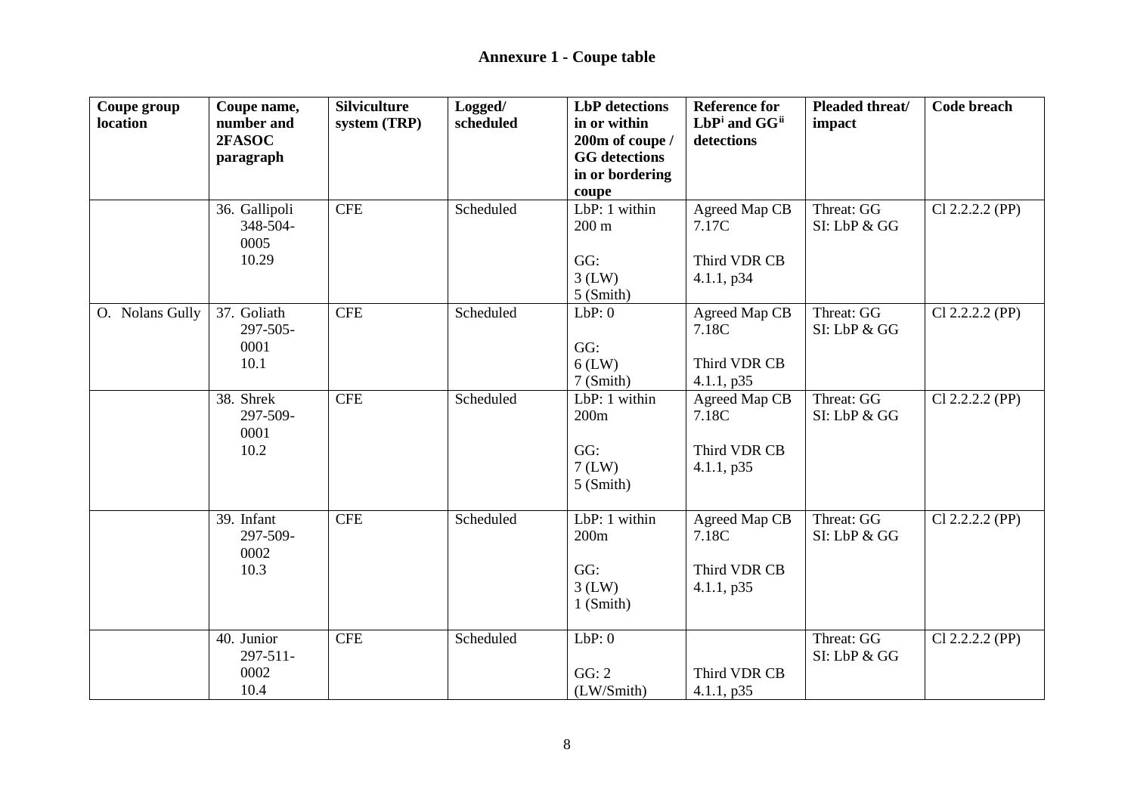| Coupe group<br>location | Coupe name,<br>number and<br>2FASOC<br>paragraph | <b>Silviculture</b><br>system (TRP) | Logged/<br>scheduled | <b>LbP</b> detections<br>in or within<br>200m of coupe /<br><b>GG</b> detections | <b>Reference for</b><br>LbPi and GGii<br>detections  | Pleaded threat/<br>impact  | <b>Code breach</b> |
|-------------------------|--------------------------------------------------|-------------------------------------|----------------------|----------------------------------------------------------------------------------|------------------------------------------------------|----------------------------|--------------------|
|                         |                                                  |                                     |                      | in or bordering                                                                  |                                                      |                            |                    |
|                         | 36. Gallipoli<br>348-504-<br>0005<br>10.29       | CFE                                 | Scheduled            | coupe<br>LbP: $1$ within<br>$200 \text{ m}$<br>GG:<br>$3$ (LW)<br>5 (Smith)      | Agreed Map CB<br>7.17C<br>Third VDR CB<br>4.1.1, p34 | Threat: GG<br>SI: LbP & GG | Cl 2.2.2.2 (PP)    |
| O. Nolans Gully         | 37. Goliath<br>297-505-<br>0001<br>10.1          | <b>CFE</b>                          | Scheduled            | LbP:0<br>GG:<br>$6$ (LW)<br>7 (Smith)                                            | Agreed Map CB<br>7.18C<br>Third VDR CB<br>4.1.1, p35 | Threat: GG<br>SI: LbP & GG | $Cl$ 2.2.2.2 (PP)  |
|                         | 38. Shrek<br>297-509-<br>0001<br>10.2            | <b>CFE</b>                          | Scheduled            | LbP: 1 within<br>200m<br>GG:<br>$7$ (LW)<br>$5$ (Smith)                          | Agreed Map CB<br>7.18C<br>Third VDR CB<br>4.1.1, p35 | Threat: GG<br>SI: LbP & GG | $Cl$ 2.2.2.2 (PP)  |
|                         | 39. Infant<br>297-509-<br>0002<br>10.3           | <b>CFE</b>                          | Scheduled            | LbP: 1 within<br>200m<br>GG:<br>$3$ (LW)<br>$1$ (Smith)                          | Agreed Map CB<br>7.18C<br>Third VDR CB<br>4.1.1, p35 | Threat: GG<br>SI: LbP & GG | $Cl$ 2.2.2.2 (PP)  |
|                         | 40. Junior<br>297-511-<br>0002<br>10.4           | <b>CFE</b>                          | Scheduled            | LbP:0<br>GG: 2<br>(LW/Smith)                                                     | Third VDR CB<br>4.1.1, p35                           | Threat: GG<br>SI: LbP & GG | $Cl$ 2.2.2.2 (PP)  |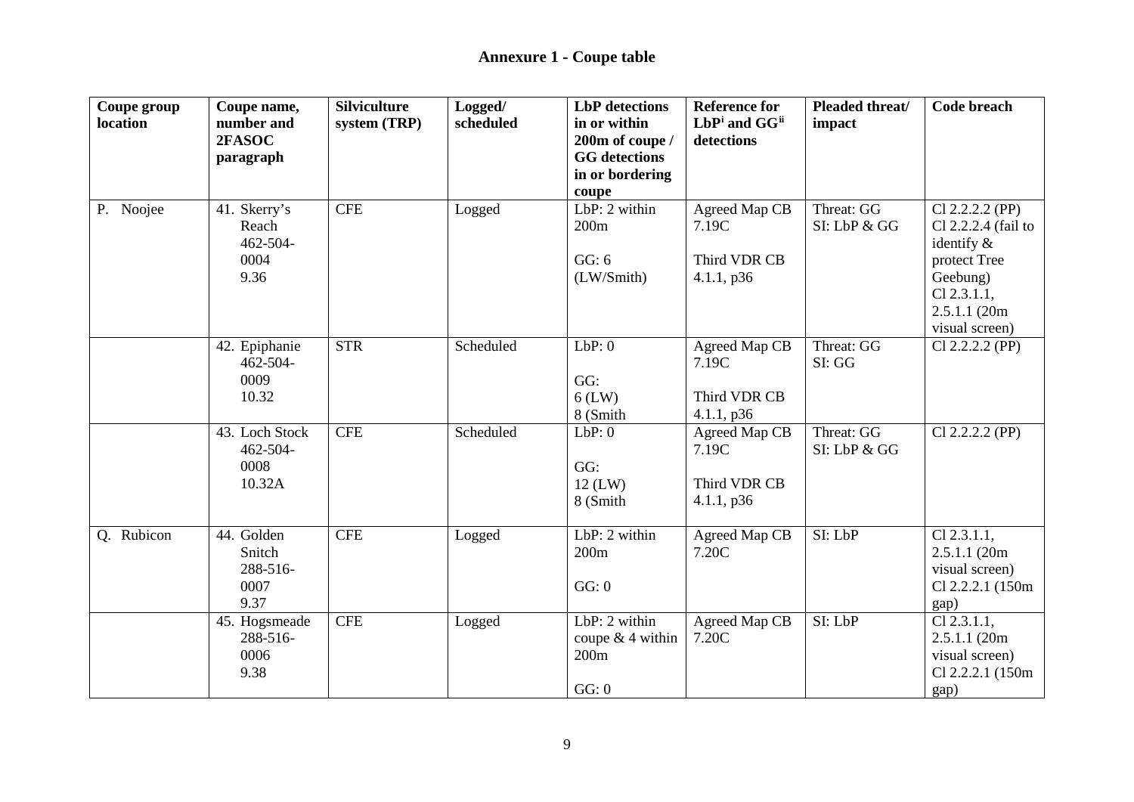| Coupe group<br>location | Coupe name,<br>number and<br>2FASOC                    | <b>Silviculture</b><br>system (TRP) | Logged/<br>scheduled | <b>LbP</b> detections<br>in or within<br>200m of coupe /<br><b>GG</b> detections | <b>Reference for</b><br>LbPi and GGii<br>detections  | Pleaded threat/<br>impact  | Code breach                                                                                                                              |
|-------------------------|--------------------------------------------------------|-------------------------------------|----------------------|----------------------------------------------------------------------------------|------------------------------------------------------|----------------------------|------------------------------------------------------------------------------------------------------------------------------------------|
|                         | paragraph                                              |                                     |                      | in or bordering<br>coupe                                                         |                                                      |                            |                                                                                                                                          |
| P. Noojee               | 41. Skerry's<br>Reach<br>$462 - 504 -$<br>0004<br>9.36 | <b>CFE</b>                          | Logged               | $LbP: 2$ within<br>200m<br>GG: 6<br>(LW/Smith)                                   | Agreed Map CB<br>7.19C<br>Third VDR CB<br>4.1.1, p36 | Threat: GG<br>SI: LbP & GG | $Cl$ 2.2.2.2 (PP)<br>Cl 2.2.2.4 (fail to<br>identify $\&$<br>protect Tree<br>Geebung)<br>$Cl$ 2.3.1.1,<br>2.5.1.1(20m)<br>visual screen) |
|                         | 42. Epiphanie<br>$462 - 504 -$<br>0009<br>10.32        | <b>STR</b>                          | Scheduled            | LbP:0<br>GG:<br>$6$ (LW)<br>8 (Smith                                             | Agreed Map CB<br>7.19C<br>Third VDR CB<br>4.1.1, p36 | Threat: GG<br>SI: GG       | $Cl$ 2.2.2.2 (PP)                                                                                                                        |
|                         | 43. Loch Stock<br>462-504-<br>0008<br>10.32A           | <b>CFE</b>                          | Scheduled            | LbP:0<br>GG:<br>$12$ (LW)<br>8 (Smith                                            | Agreed Map CB<br>7.19C<br>Third VDR CB<br>4.1.1, p36 | Threat: GG<br>SI: LbP & GG | $Cl$ 2.2.2.2 (PP)                                                                                                                        |
| Q. Rubicon              | 44. Golden<br>Snitch<br>288-516-<br>0007<br>9.37       | <b>CFE</b>                          | Logged               | LbP: 2 within<br>200m<br>GG: 0                                                   | <b>Agreed Map CB</b><br>7.20C                        | SI: LbP                    | $Cl$ 2.3.1.1,<br>2.5.1.1(20m)<br>visual screen)<br>Cl 2.2.2.1 (150m)<br>gap)                                                             |
|                         | 45. Hogsmeade<br>288-516-<br>0006<br>9.38              | <b>CFE</b>                          | Logged               | LbP: 2 within<br>coupe $& 4$ within<br>200m<br>GG: 0                             | Agreed Map CB<br>7.20C                               | SI: LbP                    | $Cl$ 2.3.1.1,<br>2.5.1.1(20m)<br>visual screen)<br>Cl 2.2.2.1 (150m)<br>gap)                                                             |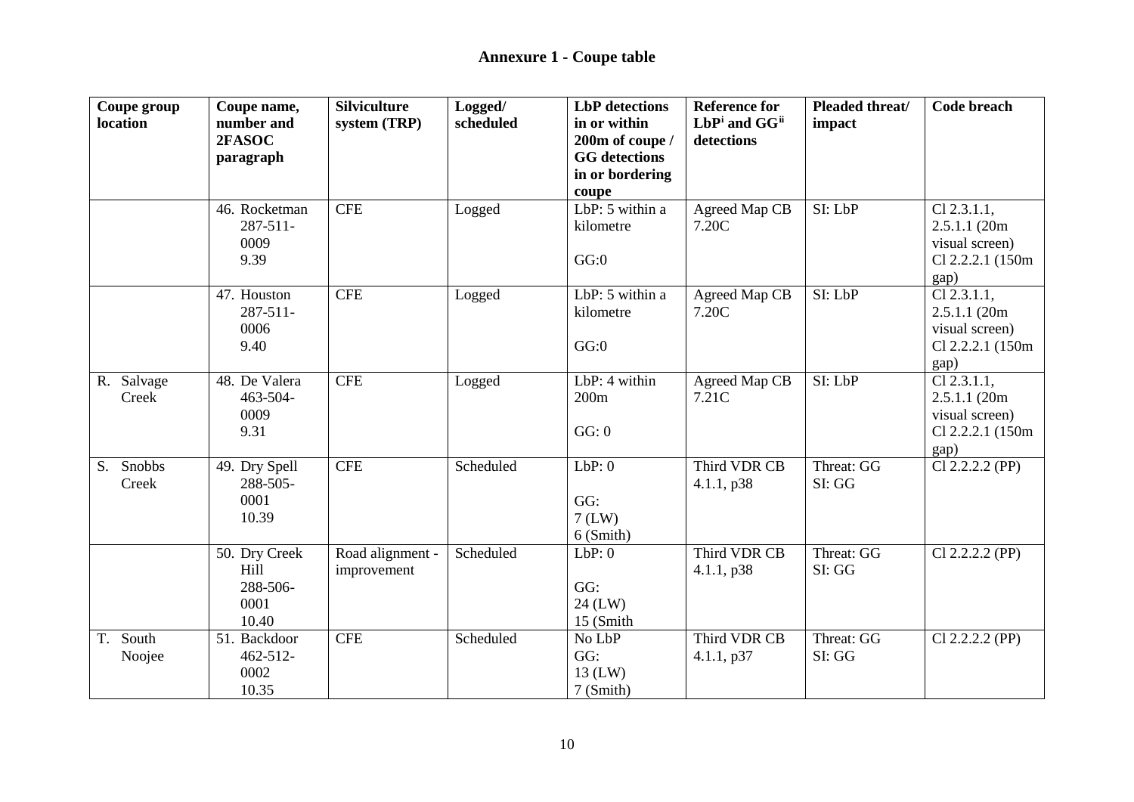| Coupe group           | Coupe name,      | <b>Silviculture</b> | Logged/   | <b>LbP</b> detections                | <b>Reference for</b> | Pleaded threat/ | <b>Code breach</b> |
|-----------------------|------------------|---------------------|-----------|--------------------------------------|----------------------|-----------------|--------------------|
| location              | number and       | system (TRP)        | scheduled | in or within                         | LbPi and GGii        | impact          |                    |
|                       | 2FASOC           |                     |           | 200m of coupe /                      | detections           |                 |                    |
|                       | paragraph        |                     |           | <b>GG</b> detections                 |                      |                 |                    |
|                       |                  |                     |           | in or bordering                      |                      |                 |                    |
|                       | 46. Rocketman    | <b>CFE</b>          | Logged    | coupe<br>LbP: $5$ within a           | Agreed Map CB        | SI: LbP         | $Cl$ 2.3.1.1,      |
|                       | $287 - 511 -$    |                     |           | kilometre                            | 7.20C                |                 | 2.5.1.1(20m)       |
|                       | 0009             |                     |           |                                      |                      |                 | visual screen)     |
|                       | 9.39             |                     |           | GG:0                                 |                      |                 | Cl 2.2.2.1 (150m)  |
|                       |                  |                     |           |                                      |                      |                 | gap)               |
|                       | 47. Houston      | <b>CFE</b>          | Logged    | $\overline{\text{LbP}}$ : 5 within a | Agreed Map CB        | SI: LbP         | $Cl$ 2.3.1.1,      |
|                       | $287 - 511 -$    |                     |           | kilometre                            | 7.20C                |                 | 2.5.1.1(20m)       |
|                       | 0006             |                     |           |                                      |                      |                 | visual screen)     |
|                       | 9.40             |                     |           | GG:0                                 |                      |                 | Cl 2.2.2.1 (150m)  |
|                       |                  |                     |           |                                      |                      |                 | gap)               |
| R. Salvage            | 48. De Valera    | <b>CFE</b>          | Logged    | LbP: 4 within                        | Agreed Map CB        | SI: LbP         | $Cl$ 2.3.1.1,      |
| Creek                 | 463-504-         |                     |           | 200m                                 | 7.21C                |                 | 2.5.1.1(20m)       |
|                       | 0009             |                     |           |                                      |                      |                 | visual screen)     |
|                       | 9.31             |                     |           | GG: 0                                |                      |                 | Cl 2.2.2.1 (150m)  |
|                       |                  |                     |           |                                      |                      |                 | gap)               |
| Snobbs<br>$S_{\cdot}$ | 49. Dry Spell    | <b>CFE</b>          | Scheduled | LbP:0                                | Third VDR CB         | Threat: GG      | Cl 2.2.2.2 (PP)    |
| Creek                 | 288-505-<br>0001 |                     |           | GG:                                  | 4.1.1, p38           | SI: GG          |                    |
|                       | 10.39            |                     |           | $7$ (LW)                             |                      |                 |                    |
|                       |                  |                     |           | $6$ (Smith)                          |                      |                 |                    |
|                       | 50. Dry Creek    | Road alignment -    | Scheduled | LbP:0                                | Third VDR CB         | Threat: GG      | $Cl$ 2.2.2.2 (PP)  |
|                       | Hill             | improvement         |           |                                      | 4.1.1, p38           | SI: GG          |                    |
|                       | 288-506-         |                     |           | GG:                                  |                      |                 |                    |
|                       | 0001             |                     |           | 24 (LW)                              |                      |                 |                    |
|                       | 10.40            |                     |           | 15 (Smith                            |                      |                 |                    |
| South<br>T.           | 51. Backdoor     | <b>CFE</b>          | Scheduled | No LbP                               | Third VDR CB         | Threat: GG      | $Cl$ 2.2.2.2 (PP)  |
| Noojee                | $462 - 512$      |                     |           | GG:                                  | 4.1.1, p37           | SI: GG          |                    |
|                       | 0002             |                     |           | $13$ (LW)                            |                      |                 |                    |
|                       | 10.35            |                     |           | 7 (Smith)                            |                      |                 |                    |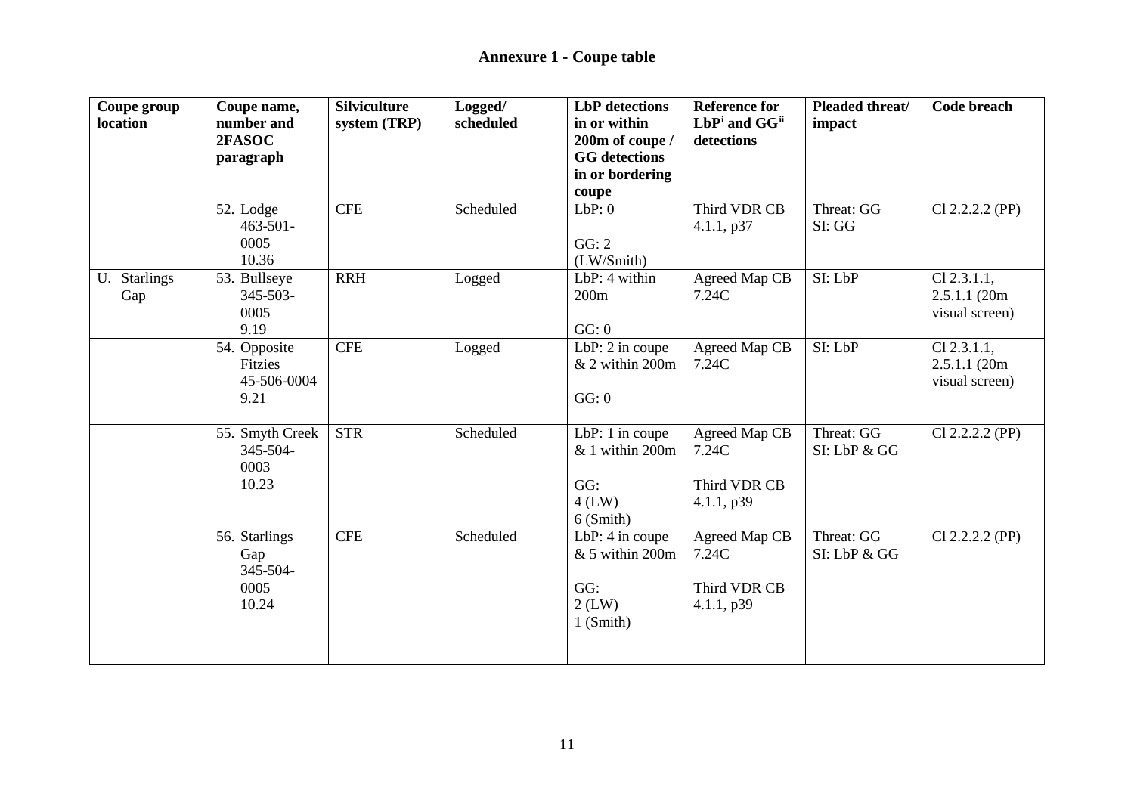| Coupe group<br>location | Coupe name,<br>number and<br>2FASOC<br>paragraph  | <b>Silviculture</b><br>system (TRP) | Logged/<br>scheduled | <b>LbP</b> detections<br>in or within<br>200m of coupe /<br><b>GG</b> detections | <b>Reference for</b><br>LbPi and GG <sup>ii</sup><br>detections | Pleaded threat/<br>impact  | Code breach                                     |
|-------------------------|---------------------------------------------------|-------------------------------------|----------------------|----------------------------------------------------------------------------------|-----------------------------------------------------------------|----------------------------|-------------------------------------------------|
|                         |                                                   |                                     |                      | in or bordering<br>coupe                                                         |                                                                 |                            |                                                 |
|                         | 52. Lodge<br>$463 - 501 -$<br>0005<br>10.36       | <b>CFE</b>                          | Scheduled            | LbP:0<br>GG: 2<br>(LW/Smith)                                                     | Third VDR CB<br>4.1.1, p37                                      | Threat: GG<br>SI: GG       | $Cl$ 2.2.2.2 (PP)                               |
| U. Starlings<br>Gap     | 53. Bullseye<br>$345 - 503 -$<br>0005<br>9.19     | <b>RRH</b>                          | Logged               | LbP: 4 within<br>200m<br>GG: 0                                                   | Agreed Map CB<br>7.24C                                          | SI: LbP                    | $Cl$ 2.3.1.1,<br>2.5.1.1(20m)<br>visual screen) |
|                         | 54. Opposite<br>Fitzies<br>45-506-0004<br>9.21    | <b>CFE</b>                          | Logged               | LbP: $2$ in coupe<br>& 2 within 200m<br>GG: 0                                    | Agreed Map CB<br>7.24C                                          | SI: LbP                    | $Cl$ 2.3.1.1,<br>2.5.1.1(20m)<br>visual screen) |
|                         | 55. Smyth Creek<br>345-504-<br>0003<br>10.23      | <b>STR</b>                          | Scheduled            | LbP: $1$ in coupe<br>& 1 within 200m<br>GG:<br>$4$ (LW)<br>6 (Smith)             | Agreed Map CB<br>7.24C<br>Third VDR CB<br>4.1.1, p39            | Threat: GG<br>SI: LbP & GG | $Cl$ 2.2.2.2 (PP)                               |
|                         | 56. Starlings<br>Gap<br>345-504-<br>0005<br>10.24 | <b>CFE</b>                          | Scheduled            | LbP: 4 in coupe<br>$& 5$ within 200m<br>GG:<br>$2$ (LW)<br>$1$ (Smith)           | Agreed Map CB<br>7.24C<br>Third VDR CB<br>4.1.1, p39            | Threat: GG<br>SI: LbP & GG | Cl 2.2.2.2 (PP)                                 |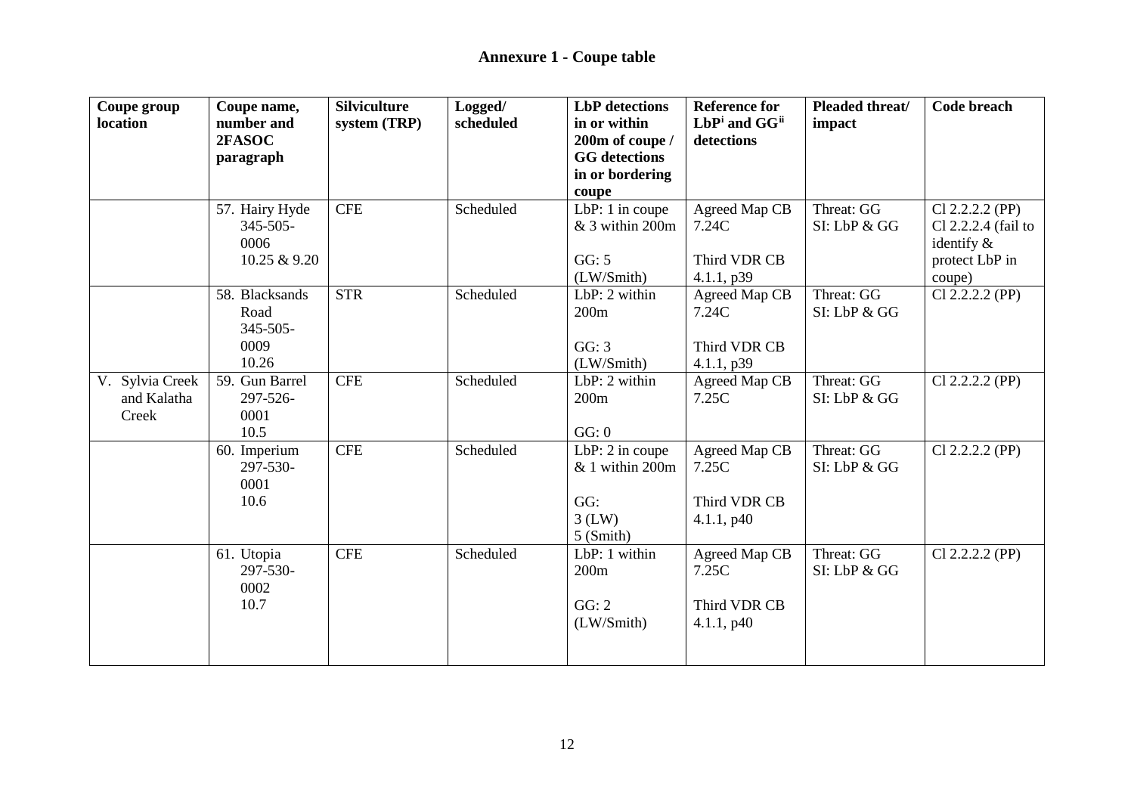| Coupe group<br>location | Coupe name,<br>number and | <b>Silviculture</b><br>system (TRP) | Logged/<br>scheduled | <b>LbP</b> detections<br>in or within | <b>Reference for</b><br>LbPi and GG <sup>ii</sup> | Pleaded threat/<br>impact | <b>Code breach</b>  |
|-------------------------|---------------------------|-------------------------------------|----------------------|---------------------------------------|---------------------------------------------------|---------------------------|---------------------|
|                         | 2FASOC                    |                                     |                      | 200m of coupe /                       | detections                                        |                           |                     |
|                         | paragraph                 |                                     |                      | <b>GG</b> detections                  |                                                   |                           |                     |
|                         |                           |                                     |                      | in or bordering                       |                                                   |                           |                     |
|                         |                           |                                     |                      | coupe                                 |                                                   |                           |                     |
|                         | 57. Hairy Hyde            | <b>CFE</b>                          | Scheduled            | LbP: 1 in coupe                       | Agreed Map CB                                     | Threat: GG                | Cl 2.2.2.2 (PP)     |
|                         | $345 - 505 -$             |                                     |                      | & 3 within 200m                       | 7.24C                                             | SI: LbP & GG              | Cl 2.2.2.4 (fail to |
|                         | 0006                      |                                     |                      |                                       |                                                   |                           | identify $\&$       |
|                         | 10.25 & 9.20              |                                     |                      | GG: 5                                 | Third VDR CB                                      |                           | protect LbP in      |
|                         | 58. Blacksands            | <b>STR</b>                          | Scheduled            | (LW/Smith)<br>$LbP: 2$ within         | 4.1.1, p39                                        | Threat: GG                | coupe)              |
|                         | Road                      |                                     |                      | 200m                                  | Agreed Map CB<br>7.24C                            | SI: LbP & GG              | $Cl$ 2.2.2.2 (PP)   |
|                         | $345 - 505 -$             |                                     |                      |                                       |                                                   |                           |                     |
|                         | 0009                      |                                     |                      | GG: 3                                 | Third VDR CB                                      |                           |                     |
|                         | 10.26                     |                                     |                      | (LW/Smith)                            | 4.1.1, p39                                        |                           |                     |
| V. Sylvia Creek         | 59. Gun Barrel            | <b>CFE</b>                          | Scheduled            | LbP: 2 within                         | Agreed Map CB                                     | Threat: GG                | Cl 2.2.2.2 (PP)     |
| and Kalatha             | 297-526-                  |                                     |                      | 200m                                  | 7.25C                                             | SI: LbP & GG              |                     |
| Creek                   | 0001                      |                                     |                      |                                       |                                                   |                           |                     |
|                         | 10.5                      |                                     |                      | GG: 0                                 |                                                   |                           |                     |
|                         | 60. Imperium              | <b>CFE</b>                          | Scheduled            | LbP: 2 in coupe                       | Agreed Map CB                                     | Threat: GG                | $Cl$ 2.2.2.2 (PP)   |
|                         | 297-530-                  |                                     |                      | & 1 within 200m                       | 7.25C                                             | SI: LbP & GG              |                     |
|                         | 0001                      |                                     |                      |                                       |                                                   |                           |                     |
|                         | 10.6                      |                                     |                      | GG:                                   | Third VDR CB                                      |                           |                     |
|                         |                           |                                     |                      | $3$ (LW)                              | 4.1.1, p40                                        |                           |                     |
|                         |                           |                                     |                      | 5 (Smith)                             |                                                   |                           |                     |
|                         | 61. Utopia                | <b>CFE</b>                          | Scheduled            | LbP: 1 within                         | Agreed Map CB                                     | Threat: GG                | Cl 2.2.2.2 (PP)     |
|                         | 297-530-                  |                                     |                      | 200m                                  | 7.25C                                             | SI: LbP & GG              |                     |
|                         | 0002                      |                                     |                      |                                       |                                                   |                           |                     |
|                         | 10.7                      |                                     |                      | GG: 2                                 | Third VDR CB                                      |                           |                     |
|                         |                           |                                     |                      | (LW/Smith)                            | 4.1.1, p40                                        |                           |                     |
|                         |                           |                                     |                      |                                       |                                                   |                           |                     |
|                         |                           |                                     |                      |                                       |                                                   |                           |                     |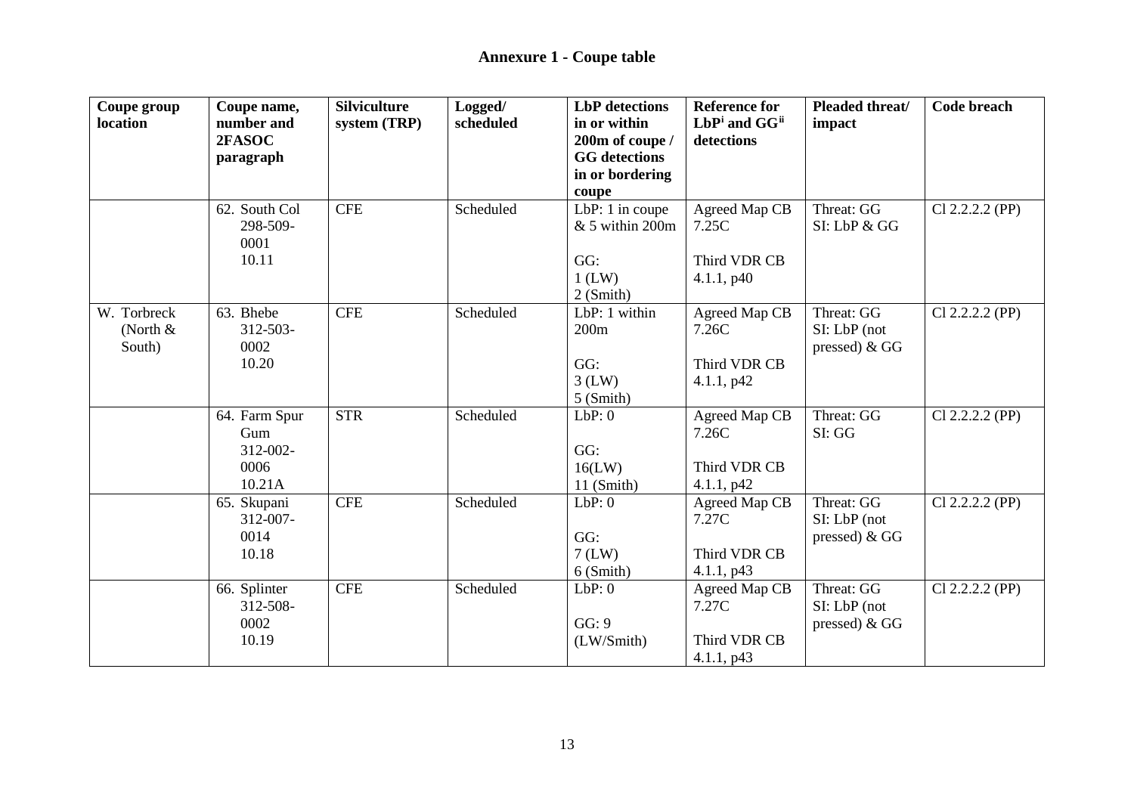| Coupe group<br>location | Coupe name,<br>number and | <b>Silviculture</b><br>system (TRP) | Logged/<br>scheduled | <b>LbP</b> detections<br>in or within | <b>Reference for</b><br>LbPi and GGii | Pleaded threat/<br>impact | <b>Code breach</b> |
|-------------------------|---------------------------|-------------------------------------|----------------------|---------------------------------------|---------------------------------------|---------------------------|--------------------|
|                         | 2FASOC                    |                                     |                      | 200m of coupe /                       | detections                            |                           |                    |
|                         | paragraph                 |                                     |                      | <b>GG</b> detections                  |                                       |                           |                    |
|                         |                           |                                     |                      | in or bordering                       |                                       |                           |                    |
|                         |                           |                                     |                      | coupe                                 |                                       |                           |                    |
|                         | 62. South Col             | <b>CFE</b>                          | Scheduled            | LbP: 1 in coupe                       | Agreed Map CB                         | Threat: GG                | Cl 2.2.2.2 (PP)    |
|                         | 298-509-                  |                                     |                      | & 5 within 200m                       | 7.25C                                 | SI: LbP & GG              |                    |
|                         | 0001                      |                                     |                      |                                       |                                       |                           |                    |
|                         | 10.11                     |                                     |                      | GG:                                   | Third VDR CB                          |                           |                    |
|                         |                           |                                     |                      | $1$ (LW)                              | 4.1.1, p40                            |                           |                    |
|                         |                           |                                     |                      | $2$ (Smith)                           |                                       |                           |                    |
| W. Torbreck             | 63. Bhebe                 | <b>CFE</b>                          | Scheduled            | LbP: 1 within                         | Agreed Map CB                         | Threat: GG                | $Cl$ 2.2.2.2 (PP)  |
| (North $&$              | $312 - 503 -$             |                                     |                      | 200m                                  | 7.26C                                 | $SI: LbP$ (not            |                    |
| South)                  | 0002                      |                                     |                      |                                       |                                       | pressed) $&GG$            |                    |
|                         | 10.20                     |                                     |                      | GG:                                   | Third VDR CB                          |                           |                    |
|                         |                           |                                     |                      | $3$ (LW)                              | 4.1.1, p42                            |                           |                    |
|                         |                           | <b>STR</b>                          | Scheduled            | $5$ (Smith)<br>LbP:0                  |                                       | Threat: GG                |                    |
|                         | 64. Farm Spur<br>Gum      |                                     |                      |                                       | Agreed Map CB<br>7.26C                | SI: GG                    | $Cl$ 2.2.2.2 (PP)  |
|                         | $312 - 002 -$             |                                     |                      | GG:                                   |                                       |                           |                    |
|                         | 0006                      |                                     |                      | 16(LW)                                | Third VDR CB                          |                           |                    |
|                         | 10.21A                    |                                     |                      | 11 (Smith)                            | 4.1.1, p42                            |                           |                    |
|                         | 65. Skupani               | <b>CFE</b>                          | Scheduled            | LbP:0                                 | Agreed Map CB                         | Threat: GG                | $Cl$ 2.2.2.2 (PP)  |
|                         | 312-007-                  |                                     |                      |                                       | 7.27C                                 | SI: LbP (not              |                    |
|                         | 0014                      |                                     |                      | GG:                                   |                                       | pressed) $&GG$            |                    |
|                         | 10.18                     |                                     |                      | $7$ (LW)                              | Third VDR CB                          |                           |                    |
|                         |                           |                                     |                      | 6 (Smith)                             | 4.1.1, p43                            |                           |                    |
|                         | 66. Splinter              | <b>CFE</b>                          | Scheduled            | LbP:0                                 | Agreed Map CB                         | Threat: GG                | $Cl$ 2.2.2.2 (PP)  |
|                         | 312-508-                  |                                     |                      |                                       | 7.27C                                 | $SI: LbP$ (not            |                    |
|                         | 0002                      |                                     |                      | GG: 9                                 |                                       | pressed) $&GG$            |                    |
|                         | 10.19                     |                                     |                      | (LW/Smith)                            | Third VDR CB                          |                           |                    |
|                         |                           |                                     |                      |                                       | 4.1.1, p43                            |                           |                    |